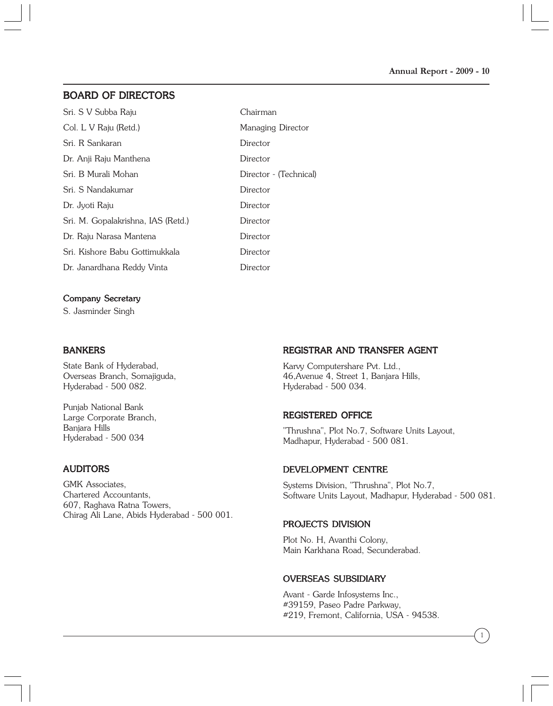# BOARD OF DIRECTORS

| Sri. S V Subba Raju                | Chairman               |
|------------------------------------|------------------------|
| Col. L V Raju (Retd.)              | Managing Director      |
| Sri. R Sankaran                    | Director               |
| Dr. Anji Raju Manthena             | Director               |
| Sri. B Murali Mohan                | Director - (Technical) |
| Sri. S Nandakumar                  | Director               |
| Dr. Jyoti Raju                     | Director               |
| Sri. M. Gopalakrishna, IAS (Retd.) | Director               |
| Dr. Raju Narasa Mantena            | Director               |
| Sri. Kishore Babu Gottimukkala     | Director               |
| Dr. Janardhana Reddy Vinta         | Director               |
|                                    |                        |

#### Company Secretary

S. Jasminder Singh

#### **BANKERS**

State Bank of Hyderabad, Overseas Branch, Somajiguda, Hyderabad - 500 082.

Punjab National Bank Large Corporate Branch, Banjara Hills Hyderabad - 500 034

## AUDITORS

GMK Associates, Chartered Accountants, 607, Raghava Ratna Towers, Chirag Ali Lane, Abids Hyderabad - 500 001.

## REGISTRAR AND TRANSFER AGENT

Karvy Computershare Pvt. Ltd., 46,Avenue 4, Street 1, Banjara Hills, Hyderabad - 500 034.

### REGISTERED OFFICE

"Thrushna", Plot No.7, Software Units Layout, Madhapur, Hyderabad - 500 081.

#### DEVELOPMENT CENTRE

Systems Division, "Thrushna", Plot No.7, Software Units Layout, Madhapur, Hyderabad - 500 081.

### PROJECTS DIVISION

Plot No. H, Avanthi Colony, Main Karkhana Road, Secunderabad.

#### OVERSEAS SUBSIDIARY

Avant - Garde Infosystems Inc., #39159, Paseo Padre Parkway, #219, Fremont, California, USA - 94538.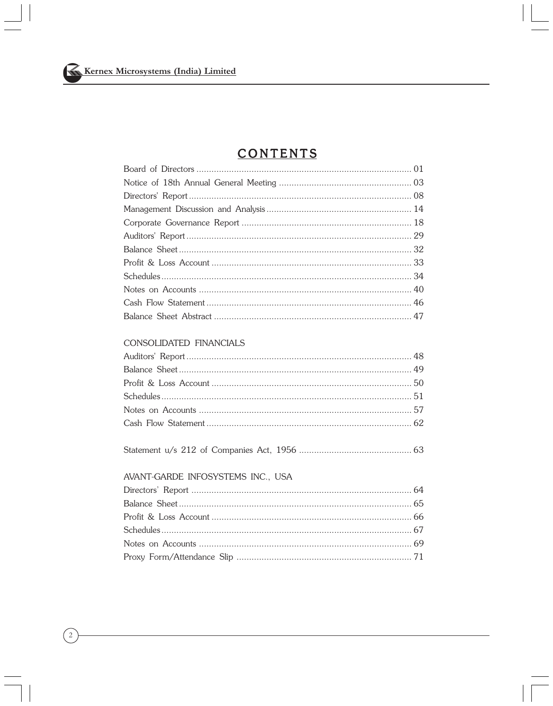# **CONTENTS**

## CONSOLIDATED FINANCIALS

### AVANT-GARDE INFOSYSTEMS INC., USA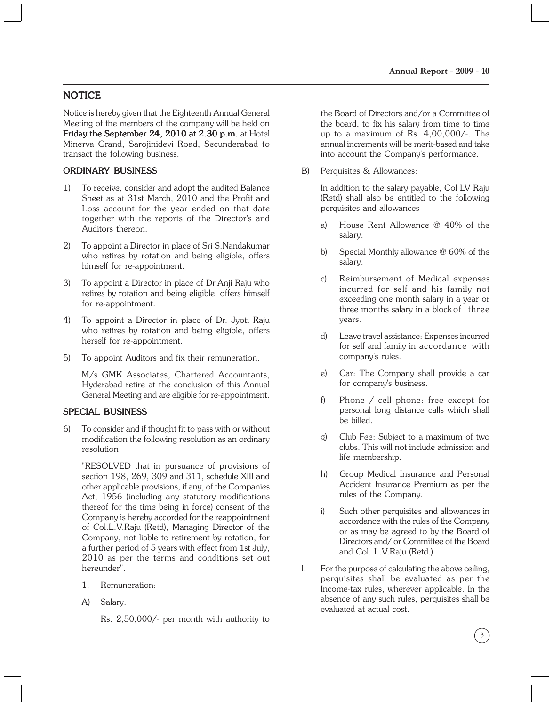# NOTICE

Notice is hereby given that the Eighteenth Annual General Meeting of the members of the company will be held on Friday the September 24, 2010 at  $2.30$  p.m. at Hotel Minerva Grand, Sarojinidevi Road, Secunderabad to transact the following business.

# ORDINARY BUSINESS

- 1) To receive, consider and adopt the audited Balance Sheet as at 31st March, 2010 and the Profit and Loss account for the year ended on that date together with the reports of the Director's and Auditors thereon.
- 2) To appoint a Director in place of Sri S.Nandakumar who retires by rotation and being eligible, offers himself for re-appointment.
- 3) To appoint a Director in place of Dr.Anji Raju who retires by rotation and being eligible, offers himself for re-appointment.
- 4) To appoint a Director in place of Dr. Jyoti Raju who retires by rotation and being eligible, offers herself for re-appointment.
- 5) To appoint Auditors and fix their remuneration.

M/s GMK Associates, Chartered Accountants, Hyderabad retire at the conclusion of this Annual General Meeting and are eligible for re-appointment.

## SPECIAL BUSINESS

6) To consider and if thought fit to pass with or without modification the following resolution as an ordinary resolution

"RESOLVED that in pursuance of provisions of section 198, 269, 309 and 311, schedule XIII and other applicable provisions, if any, of the Companies Act, 1956 (including any statutory modifications thereof for the time being in force) consent of the Company is hereby accorded for the reappointment of Col.L.V.Raju (Retd), Managing Director of the Company, not liable to retirement by rotation, for a further period of 5 years with effect from 1st July, 2010 as per the terms and conditions set out hereunder".

- 1. Remuneration:
- A) Salary:

Rs. 2,50,000/- per month with authority to

the Board of Directors and/or a Committee of the board, to fix his salary from time to time up to a maximum of Rs. 4,00,000/-. The annual increments will be merit-based and take into account the Company's performance.

B) Perquisites & Allowances:

In addition to the salary payable, Col LV Raju (Retd) shall also be entitled to the following perquisites and allowances

- a) House Rent Allowance @ 40% of the salary.
- b) Special Monthly allowance @ 60% of the salary.
- c) Reimbursement of Medical expenses incurred for self and his family not exceeding one month salary in a year or three months salary in a block of three years.
- d) Leave travel assistance: Expenses incurred for self and family in accordance with company's rules.
- e) Car: The Company shall provide a car for company's business.
- f) Phone / cell phone: free except for personal long distance calls which shall be billed.
- g) Club Fee: Subject to a maximum of two clubs. This will not include admission and life membership.
- h) Group Medical Insurance and Personal Accident Insurance Premium as per the rules of the Company.
- i) Such other perquisites and allowances in accordance with the rules of the Company or as may be agreed to by the Board of Directors and/ or Committee of the Board and Col. L.V.Raju (Retd.)
- l. For the purpose of calculating the above ceiling, perquisites shall be evaluated as per the Income-tax rules, wherever applicable. In the absence of any such rules, perquisites shall be evaluated at actual cost.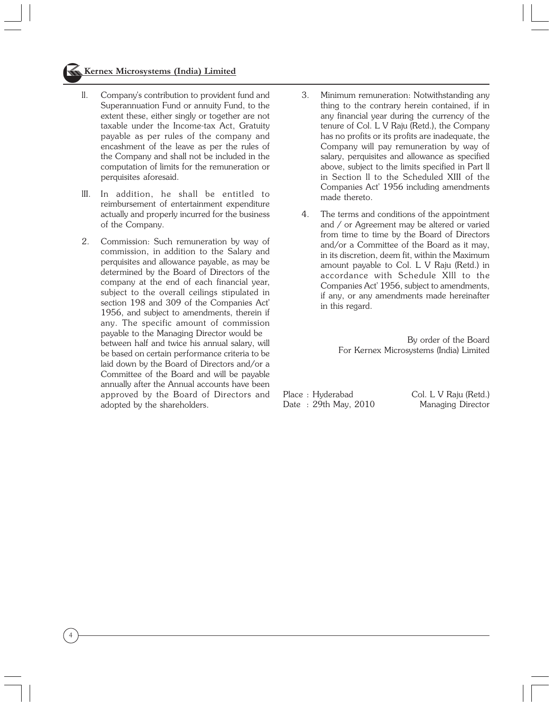## **Kernex Microsystems (India) Limited**

- ll. Company's contribution to provident fund and Superannuation Fund or annuity Fund, to the extent these, either singly or together are not taxable under the Income-tax Act, Gratuity payable as per rules of the company and encashment of the leave as per the rules of the Company and shall not be included in the computation of limits for the remuneration or perquisites aforesaid.
- lII. In addition, he shall be entitled to reimbursement of entertainment expenditure actually and properly incurred for the business of the Company.
- 2. Commission: Such remuneration by way of commission, in addition to the Salary and perquisites and allowance payable, as may be determined by the Board of Directors of the company at the end of each financial year, subject to the overall ceilings stipulated in section 198 and 309 of the Companies Act' 1956, and subject to amendments, therein if any. The specific amount of commission payable to the Managing Director would be between half and twice his annual salary, will be based on certain performance criteria to be laid down by the Board of Directors and/or a Committee of the Board and will be payable annually after the Annual accounts have been approved by the Board of Directors and adopted by the shareholders.

4

- 3. Minimum remuneration: Notwithstanding any thing to the contrary herein contained, if in any financial year during the currency of the tenure of Col. L V Raju (Retd.), the Company has no profits or its profits are inadequate, the Company will pay remuneration by way of salary, perquisites and allowance as specified above, subject to the limits specified in Part ll in Section ll to the Scheduled XIII of the Companies Act' 1956 including amendments made thereto.
- 4. The terms and conditions of the appointment and / or Agreement may be altered or varied from time to time by the Board of Directors and/or a Committee of the Board as it may, in its discretion, deem fit, within the Maximum amount payable to Col. L V Raju (Retd.) in accordance with Schedule Xlll to the Companies Act' 1956, subject to amendments, if any, or any amendments made hereinafter in this regard.

 By order of the Board For Kernex Microsystems (India) Limited

Place : Hyderabad Col. L V Raju (Retd.) Date: 29th May, 2010 Managing Director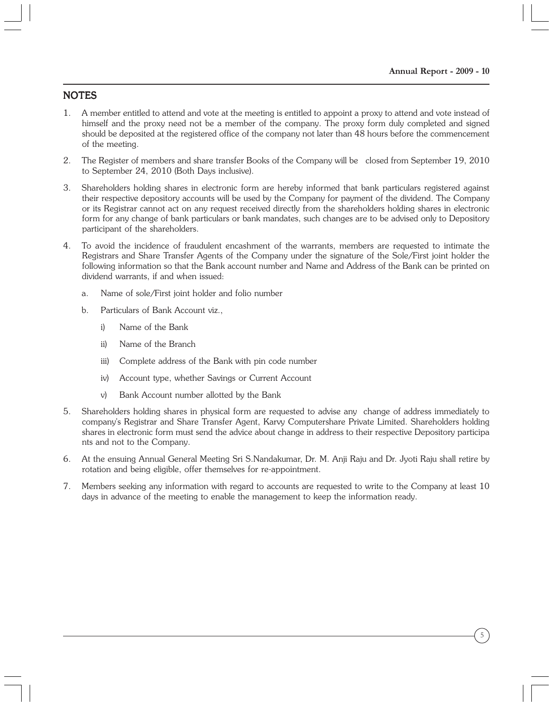# **NOTES**

- 1. A member entitled to attend and vote at the meeting is entitled to appoint a proxy to attend and vote instead of himself and the proxy need not be a member of the company. The proxy form duly completed and signed should be deposited at the registered office of the company not later than 48 hours before the commencement of the meeting.
- 2. The Register of members and share transfer Books of the Company will be closed from September 19, 2010 to September 24, 2010 (Both Days inclusive).
- 3. Shareholders holding shares in electronic form are hereby informed that bank particulars registered against their respective depository accounts will be used by the Company for payment of the dividend. The Company or its Registrar cannot act on any request received directly from the shareholders holding shares in electronic form for any change of bank particulars or bank mandates, such changes are to be advised only to Depository participant of the shareholders.
- 4. To avoid the incidence of fraudulent encashment of the warrants, members are requested to intimate the Registrars and Share Transfer Agents of the Company under the signature of the Sole/First joint holder the following information so that the Bank account number and Name and Address of the Bank can be printed on dividend warrants, if and when issued:
	- a. Name of sole/First joint holder and folio number
	- b. Particulars of Bank Account viz.,
		- i) Name of the Bank
		- ii) Name of the Branch
		- iii) Complete address of the Bank with pin code number
		- iv) Account type, whether Savings or Current Account
		- v) Bank Account number allotted by the Bank
- 5. Shareholders holding shares in physical form are requested to advise any change of address immediately to company's Registrar and Share Transfer Agent, Karvy Computershare Private Limited. Shareholders holding shares in electronic form must send the advice about change in address to their respective Depository participa nts and not to the Company.
- 6. At the ensuing Annual General Meeting Sri S.Nandakumar, Dr. M. Anji Raju and Dr. Jyoti Raju shall retire by rotation and being eligible, offer themselves for re-appointment.
- 7. Members seeking any information with regard to accounts are requested to write to the Company at least 10 days in advance of the meeting to enable the management to keep the information ready.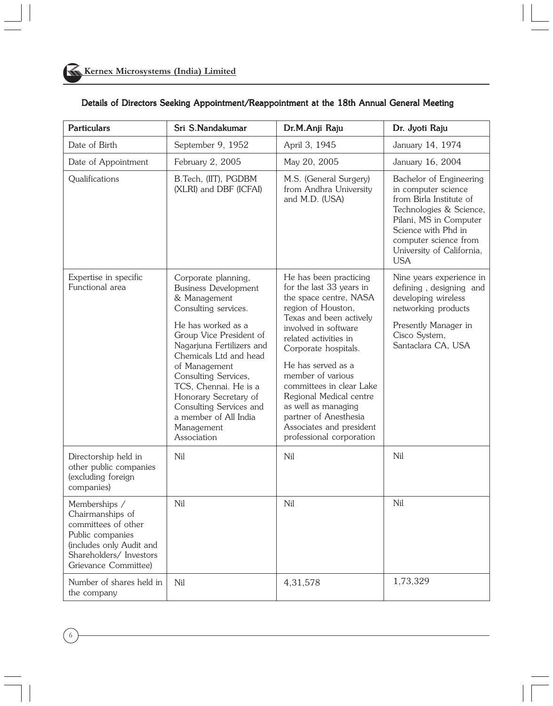| <b>Particulars</b>                                                                                                                                          | Sri S.Nandakumar                                                                                                                                                                                                                                                                                                                                                               | Dr.M.Anji Raju                                                                                                                                                                                                                                                                                                                                                                                                   | Dr. Jyoti Raju                                                                                                                                                                                                            |
|-------------------------------------------------------------------------------------------------------------------------------------------------------------|--------------------------------------------------------------------------------------------------------------------------------------------------------------------------------------------------------------------------------------------------------------------------------------------------------------------------------------------------------------------------------|------------------------------------------------------------------------------------------------------------------------------------------------------------------------------------------------------------------------------------------------------------------------------------------------------------------------------------------------------------------------------------------------------------------|---------------------------------------------------------------------------------------------------------------------------------------------------------------------------------------------------------------------------|
| Date of Birth                                                                                                                                               | September 9, 1952                                                                                                                                                                                                                                                                                                                                                              | April 3, 1945                                                                                                                                                                                                                                                                                                                                                                                                    | January 14, 1974                                                                                                                                                                                                          |
| Date of Appointment                                                                                                                                         | February 2, 2005                                                                                                                                                                                                                                                                                                                                                               | May 20, 2005                                                                                                                                                                                                                                                                                                                                                                                                     | January 16, 2004                                                                                                                                                                                                          |
| Qualifications                                                                                                                                              | B.Tech, (IIT), PGDBM<br>(XLRI) and DBF (ICFAI)                                                                                                                                                                                                                                                                                                                                 | M.S. (General Surgery)<br>from Andhra University<br>and M.D. (USA)                                                                                                                                                                                                                                                                                                                                               | Bachelor of Engineering<br>in computer science<br>from Birla Institute of<br>Technologies & Science,<br>Pilani, MS in Computer<br>Science with Phd in<br>computer science from<br>University of California,<br><b>USA</b> |
| Expertise in specific<br>Functional area                                                                                                                    | Corporate planning,<br><b>Business Development</b><br>& Management<br>Consulting services.<br>He has worked as a<br>Group Vice President of<br>Nagarjuna Fertilizers and<br>Chemicals Ltd and head<br>of Management<br>Consulting Services,<br>TCS, Chennai. He is a<br>Honorary Secretary of<br>Consulting Services and<br>a member of All India<br>Management<br>Association | He has been practicing<br>for the last 33 years in<br>the space centre, NASA<br>region of Houston,<br>Texas and been actively<br>involved in software<br>related activities in<br>Corporate hospitals.<br>He has served as a<br>member of various<br>committees in clear Lake<br>Regional Medical centre<br>as well as managing<br>partner of Anesthesia<br>Associates and president<br>professional corporation | Nine years experience in<br>defining, designing and<br>developing wireless<br>networking products<br>Presently Manager in<br>Cisco System,<br>Santaclara CA, USA                                                          |
| Directorship held in<br>other public companies<br>(excluding foreign<br>companies)                                                                          | Nil                                                                                                                                                                                                                                                                                                                                                                            | Nil                                                                                                                                                                                                                                                                                                                                                                                                              | Nil                                                                                                                                                                                                                       |
| Memberships /<br>Chairmanships of<br>committees of other<br>Public companies<br>(includes only Audit and<br>Shareholders/ Investors<br>Grievance Committee) | Nil                                                                                                                                                                                                                                                                                                                                                                            | Nil                                                                                                                                                                                                                                                                                                                                                                                                              | Nil                                                                                                                                                                                                                       |
| Number of shares held in<br>the company                                                                                                                     | Nil                                                                                                                                                                                                                                                                                                                                                                            | 4,31,578                                                                                                                                                                                                                                                                                                                                                                                                         | 1,73,329                                                                                                                                                                                                                  |

# Details of Directors Seeking Appointment/Reappointment at the 18th Annual General Meeting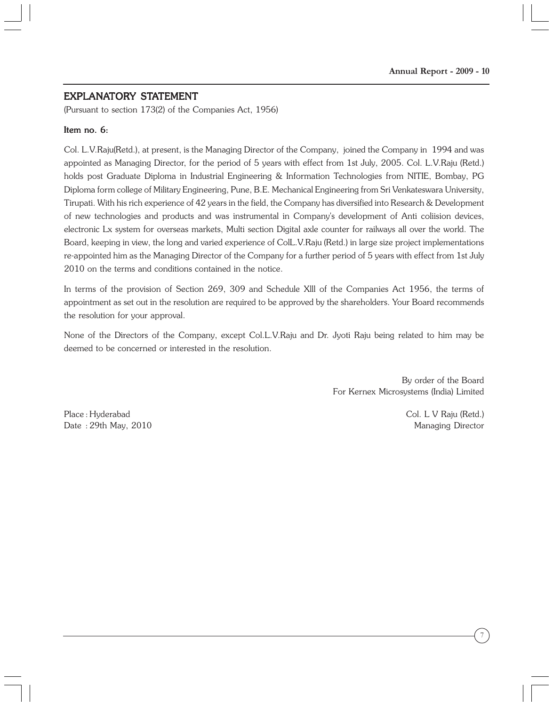## EXPLANATORY STATEMENT

(Pursuant to section 173(2) of the Companies Act, 1956)

#### Item no. 6:

Col. L.V.Raju(Retd.), at present, is the Managing Director of the Company, joined the Company in 1994 and was appointed as Managing Director, for the period of 5 years with effect from 1st July, 2005. Col. L.V.Raju (Retd.) holds post Graduate Diploma in Industrial Engineering & Information Technologies from NITIE, Bombay, PG Diploma form college of Military Engineering, Pune, B.E. Mechanical Engineering from Sri Venkateswara University, Tirupati. With his rich experience of 42 years in the field, the Company has diversified into Research & Development of new technologies and products and was instrumental in Company's development of Anti coliision devices, electronic Lx system for overseas markets, Multi section Digital axle counter for railways all over the world. The Board, keeping in view, the long and varied experience of ColL.V.Raju (Retd.) in large size project implementations re-appointed him as the Managing Director of the Company for a further period of 5 years with effect from 1st July 2010 on the terms and conditions contained in the notice.

In terms of the provision of Section 269, 309 and Schedule Xlll of the Companies Act 1956, the terms of appointment as set out in the resolution are required to be approved by the shareholders. Your Board recommends the resolution for your approval.

None of the Directors of the Company, except Col.L.V.Raju and Dr. Jyoti Raju being related to him may be deemed to be concerned or interested in the resolution.

> By order of the Board For Kernex Microsystems (India) Limited

Place : Hyderabad Col. L V Raju (Retd.) Date : 29th May, 2010 Managing Director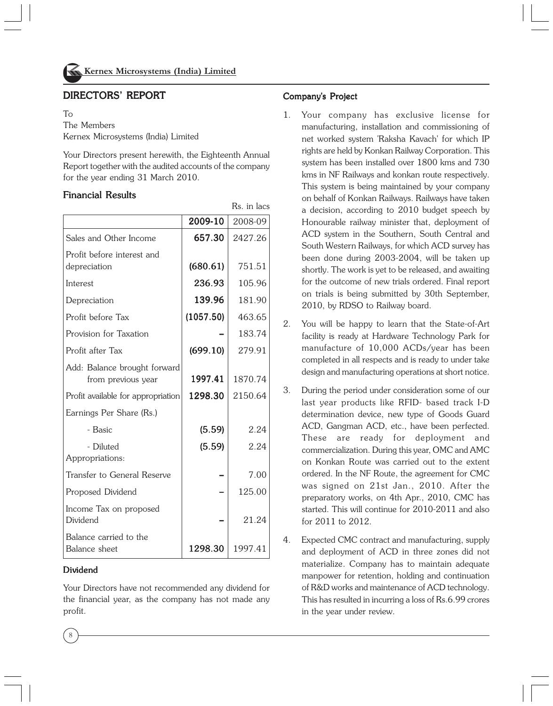

# DIRECTORS' REPORT

 $T_{\Omega}$ 

The Members Kernex Microsystems (India) Limited

Your Directors present herewith, the Eighteenth Annual Report together with the audited accounts of the company for the year ending 31 March 2010.

 $R_1$  in lacks in lacks in lacks in lacks in lacks in lacks in lacks in lacks in lacks in lacks in lacks in lacks in lacks in lacks in lacks in lacks in lacks in lacks in lacks in lacks in lacks in lacks in lacks in lacks

## Financial Results

|                                                    | 2009-10   | 2008-09 |
|----------------------------------------------------|-----------|---------|
| Sales and Other Income                             | 657.30    | 2427.26 |
| Profit before interest and<br>depreciation         | (680.61)  | 751.51  |
| Interest                                           | 236.93    | 105.96  |
| Depreciation                                       | 139.96    | 181.90  |
| Profit before Tax                                  | (1057.50) | 463.65  |
| Provision for Taxation                             |           | 183.74  |
| Profit after Tax                                   | (699.10)  | 279.91  |
| Add: Balance brought forward<br>from previous year | 1997.41   | 1870.74 |
| Profit available for appropriation                 | 1298.30   | 2150.64 |
| Earnings Per Share (Rs.)                           |           |         |
| - Basic                                            | (5.59)    | 2.24    |
| - Diluted<br>Appropriations:                       | (5.59)    | 2.24    |
| Transfer to General Reserve                        |           | 7.00    |
| Proposed Dividend                                  |           | 125.00  |
| Income Tax on proposed<br>Dividend                 |           | 21.24   |
| Balance carried to the<br>Balance sheet            | 1298.30   | 1997.41 |

## Dividend

8

Your Directors have not recommended any dividend for the financial year, as the company has not made any profit.

## Company's Project

- 1. Your company has exclusive license for manufacturing, installation and commissioning of net worked system 'Raksha Kavach' for which IP rights are held by Konkan Railway Corporation. This system has been installed over 1800 kms and 730 kms in NF Railways and konkan route respectively. This system is being maintained by your company on behalf of Konkan Railways. Railways have taken a decision, according to 2010 budget speech by Honourable railway minister that, deployment of ACD system in the Southern, South Central and South Western Railways, for which ACD survey has been done during 2003-2004, will be taken up shortly. The work is yet to be released, and awaiting for the outcome of new trials ordered. Final report on trials is being submitted by 30th September, 2010, by RDSO to Railway board.
- 2. You will be happy to learn that the State-of-Art facility is ready at Hardware Technology Park for manufacture of 10,000 ACDs/year has been completed in all respects and is ready to under take design and manufacturing operations at short notice.
- 3. During the period under consideration some of our last year products like RFID- based track I-D determination device, new type of Goods Guard ACD, Gangman ACD, etc., have been perfected. These are ready for deployment and commercialization. During this year, OMC and AMC on Konkan Route was carried out to the extent ordered. In the NF Route, the agreement for CMC was signed on 21st Jan., 2010. After the preparatory works, on 4th Apr., 2010, CMC has started. This will continue for 2010-2011 and also for 2011 to 2012.
- 4. Expected CMC contract and manufacturing, supply and deployment of ACD in three zones did not materialize. Company has to maintain adequate manpower for retention, holding and continuation of R&D works and maintenance of ACD technology. This has resulted in incurring a loss of Rs.6.99 crores in the year under review.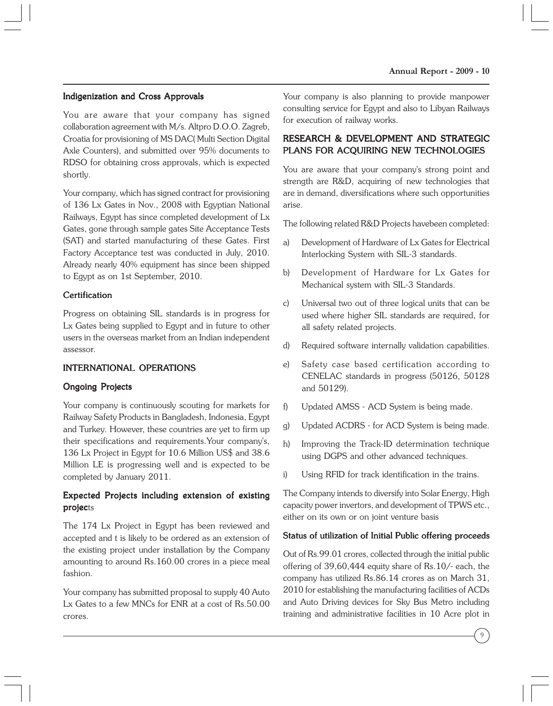## Indigenization and Cross Approvals

You are aware that your company has signed collaboration agreement with M/s. Altpro D.O.O. Zagreb, Croatia for provisioning of MS DAC( Multi Section Digital Axle Counters), and submitted over 95% documents to RDSO for obtaining cross approvals, which is expected shortly.

Your company, which has signed contract for provisioning of 136 Lx Gates in Nov., 2008 with Egyptian National Railways, Egypt has since completed development of Lx Gates, gone through sample gates Site Acceptance Tests (SAT) and started manufacturing of these Gates. First Factory Acceptance test was conducted in July, 2010. Already nearly 40% equipment has since been shipped to Egypt as on 1st September, 2010.

### **Certification**

Progress on obtaining SIL standards is in progress for Lx Gates being supplied to Egypt and in future to other users in the overseas market from an Indian independent assessor.

### INTERNATIONAL OPERATIONS

### Ongoing Projects

Your company is continuously scouting for markets for Railway Safety Products in Bangladesh, Indonesia, Egypt and Turkey. However, these countries are yet to firm up their specifications and requirements.Your company's, 136 Lx Project in Egypt for 10.6 Million US\$ and 38.6 Million LE is progressing well and is expected to be completed by January 2011.

## Expected Projects including extension of existing projects

The 174 Lx Project in Egypt has been reviewed and accepted and t is likely to be ordered as an extension of the existing project under installation by the Company amounting to around Rs.160.00 crores in a piece meal fashion.

Your company has submitted proposal to supply 40 Auto Lx Gates to a few MNCs for ENR at a cost of Rs.50.00 crores.

Your company is also planning to provide manpower consulting service for Egypt and also to Libyan Railways for execution of railway works.

## RESEARCH & DEVELOPMENT AND STRATEGIC PLANS FOR ACQUIRING NEW TECHNOLOGIES

You are aware that your company's strong point and strength are R&D, acquiring of new technologies that are in demand, diversifications where such opportunities arise.

The following related R&D Projects havebeen completed:

- a) Development of Hardware of Lx Gates for Electrical Interlocking System with SIL-3 standards.
- b) Development of Hardware for Lx Gates for Mechanical system with SIL-3 Standards.
- c) Universal two out of three logical units that can be used where higher SIL standards are required, for all safety related projects.
- d) Required software internally validation capabilities.
- e) Safety case based certification according to CENELAC standards in progress (50126, 50128 and 50129).
- f) Updated AMSS ACD System is being made.
- g) Updated ACDRS for ACD System is being made.
- h) Improving the Track-ID determination technique using DGPS and other advanced techniques.
- i) Using RFID for track identification in the trains.

The Company intends to diversify into Solar Energy, High capacity power invertors, and development of TPWS etc., either on its own or on joint venture basis

#### Status of utilization of Initial Public offering proceeds

Out of Rs.99.01 crores, collected through the initial public offering of 39,60,444 equity share of Rs.10/- each, the company has utilized Rs.86.14 crores as on March 31, 2010 for establishing the manufacturing facilities of ACDs and Auto Driving devices for Sky Bus Metro including training and administrative facilities in 10 Acre plot in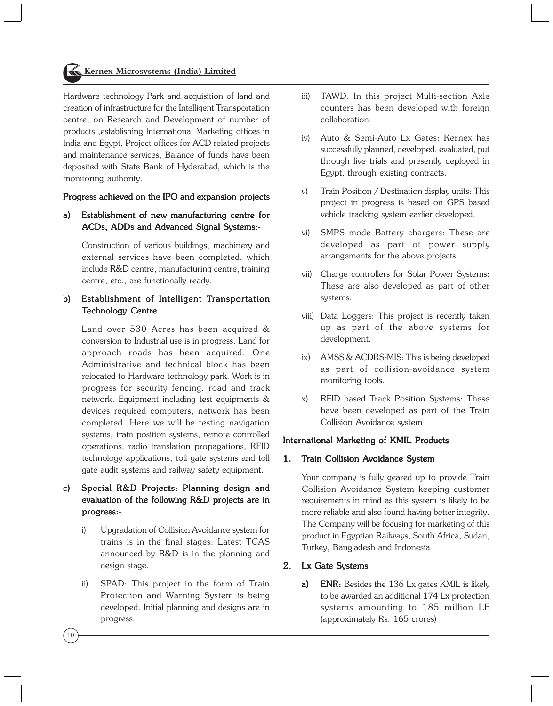Hardware technology Park and acquisition of land and creation of infrastructure for the Intelligent Transportation centre, on Research and Development of number of products ,establishing International Marketing offices in India and Egypt, Project offices for ACD related projects and maintenance services, Balance of funds have been deposited with State Bank of Hyderabad, which is the monitoring authority.

#### Progress achieved on the IPO and expansion projects

## a) Establishment of new manufacturing centre for ACDs, ADDs and Advanced Signal Systems:-

Construction of various buildings, machinery and external services have been completed, which include R&D centre, manufacturing centre, training centre, etc., are functionally ready.

## b) Establishment of Intelligent Transportation Technology Centre

Land over 530 Acres has been acquired & conversion to Industrial use is in progress. Land for approach roads has been acquired. One Administrative and technical block has been relocated to Hardware technology park. Work is in progress for security fencing, road and track network. Equipment including test equipments & devices required computers, network has been completed. Here we will be testing navigation systems, train position systems, remote controlled operations, radio translation propagations, RFID technology applications, toll gate systems and toll gate audit systems and railway safety equipment.

## c) Special R&D Projects: Planning design and evaluation of the following R&D projects are in progress:-

- i) Upgradation of Collision Avoidance system for trains is in the final stages. Latest TCAS announced by R&D is in the planning and design stage.
- ii) SPAD: This project in the form of Train Protection and Warning System is being developed. Initial planning and designs are in progress.
- iii) TAWD: In this project Multi-section Axle counters has been developed with foreign collaboration.
- iv) Auto & Semi-Auto Lx Gates: Kernex has successfully planned, developed, evaluated, put through live trials and presently deployed in Egypt, through existing contracts.
- v) Train Position / Destination display units: This project in progress is based on GPS based vehicle tracking system earlier developed.
- vi) SMPS mode Battery chargers: These are developed as part of power supply arrangements for the above projects.
- vii) Charge controllers for Solar Power Systems: These are also developed as part of other systems.
- viii) Data Loggers: This project is recently taken up as part of the above systems for development.
- ix) AMSS & ACDRS-MIS: This is being developed as part of collision-avoidance system monitoring tools.
- x) RFID based Track Position Systems: These have been developed as part of the Train Collision Avoidance system

# International Marketing of KMIL Products

# 1. Train Collision Avoidance System

Your company is fully geared up to provide Train Collision Avoidance System keeping customer requirements in mind as this system is likely to be more reliable and also found having better integrity. The Company will be focusing for marketing of this product in Egyptian Railways, South Africa, Sudan, Turkey, Bangladesh and Indonesia

# 2. Lx Gate Systems

a) ENR: Besides the 136 Lx gates KMIL is likely to be awarded an additional 174 Lx protection systems amounting to 185 million LE (approximately Rs. 165 crores)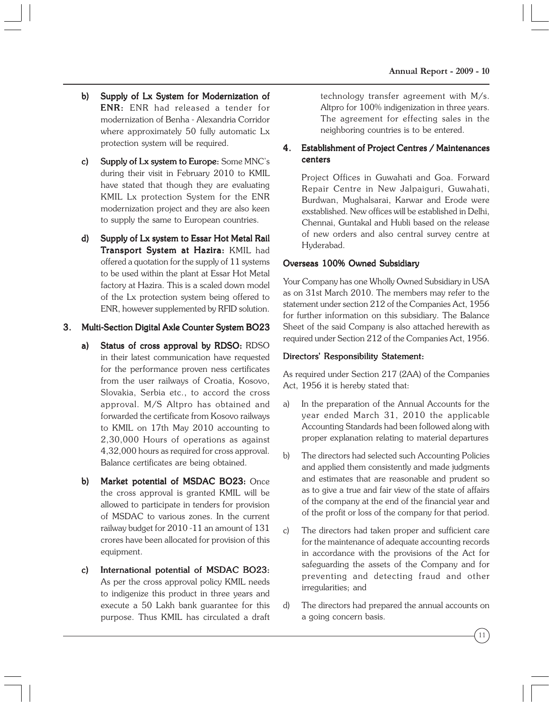- b) Supply of Lx System for Modernization of ENR: ENR had released a tender for modernization of Benha - Alexandria Corridor where approximately 50 fully automatic Lx protection system will be required.
- c) Supply of Lx system to Europe: Some MNC's during their visit in February 2010 to KMIL have stated that though they are evaluating KMIL Lx protection System for the ENR modernization project and they are also keen to supply the same to European countries.
- d) Supply of Lx system to Essar Hot Metal Rail Transport System at Hazira: KMIL had offered a quotation for the supply of 11 systems to be used within the plant at Essar Hot Metal factory at Hazira. This is a scaled down model of the Lx protection system being offered to ENR, however supplemented by RFID solution.

## 3. Multi-Section Digital Axle Counter System BO23

- a) Status of cross approval by RDSO: RDSO in their latest communication have requested for the performance proven ness certificates from the user railways of Croatia, Kosovo, Slovakia, Serbia etc., to accord the cross approval. M/S Altpro has obtained and forwarded the certificate from Kosovo railways to KMIL on 17th May 2010 accounting to 2,30,000 Hours of operations as against 4,32,000 hours as required for cross approval. Balance certificates are being obtained.
- b) Market potential of MSDAC BO23: Once the cross approval is granted KMIL will be allowed to participate in tenders for provision of MSDAC to various zones. In the current railway budget for 2010 -11 an amount of 131 crores have been allocated for provision of this equipment.
- c) International potential of MSDAC BO23: As per the cross approval policy KMIL needs to indigenize this product in three years and execute a 50 Lakh bank guarantee for this purpose. Thus KMIL has circulated a draft

technology transfer agreement with M/s. Altpro for 100% indigenization in three years. The agreement for effecting sales in the neighboring countries is to be entered.

## 4. Establishment of Project Centres / Maintenances centers

Project Offices in Guwahati and Goa. Forward Repair Centre in New Jalpaiguri, Guwahati, Burdwan, Mughalsarai, Karwar and Erode were exstablished. New offices will be established in Delhi, Chennai, Guntakal and Hubli based on the release of new orders and also central survey centre at Hyderabad.

## Overseas 100% Owned Subsidiary

Your Company has one Wholly Owned Subsidiary in USA as on 31st March 2010. The members may refer to the statement under section 212 of the Companies Act, 1956 for further information on this subsidiary. The Balance Sheet of the said Company is also attached herewith as required under Section 212 of the Companies Act, 1956.

## Directors' Responsibility Statement:

As required under Section 217 (2AA) of the Companies Act, 1956 it is hereby stated that:

- a) In the preparation of the Annual Accounts for the year ended March 31, 2010 the applicable Accounting Standards had been followed along with proper explanation relating to material departures
- b) The directors had selected such Accounting Policies and applied them consistently and made judgments and estimates that are reasonable and prudent so as to give a true and fair view of the state of affairs of the company at the end of the financial year and of the profit or loss of the company for that period.
- c) The directors had taken proper and sufficient care for the maintenance of adequate accounting records in accordance with the provisions of the Act for safeguarding the assets of the Company and for preventing and detecting fraud and other irregularities; and
- d) The directors had prepared the annual accounts on a going concern basis.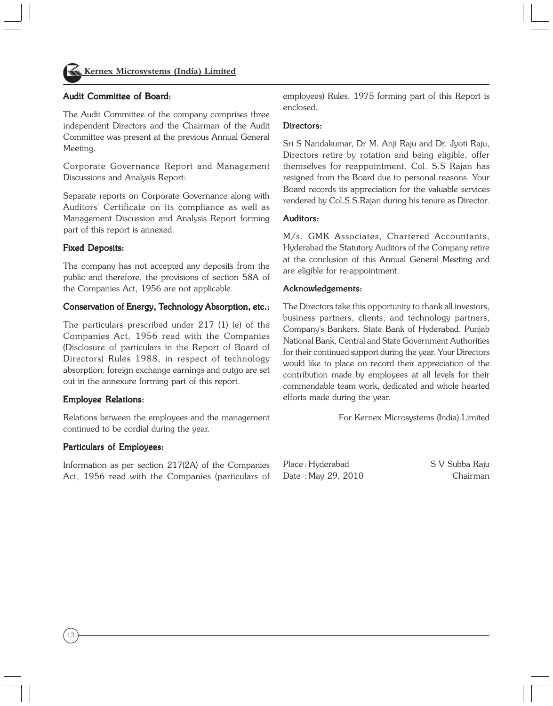

## Audit Committee of Board:

The Audit Committee of the company comprises three independent Directors and the Chairman of the Audit Committee was present at the previous Annual General Meeting.

Corporate Governance Report and Management Discussions and Analysis Report:

Separate reports on Corporate Governance along with Auditors' Certificate on its compliance as well as Management Discussion and Analysis Report forming part of this report is annexed.

#### Fixed Deposits:

The company has not accepted any deposits from the public and therefore, the provisions of section 58A of the Companies Act, 1956 are not applicable.

#### Conservation of Energy, Technology Absorption, etc.:

The particulars prescribed under 217 (1) (e) of the Companies Act, 1956 read with the Companies (Disclosure of particulars in the Report of Board of Directors) Rules 1988, in respect of technology absorption, foreign exchange earnings and outgo are set out in the annexure forming part of this report.

#### Employee Relations: Employee

Relations between the employees and the management continued to be cordial during the year.

### Particulars of Employees:

Information as per section 217(2A) of the Companies Act, 1956 read with the Companies (particulars of employees) Rules, 1975 forming part of this Report is enclosed.

#### Directors:

Sri S Nandakumar, Dr M. Anji Raju and Dr. Jvoti Raju, Directors retire by rotation and being eligible, offer themselves for reappointment. Col. S.S Rajan has resigned from the Board due to personal reasons. Your Board records its appreciation for the valuable services rendered by Col.S.S.Rajan during his tenure as Director.

#### Auditors:

M/s. GMK Associates, Chartered Accountants, Hyderabad the Statutory Auditors of the Company retire at the conclusion of this Annual General Meeting and are eligible for re-appointment.

#### Acknowledgements:

The Directors take this opportunity to thank all investors, business partners, clients, and technology partners, Company's Bankers, State Bank of Hyderabad, Punjab National Bank, Central and State Government Authorities for their continued support during the year. Your Directors would like to place on record their appreciation of the contribution made by employees at all levels for their commendable team work, dedicated and whole hearted efforts made during the year.

For Kernex Microsystems (India) Limited

Place : Hyderabad S V Subba Raju Date : May 29, 2010 Chairman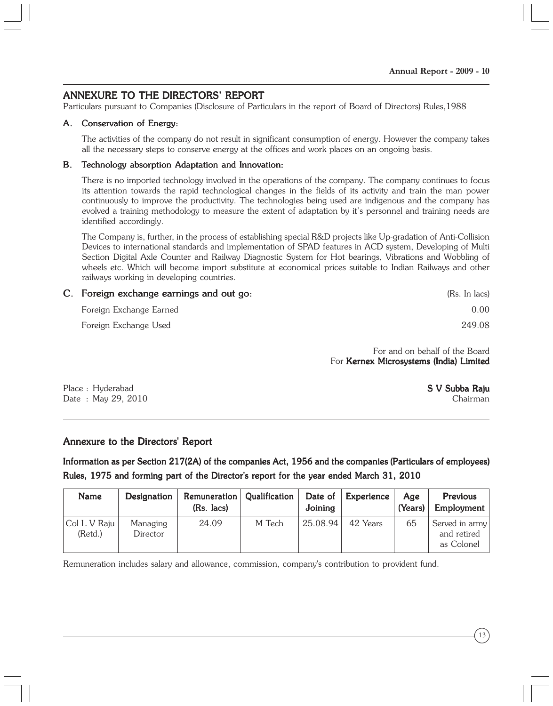# ANNEXURE TO THE DIRECTORS' REPORT

Particulars pursuant to Companies (Disclosure of Particulars in the report of Board of Directors) Rules,1988

### A. Conservation of Energy:

The activities of the company do not result in significant consumption of energy. However the company takes all the necessary steps to conserve energy at the offices and work places on an ongoing basis.

#### B. Technology absorption Adaptation and Innovation:

There is no imported technology involved in the operations of the company. The company continues to focus its attention towards the rapid technological changes in the fields of its activity and train the man power continuously to improve the productivity. The technologies being used are indigenous and the company has evolved a training methodology to measure the extent of adaptation by it's personnel and training needs are identified accordingly.

The Company is, further, in the process of establishing special R&D projects like Up-gradation of Anti-Collision Devices to international standards and implementation of SPAD features in ACD system, Developing of Multi Section Digital Axle Counter and Railway Diagnostic System for Hot bearings, Vibrations and Wobbling of wheels etc. Which will become import substitute at economical prices suitable to Indian Railways and other railways working in developing countries.

| C. Foreign exchange earnings and out go: | (Rs. In lacs) |
|------------------------------------------|---------------|
| Foreign Exchange Earned                  | 0.00          |
| Foreign Exchange Used                    | 249.08        |

For and on behalf of the Board For Kernex Microsystems (India) Limited

Place : Hyderabad **S V Subba Raju** Date : May 29, 2010 Chairman

## Annexure to the Directors' Report

Information as per Section  $217(2A)$  of the companies Act, 1956 and the companies (Particulars of employees) Rules, 1975 and forming part of the Director's report for the year ended March 31, 2010

| Name                      | Designation          | Remuneration<br>(Rs. lacs) | Qualification | Date of<br>Joining | Experience | Age<br>(Years) | <b>Previous</b><br>Employment               |
|---------------------------|----------------------|----------------------------|---------------|--------------------|------------|----------------|---------------------------------------------|
| Col L V Raju  <br>(Retd.) | Managing<br>Director | 24.09                      | M Tech        | 25.08.94           | 42 Years   | 65             | Served in army<br>and retired<br>as Colonel |

Remuneration includes salary and allowance, commission, company's contribution to provident fund.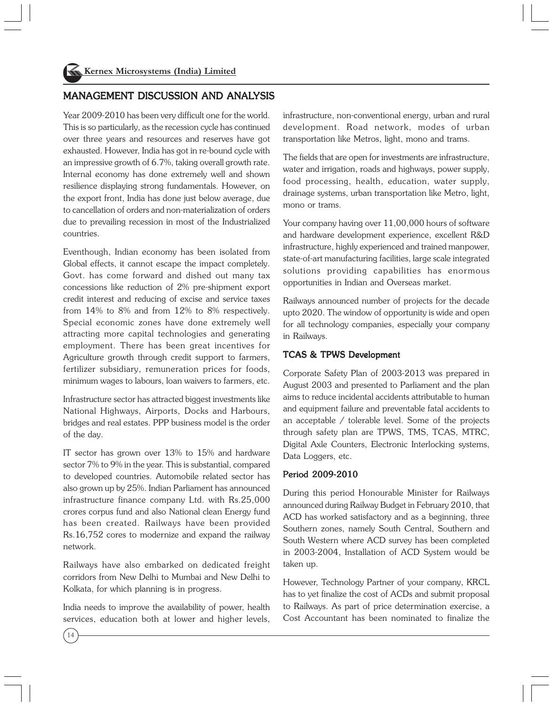# MANAGEMENT DISCUSSION AND ANALYSIS

Year 2009-2010 has been very difficult one for the world. This is so particularly, as the recession cycle has continued over three years and resources and reserves have got exhausted. However, India has got in re-bound cycle with an impressive growth of 6.7%, taking overall growth rate. Internal economy has done extremely well and shown resilience displaying strong fundamentals. However, on the export front, India has done just below average, due to cancellation of orders and non-materialization of orders due to prevailing recession in most of the Industrialized countries.

Eventhough, Indian economy has been isolated from Global effects, it cannot escape the impact completely. Govt. has come forward and dished out many tax concessions like reduction of 2% pre-shipment export credit interest and reducing of excise and service taxes from 14% to 8% and from 12% to 8% respectively. Special economic zones have done extremely well attracting more capital technologies and generating employment. There has been great incentives for Agriculture growth through credit support to farmers, fertilizer subsidiary, remuneration prices for foods, minimum wages to labours, loan waivers to farmers, etc.

Infrastructure sector has attracted biggest investments like National Highways, Airports, Docks and Harbours, bridges and real estates. PPP business model is the order of the day.

IT sector has grown over 13% to 15% and hardware sector 7% to 9% in the year. This is substantial, compared to developed countries. Automobile related sector has also grown up by 25%. Indian Parliament has announced infrastructure finance company Ltd. with Rs.25,000 crores corpus fund and also National clean Energy fund has been created. Railways have been provided Rs.16,752 cores to modernize and expand the railway network.

Railways have also embarked on dedicated freight corridors from New Delhi to Mumbai and New Delhi to Kolkata, for which planning is in progress.

India needs to improve the availability of power, health services, education both at lower and higher levels, infrastructure, non-conventional energy, urban and rural development. Road network, modes of urban transportation like Metros, light, mono and trams.

The fields that are open for investments are infrastructure, water and irrigation, roads and highways, power supply, food processing, health, education, water supply, drainage systems, urban transportation like Metro, light, mono or trams.

Your company having over 11,00,000 hours of software and hardware development experience, excellent R&D infrastructure, highly experienced and trained manpower, state-of-art manufacturing facilities, large scale integrated solutions providing capabilities has enormous opportunities in Indian and Overseas market.

Railways announced number of projects for the decade upto 2020. The window of opportunity is wide and open for all technology companies, especially your company in Railways.

### TCAS & TPWS Development

Corporate Safety Plan of 2003-2013 was prepared in August 2003 and presented to Parliament and the plan aims to reduce incidental accidents attributable to human and equipment failure and preventable fatal accidents to an acceptable / tolerable level. Some of the projects through safety plan are TPWS, TMS, TCAS, MTRC, Digital Axle Counters, Electronic Interlocking systems, Data Loggers, etc.

#### Period 2009-2010

During this period Honourable Minister for Railways announced during Railway Budget in February 2010, that ACD has worked satisfactory and as a beginning, three Southern zones, namely South Central, Southern and South Western where ACD survey has been completed in 2003-2004, Installation of ACD System would be taken up.

However, Technology Partner of your company, KRCL has to yet finalize the cost of ACDs and submit proposal to Railways. As part of price determination exercise, a Cost Accountant has been nominated to finalize the

14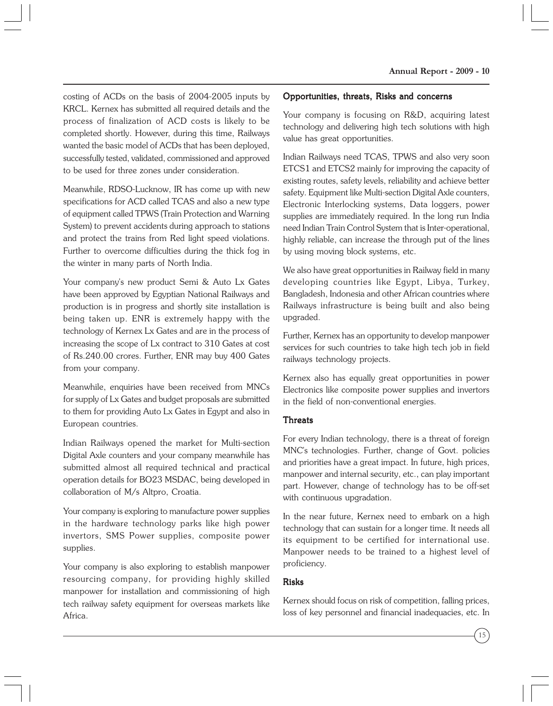costing of ACDs on the basis of 2004-2005 inputs by KRCL. Kernex has submitted all required details and the process of finalization of ACD costs is likely to be completed shortly. However, during this time, Railways wanted the basic model of ACDs that has been deployed, successfully tested, validated, commissioned and approved to be used for three zones under consideration.

Meanwhile, RDSO-Lucknow, IR has come up with new specifications for ACD called TCAS and also a new type of equipment called TPWS (Train Protection and Warning System) to prevent accidents during approach to stations and protect the trains from Red light speed violations. Further to overcome difficulties during the thick fog in the winter in many parts of North India.

Your company's new product Semi & Auto Lx Gates have been approved by Egyptian National Railways and production is in progress and shortly site installation is being taken up. ENR is extremely happy with the technology of Kernex Lx Gates and are in the process of increasing the scope of Lx contract to 310 Gates at cost of Rs.240.00 crores. Further, ENR may buy 400 Gates from your company.

Meanwhile, enquiries have been received from MNCs for supply of Lx Gates and budget proposals are submitted to them for providing Auto Lx Gates in Egypt and also in European countries.

Indian Railways opened the market for Multi-section Digital Axle counters and your company meanwhile has submitted almost all required technical and practical operation details for BO23 MSDAC, being developed in collaboration of M/s Altpro, Croatia.

Your company is exploring to manufacture power supplies in the hardware technology parks like high power invertors, SMS Power supplies, composite power supplies.

Your company is also exploring to establish manpower resourcing company, for providing highly skilled manpower for installation and commissioning of high tech railway safety equipment for overseas markets like Africa.

### Opportunities, threats, Risks and concerns

Your company is focusing on R&D, acquiring latest technology and delivering high tech solutions with high value has great opportunities.

Indian Railways need TCAS, TPWS and also very soon ETCS1 and ETCS2 mainly for improving the capacity of existing routes, safety levels, reliability and achieve better safety. Equipment like Multi-section Digital Axle counters, Electronic Interlocking systems, Data loggers, power supplies are immediately required. In the long run India need Indian Train Control System that is Inter-operational, highly reliable, can increase the through put of the lines by using moving block systems, etc.

We also have great opportunities in Railway field in many developing countries like Egypt, Libya, Turkey, Bangladesh, Indonesia and other African countries where Railways infrastructure is being built and also being upgraded.

Further, Kernex has an opportunity to develop manpower services for such countries to take high tech job in field railways technology projects.

Kernex also has equally great opportunities in power Electronics like composite power supplies and invertors in the field of non-conventional energies.

#### **Threats**

For every Indian technology, there is a threat of foreign MNC's technologies. Further, change of Govt. policies and priorities have a great impact. In future, high prices, manpower and internal security, etc., can play important part. However, change of technology has to be off-set with continuous upgradation.

In the near future, Kernex need to embark on a high technology that can sustain for a longer time. It needs all its equipment to be certified for international use. Manpower needs to be trained to a highest level of proficiency.

#### Risks

Kernex should focus on risk of competition, falling prices, loss of key personnel and financial inadequacies, etc. In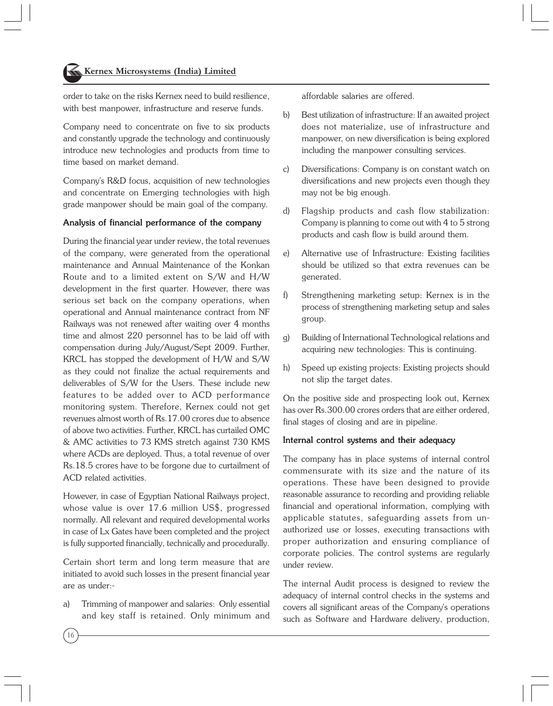order to take on the risks Kernex need to build resilience, with best manpower, infrastructure and reserve funds.

Company need to concentrate on five to six products and constantly upgrade the technology and continuously introduce new technologies and products from time to time based on market demand.

Company's R&D focus, acquisition of new technologies and concentrate on Emerging technologies with high grade manpower should be main goal of the company.

#### Analysis of financial performance of the company

During the financial year under review, the total revenues of the company, were generated from the operational maintenance and Annual Maintenance of the Konkan Route and to a limited extent on S/W and H/W development in the first quarter. However, there was serious set back on the company operations, when operational and Annual maintenance contract from NF Railways was not renewed after waiting over 4 months time and almost 220 personnel has to be laid off with compensation during July/August/Sept 2009. Further, KRCL has stopped the development of H/W and S/W as they could not finalize the actual requirements and deliverables of S/W for the Users. These include new features to be added over to ACD performance monitoring system. Therefore, Kernex could not get revenues almost worth of Rs.17.00 crores due to absence of above two activities. Further, KRCL has curtailed OMC & AMC activities to 73 KMS stretch against 730 KMS where ACDs are deployed. Thus, a total revenue of over Rs.18.5 crores have to be forgone due to curtailment of ACD related activities.

However, in case of Egyptian National Railways project, whose value is over 17.6 million US\$, progressed normally. All relevant and required developmental works in case of Lx Gates have been completed and the project is fully supported financially, technically and procedurally.

Certain short term and long term measure that are initiated to avoid such losses in the present financial year are as under:-

a) Trimming of manpower and salaries: Only essential and key staff is retained. Only minimum and affordable salaries are offered.

- b) Best utilization of infrastructure: If an awaited project does not materialize, use of infrastructure and manpower, on new diversification is being explored including the manpower consulting services.
- c) Diversifications: Company is on constant watch on diversifications and new projects even though they may not be big enough.
- d) Flagship products and cash flow stabilization: Company is planning to come out with 4 to 5 strong products and cash flow is build around them.
- e) Alternative use of Infrastructure: Existing facilities should be utilized so that extra revenues can be generated.
- f) Strengthening marketing setup: Kernex is in the process of strengthening marketing setup and sales group.
- g) Building of International Technological relations and acquiring new technologies: This is continuing.
- h) Speed up existing projects: Existing projects should not slip the target dates.

On the positive side and prospecting look out, Kernex has over Rs.300.00 crores orders that are either ordered, final stages of closing and are in pipeline.

#### Internal control systems and their adequacy

The company has in place systems of internal control commensurate with its size and the nature of its operations. These have been designed to provide reasonable assurance to recording and providing reliable financial and operational information, complying with applicable statutes, safeguarding assets from unauthorized use or losses, executing transactions with proper authorization and ensuring compliance of corporate policies. The control systems are regularly under review.

The internal Audit process is designed to review the adequacy of internal control checks in the systems and covers all significant areas of the Company's operations such as Software and Hardware delivery, production,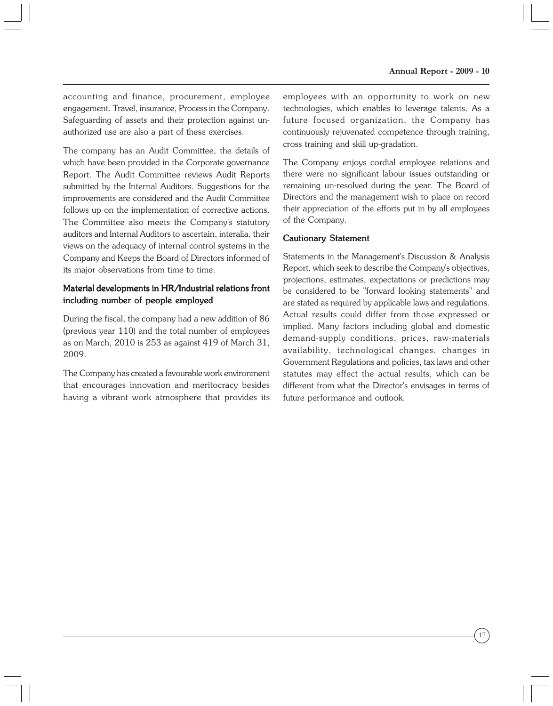accounting and finance, procurement, employee engagement. Travel, insurance, Process in the Company. Safeguarding of assets and their protection against unauthorized use are also a part of these exercises.

The company has an Audit Committee, the details of which have been provided in the Corporate governance Report. The Audit Committee reviews Audit Reports submitted by the Internal Auditors. Suggestions for the improvements are considered and the Audit Committee follows up on the implementation of corrective actions. The Committee also meets the Company's statutory auditors and Internal Auditors to ascertain, interalia, their views on the adequacy of internal control systems in the Company and Keeps the Board of Directors informed of its major observations from time to time.

## Material developments in HR/Industrial relations front including number of people employed

During the fiscal, the company had a new addition of 86 (previous year 110) and the total number of employees as on March, 2010 is 253 as against 419 of March 31, 2009.

The Company has created a favourable work environment that encourages innovation and meritocracy besides having a vibrant work atmosphere that provides its employees with an opportunity to work on new technologies, which enables to leverage talents. As a future focused organization, the Company has continuously rejuvenated competence through training, cross training and skill up-gradation.

The Company enjoys cordial employee relations and there were no significant labour issues outstanding or remaining un-resolved during the year. The Board of Directors and the management wish to place on record their appreciation of the efforts put in by all employees of the Company.

#### Cautionary Statement

Statements in the Management's Discussion & Analysis Report, which seek to describe the Company's objectives, projections, estimates, expectations or predictions may be considered to be "forward looking statements" and are stated as required by applicable laws and regulations. Actual results could differ from those expressed or implied. Many factors including global and domestic demand-supply conditions, prices, raw-materials availability, technological changes, changes in Government Regulations and policies, tax laws and other statutes may effect the actual results, which can be different from what the Director's envisages in terms of future performance and outlook.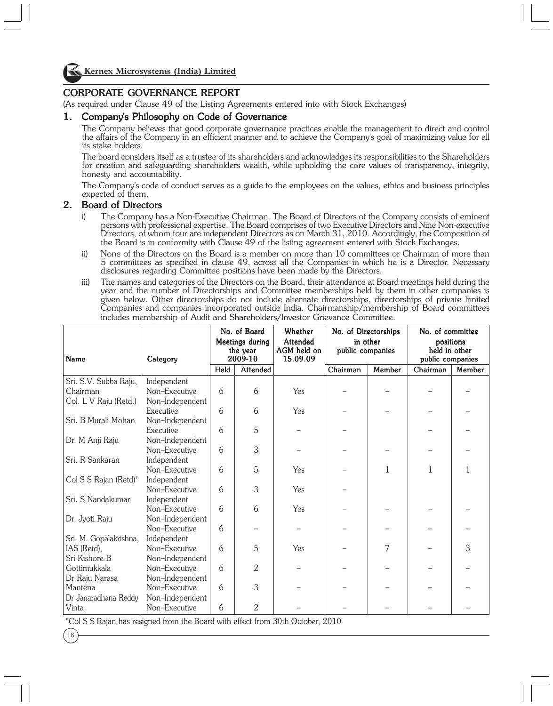

Kernex Microsystems (India) Limited

## CORPORATE GOVERNANCE REPORT

(As required under Clause 49 of the Listing Agreements entered into with Stock Exchanges)

## 1. Company's Philosophy on Code of Governance

The Company believes that good corporate governance practices enable the management to direct and control the affairs of the Company in an efficient manner and to achieve the Company's goal of maximizing value for all its stake holders.

The board considers itself as a trustee of its shareholders and acknowledges its responsibilities to the Shareholders for creation and safeguarding shareholders wealth, while upholding the core values of transparency, integrity, honesty and accountability.

The Company's code of conduct serves as a guide to the employees on the values, ethics and business principles expected of them.

### 2. Board of Directors

- i) The Company has a Non-Executive Chairman. The Board of Directors of the Company consists of eminent persons with professional expertise. The Board comprises of two Executive Directors and Nine Non-executive Directors, of whom four are independent Directors as on March 31, 2010. Accordingly, the Composition of the Board is in conformity with Clause 49 of the listing agreement entered with Stock Exchanges.
- ii) None of the Directors on the Board is a member on more than 10 committees or Chairman of more than 5 committees as specified in clause 49, across all the Companies in which he is a Director. Necessary disclosures regarding Committee positions have been made by the Directors.
- iii) The names and categories of the Directors on the Board, their attendance at Board meetings held during the year and the number of Directorships and Committee memberships held by them in other companies is given below. Other directorships do not include alternate directorships, directorships of private limited Companies and companies incorporated outside India. Chairmanship/membership of Board committees includes membership of Audit and Shareholders/Investor Grievance Committee.

|                        |                 | No. of Board |                                        | Whether                             |                              | No. of Directorships |                                                | No. of committee |  |
|------------------------|-----------------|--------------|----------------------------------------|-------------------------------------|------------------------------|----------------------|------------------------------------------------|------------------|--|
| Name                   | Category        |              | Meetings during<br>the year<br>2009-10 | Attended<br>AGM held on<br>15.09.09 | in other<br>public companies |                      | positions<br>held in other<br>public companies |                  |  |
|                        |                 | Held         | Attended                               |                                     | Chairman                     | Member               | Chairman                                       | Member           |  |
| Sri. S.V. Subba Raju,  | Independent     |              |                                        |                                     |                              |                      |                                                |                  |  |
| Chairman               | Non-Executive   | 6            | 6                                      | Yes                                 |                              |                      |                                                |                  |  |
| Col. L V Raju (Retd.)  | Non-Independent |              |                                        |                                     |                              |                      |                                                |                  |  |
|                        | Executive       | 6            | 6                                      | Yes                                 |                              |                      |                                                |                  |  |
| Sri. B Murali Mohan    | Non-Independent |              |                                        |                                     |                              |                      |                                                |                  |  |
|                        | Executive       | 6            | 5                                      |                                     |                              |                      |                                                |                  |  |
| Dr. M Anji Raju        | Non-Independent |              |                                        |                                     |                              |                      |                                                |                  |  |
|                        | Non-Executive   | 6            | 3                                      |                                     |                              |                      |                                                |                  |  |
| Sri. R Sankaran        | Independent     |              |                                        |                                     |                              |                      |                                                |                  |  |
|                        | Non-Executive   | 6            | 5                                      | Yes                                 |                              | $\mathbf{1}$         | 1                                              | 1                |  |
| Col S S Rajan (Retd)*  | Independent     |              |                                        |                                     |                              |                      |                                                |                  |  |
|                        | Non-Executive   | 6            | 3                                      | Yes                                 |                              |                      |                                                |                  |  |
| Sri. S Nandakumar      | Independent     |              |                                        |                                     |                              |                      |                                                |                  |  |
|                        | Non-Executive   | 6            | 6                                      | Yes                                 |                              |                      |                                                |                  |  |
| Dr. Jyoti Raju         | Non-Independent |              |                                        |                                     |                              |                      |                                                |                  |  |
|                        | Non-Executive   | 6            |                                        |                                     |                              |                      |                                                |                  |  |
| Sri. M. Gopalakrishna, | Independent     |              |                                        |                                     |                              |                      |                                                |                  |  |
| IAS (Retd),            | Non-Executive   | 6            | 5                                      | Yes                                 |                              | 7                    |                                                | 3                |  |
| Sri Kishore B          | Non-Independent |              |                                        |                                     |                              |                      |                                                |                  |  |
| Gottimukkala           | Non-Executive   | 6            | 2                                      |                                     |                              |                      |                                                |                  |  |
| Dr Raju Narasa         | Non-Independent |              |                                        |                                     |                              |                      |                                                |                  |  |
| Mantena                | Non-Executive   | 6            | 3                                      |                                     |                              |                      |                                                |                  |  |
| Dr Janaradhana Reddy   | Non-Independent |              |                                        |                                     |                              |                      |                                                |                  |  |
| Vinta.                 | Non-Executive   | 6            | $\overline{2}$                         |                                     |                              |                      |                                                |                  |  |

\*Col S S Rajan has resigned from the Board with effect from 30th October, 2010

18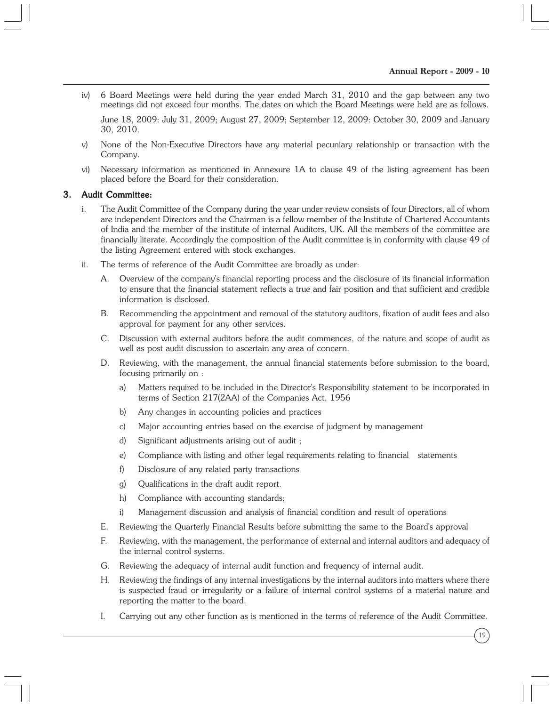iv) 6 Board Meetings were held during the year ended March 31, 2010 and the gap between any two meetings did not exceed four months. The dates on which the Board Meetings were held are as follows.

June 18, 2009: July 31, 2009; August 27, 2009; September 12, 2009: October 30, 2009 and January 30, 2010.

- v) None of the Non-Executive Directors have any material pecuniary relationship or transaction with the Company.
- vi) Necessary information as mentioned in Annexure 1A to clause 49 of the listing agreement has been placed before the Board for their consideration.

#### 3. Audit Committee:

- i. The Audit Committee of the Company during the year under review consists of four Directors, all of whom are independent Directors and the Chairman is a fellow member of the Institute of Chartered Accountants of India and the member of the institute of internal Auditors, UK. All the members of the committee are financially literate. Accordingly the composition of the Audit committee is in conformity with clause 49 of the listing Agreement entered with stock exchanges.
- ii. The terms of reference of the Audit Committee are broadly as under:
	- A. Overview of the company's financial reporting process and the disclosure of its financial information to ensure that the financial statement reflects a true and fair position and that sufficient and credible information is disclosed.
	- B. Recommending the appointment and removal of the statutory auditors, fixation of audit fees and also approval for payment for any other services.
	- C. Discussion with external auditors before the audit commences, of the nature and scope of audit as well as post audit discussion to ascertain any area of concern.
	- D. Reviewing, with the management, the annual financial statements before submission to the board, focusing primarily on :
		- a) Matters required to be included in the Director's Responsibility statement to be incorporated in terms of Section 217(2AA) of the Companies Act, 1956
		- b) Any changes in accounting policies and practices
		- c) Major accounting entries based on the exercise of judgment by management
		- d) Significant adjustments arising out of audit ;
		- e) Compliance with listing and other legal requirements relating to financial statements
		- f) Disclosure of any related party transactions
		- g) Qualifications in the draft audit report.
		- h) Compliance with accounting standards;
		- i) Management discussion and analysis of financial condition and result of operations
	- E. Reviewing the Quarterly Financial Results before submitting the same to the Board's approval
	- F. Reviewing, with the management, the performance of external and internal auditors and adequacy of the internal control systems.
	- G. Reviewing the adequacy of internal audit function and frequency of internal audit.
	- H. Reviewing the findings of any internal investigations by the internal auditors into matters where there is suspected fraud or irregularity or a failure of internal control systems of a material nature and reporting the matter to the board.
	- I. Carrying out any other function as is mentioned in the terms of reference of the Audit Committee.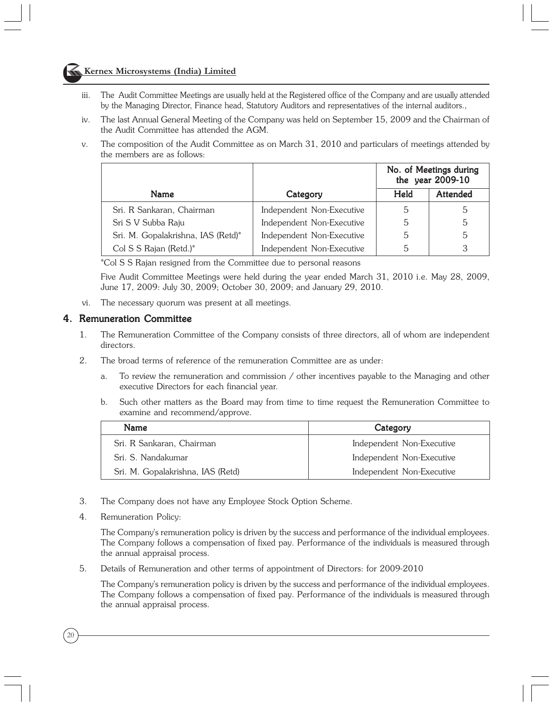## Kernex Microsystems (India) Limited

- iii. The Audit Committee Meetings are usually held at the Registered office of the Company and are usually attended by the Managing Director, Finance head, Statutory Auditors and representatives of the internal auditors.,
- iv. The last Annual General Meeting of the Company was held on September 15, 2009 and the Chairman of the Audit Committee has attended the AGM.
- v. The composition of the Audit Committee as on March 31, 2010 and particulars of meetings attended by the members are as follows:

|                                    |                           | No. of Meetings during<br>the year 2009-10 |                 |
|------------------------------------|---------------------------|--------------------------------------------|-----------------|
| Name                               | Category                  | Held                                       | <b>Attended</b> |
| Sri. R Sankaran, Chairman          | Independent Non-Executive | 5                                          | 5               |
| Sri S V Subba Raju                 | Independent Non-Executive | 5                                          | 5               |
| Sri. M. Gopalakrishna, IAS (Retd)* | Independent Non-Executive | 5                                          | 5               |
| Col S S Rajan (Retd.)*             | Independent Non-Executive | b.                                         | 3               |

\*Col S S Rajan resigned from the Committee due to personal reasons

Five Audit Committee Meetings were held during the year ended March 31, 2010 i.e. May 28, 2009, June 17, 2009: July 30, 2009; October 30, 2009; and January 29, 2010.

vi. The necessary quorum was present at all meetings.

#### 4. Remuneration Committee

- 1. The Remuneration Committee of the Company consists of three directors, all of whom are independent directors.
- 2. The broad terms of reference of the remuneration Committee are as under:
	- a. To review the remuneration and commission / other incentives payable to the Managing and other executive Directors for each financial year.
	- b. Such other matters as the Board may from time to time request the Remuneration Committee to examine and recommend/approve.

| <b>Name</b>                       | Category                  |
|-----------------------------------|---------------------------|
| Sri. R Sankaran, Chairman         | Independent Non-Executive |
| Sri, S. Nandakumar                | Independent Non-Executive |
| Sri. M. Gopalakrishna, IAS (Retd) | Independent Non-Executive |

- 3. The Company does not have any Employee Stock Option Scheme.
- 4. Remuneration Policy:

20

The Company's remuneration policy is driven by the success and performance of the individual employees. The Company follows a compensation of fixed pay. Performance of the individuals is measured through the annual appraisal process.

5. Details of Remuneration and other terms of appointment of Directors: for 2009-2010

The Company's remuneration policy is driven by the success and performance of the individual employees. The Company follows a compensation of fixed pay. Performance of the individuals is measured through the annual appraisal process.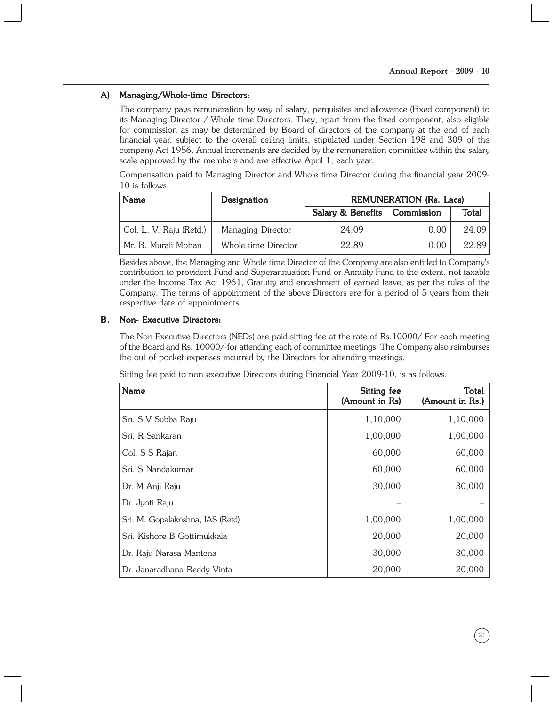### A) Managing/Whole-time Directors:

The company pays remuneration by way of salary, perquisites and allowance (Fixed component) to its Managing Director / Whole time Directors. They, apart from the fixed component, also eligible for commission as may be determined by Board of directors of the company at the end of each financial year, subject to the overall ceiling limits, stipulated under Section 198 and 309 of the company Act 1956. Annual increments are decided by the remuneration committee within the salary scale approved by the members and are effective April 1, each year.

Compensation paid to Managing Director and Whole time Director during the financial year 2009- 10 is follows.

| <b>Name</b>                          | Designation         | <b>REMUNERATION (Rs. Lacs)</b> |                   |       |  |
|--------------------------------------|---------------------|--------------------------------|-------------------|-------|--|
|                                      |                     | Salary & Benefits              | <b>Commission</b> | Total |  |
| <sup>1</sup> Col. L. V. Raju (Retd.) | Managing Director   | 24.09                          | 0.00              | 24.09 |  |
| Mr. B. Murali Mohan                  | Whole time Director | 22.89                          | 0.00              | 22.89 |  |

Besides above, the Managing and Whole time Director of the Company are also entitled to Company's contribution to provident Fund and Superannuation Fund or Annuity Fund to the extent, not taxable under the Income Tax Act 1961, Gratuity and encashment of earned leave, as per the rules of the Company. The terms of appointment of the above Directors are for a period of 5 years from their respective date of appointments.

#### B. Non- Executive Directors:

The Non-Executive Directors (NEDs) are paid sitting fee at the rate of Rs.10000/-For each meeting of the Board and Rs. 10000/-for attending each of committee meetings. The Company also reimburses the out of pocket expenses incurred by the Directors for attending meetings.

Sitting fee paid to non executive Directors during Financial Year 2009-10, is as follows.

| Name                              | Sitting fee<br>(Amount in Rs) | Total<br>(Amount in Rs.) |
|-----------------------------------|-------------------------------|--------------------------|
| Sri. S V Subba Raju               | 1,10,000                      | 1,10,000                 |
| Sri. R Sankaran                   | 1,00,000                      | 1,00,000                 |
| Col. S S Rajan                    | 60,000                        | 60,000                   |
| Sri. S Nandakumar                 | 60,000                        | 60,000                   |
| Dr. M Anji Raju                   | 30,000                        | 30,000                   |
| Dr. Jyoti Raju                    |                               |                          |
| Sri. M. Gopalakrishna, IAS (Retd) | 1,00,000                      | 1,00,000                 |
| Sri. Kishore B Gottimukkala       | 20,000                        | 20,000                   |
| Dr. Raju Narasa Mantena           | 30,000                        | 30,000                   |
| Dr. Janaradhana Reddy Vinta       | 20,000                        | 20,000                   |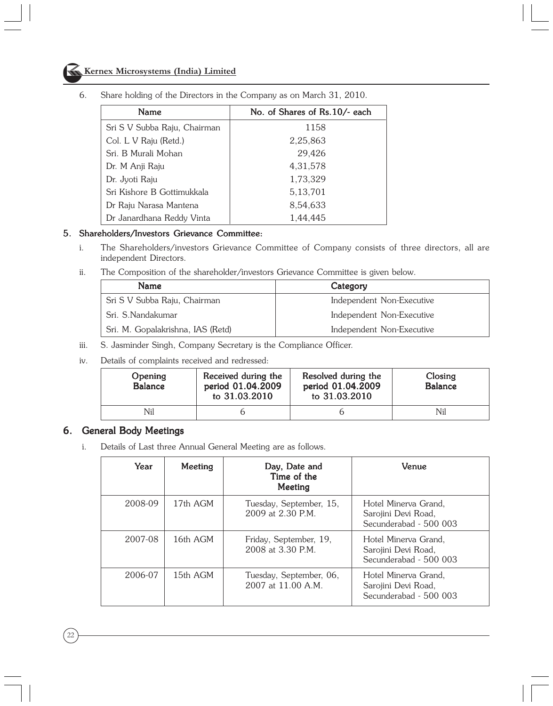# **Kernex Microsystems (India) Limited**

| Name                         | No. of Shares of Rs.10/- each |
|------------------------------|-------------------------------|
| Sri S V Subba Raju, Chairman | 1158                          |
| Col. L V Raju (Retd.)        | 2,25,863                      |
| Sri. B Murali Mohan          | 29,426                        |
| Dr. M Anji Raju              | 4,31,578                      |
| Dr. Jyoti Raju               | 1,73,329                      |
| Sri Kishore B Gottimukkala   | 5, 13, 701                    |
| Dr Raju Narasa Mantena       | 8,54,633                      |
| Dr Janardhana Reddy Vinta    | 1,44,445                      |

6. Share holding of the Directors in the Company as on March 31, 2010.

#### 5. Shareholders/Investors Grievance Committee:

- i. The Shareholders/investors Grievance Committee of Company consists of three directors, all are independent Directors.
- ii. The Composition of the shareholder/investors Grievance Committee is given below.

| <b>Name</b>                       | Category                  |
|-----------------------------------|---------------------------|
| Sri S V Subba Raju, Chairman      | Independent Non-Executive |
| Sri, S.Nandakumar                 | Independent Non-Executive |
| Sri. M. Gopalakrishna, IAS (Retd) | Independent Non-Executive |

- iii. S. Jasminder Singh, Company Secretary is the Compliance Officer.
- iv. Details of complaints received and redressed:

| Opening<br><b>Balance</b> | Received during the<br>period 01.04.2009<br>to 31.03.2010 | Resolved during the<br>period 01.04.2009<br>to 31.03.2010 | Closing<br><b>Balance</b> |
|---------------------------|-----------------------------------------------------------|-----------------------------------------------------------|---------------------------|
| Nil                       |                                                           |                                                           | Nil                       |

### 6. General Body Meetings

i. Details of Last three Annual General Meeting are as follows.

| Year    | Meeting  | Day, Date and<br>Time of the<br>Meeting          | Venue                                                                 |
|---------|----------|--------------------------------------------------|-----------------------------------------------------------------------|
| 2008-09 | 17th AGM | Tuesday, September, 15,<br>$2009$ at $2.30$ P.M. | Hotel Minerva Grand,<br>Sarojini Devi Road,<br>Secunderabad - 500 003 |
| 2007-08 | 16th AGM | Friday, September, 19,<br>2008 at 3.30 P.M.      | Hotel Minerva Grand,<br>Sarojini Devi Road,<br>Secunderabad - 500 003 |
| 2006-07 | 15th AGM | Tuesday, September, 06,<br>2007 at 11.00 A.M.    | Hotel Minerva Grand,<br>Sarojini Devi Road,<br>Secunderabad - 500 003 |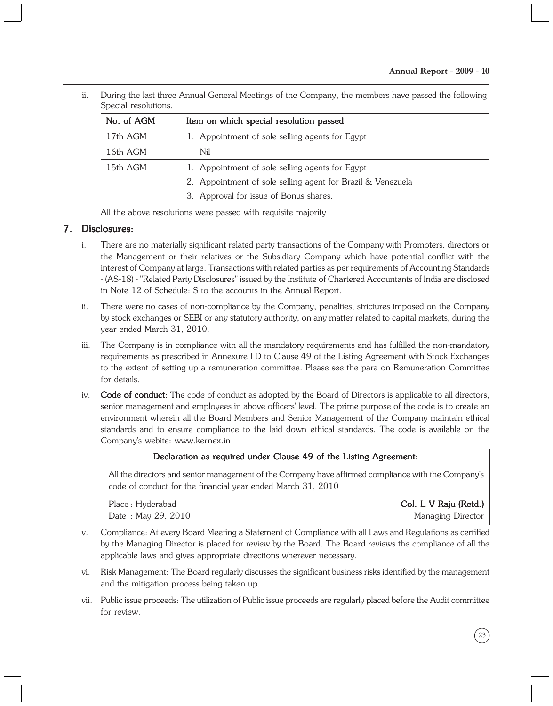ii. During the last three Annual General Meetings of the Company, the members have passed the following Special resolutions.

| No. of AGM | Item on which special resolution passed                     |  |  |
|------------|-------------------------------------------------------------|--|--|
| 17th AGM   | 1. Appointment of sole selling agents for Egypt             |  |  |
| 16th AGM   | Nil                                                         |  |  |
| 15th AGM   | 1. Appointment of sole selling agents for Egypt             |  |  |
|            | 2. Appointment of sole selling agent for Brazil & Venezuela |  |  |
|            | 3. Approval for issue of Bonus shares.                      |  |  |

All the above resolutions were passed with requisite majority

## 7. Disclosures:

- i. There are no materially significant related party transactions of the Company with Promoters, directors or the Management or their relatives or the Subsidiary Company which have potential conflict with the interest of Company at large. Transactions with related parties as per requirements of Accounting Standards - (AS-18) - "Related Party Disclosures" issued by the Institute of Chartered Accountants of India are disclosed in Note 12 of Schedule: S to the accounts in the Annual Report.
- ii. There were no cases of non-compliance by the Company, penalties, strictures imposed on the Company by stock exchanges or SEBI or any statutory authority, on any matter related to capital markets, during the year ended March 31, 2010.
- iii. The Company is in compliance with all the mandatory requirements and has fulfilled the non-mandatory requirements as prescribed in Annexure I D to Clause 49 of the Listing Agreement with Stock Exchanges to the extent of setting up a remuneration committee. Please see the para on Remuneration Committee for details.
- iv. Code of conduct: The code of conduct as adopted by the Board of Directors is applicable to all directors, senior management and employees in above officers' level. The prime purpose of the code is to create an environment wherein all the Board Members and Senior Management of the Company maintain ethical standards and to ensure compliance to the laid down ethical standards. The code is available on the Company's webite: www.kernex.in

### Declaration as required under Clause 49 of the Listing Agreement:

All the directors and senior management of the Company have affirmed compliance with the Company's code of conduct for the financial year ended March 31, 2010

Date : May 29, 2010 Managing Director

Place : Hyderabad **Col. L V Raju (Retd.) Col. L V Raju (Retd.)** 

- v. Compliance: At every Board Meeting a Statement of Compliance with all Laws and Regulations as certified by the Managing Director is placed for review by the Board. The Board reviews the compliance of all the applicable laws and gives appropriate directions wherever necessary.
- vi. Risk Management: The Board regularly discusses the significant business risks identified by the management and the mitigation process being taken up.
- vii. Public issue proceeds: The utilization of Public issue proceeds are regularly placed before the Audit committee for review.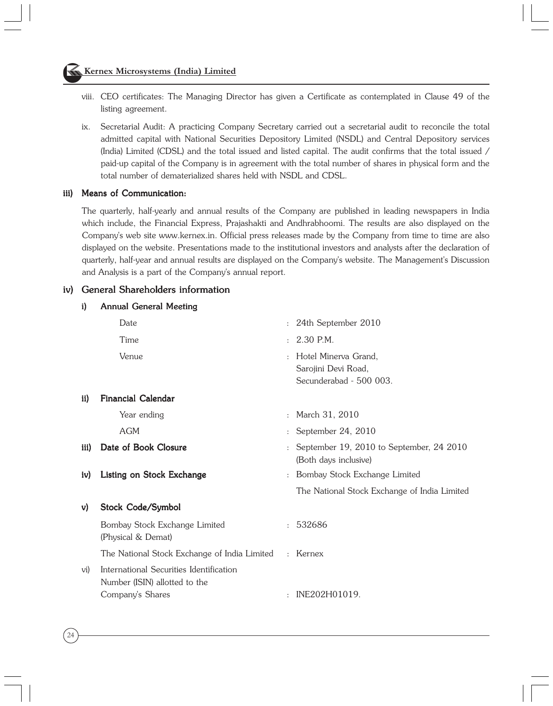## Kernex Microsystems (India) Limited

- viii. CEO certificates: The Managing Director has given a Certificate as contemplated in Clause 49 of the listing agreement.
- ix. Secretarial Audit: A practicing Company Secretary carried out a secretarial audit to reconcile the total admitted capital with National Securities Depository Limited (NSDL) and Central Depository services (India) Limited (CDSL) and the total issued and listed capital. The audit confirms that the total issued / paid-up capital of the Company is in agreement with the total number of shares in physical form and the total number of dematerialized shares held with NSDL and CDSL.

## iii) Means of Communication:

24

The quarterly, half-yearly and annual results of the Company are published in leading newspapers in India which include, the Financial Express, Prajashakti and Andhrabhoomi. The results are also displayed on the Company's web site www.kernex.in. Official press releases made by the Company from time to time are also displayed on the website. Presentations made to the institutional investors and analysts after the declaration of quarterly, half-year and annual results are displayed on the Company's website. The Management's Discussion and Analysis is a part of the Company's annual report.

### iv) General Shareholders information

i) Annual General Meeting

|      | Date                                                                                         |              | 24th September 2010                                                      |
|------|----------------------------------------------------------------------------------------------|--------------|--------------------------------------------------------------------------|
|      | Time                                                                                         |              | 2.30 P.M.                                                                |
|      | Venue                                                                                        |              | : Hotel Minerva Grand.<br>Sarojini Devi Road,<br>Secunderabad - 500 003. |
| ii)  | <b>Financial Calendar</b>                                                                    |              |                                                                          |
|      | Year ending                                                                                  | $\mathbf{r}$ | March 31, 2010                                                           |
|      | <b>AGM</b>                                                                                   |              | September 24, 2010                                                       |
| iii) | Date of Book Closure                                                                         |              | September 19, 2010 to September, 24 2010<br>(Both days inclusive)        |
| iv)  | Listing on Stock Exchange                                                                    |              | : Bombay Stock Exchange Limited                                          |
|      |                                                                                              |              | The National Stock Exchange of India Limited                             |
| v)   | Stock Code/Symbol                                                                            |              |                                                                          |
|      | Bombay Stock Exchange Limited<br>(Physical & Demat)                                          |              | : 532686                                                                 |
|      | The National Stock Exchange of India Limited                                                 |              | : Kernex                                                                 |
| vi)  | International Securities Identification<br>Number (ISIN) allotted to the<br>Company's Shares |              | INE202H01019.                                                            |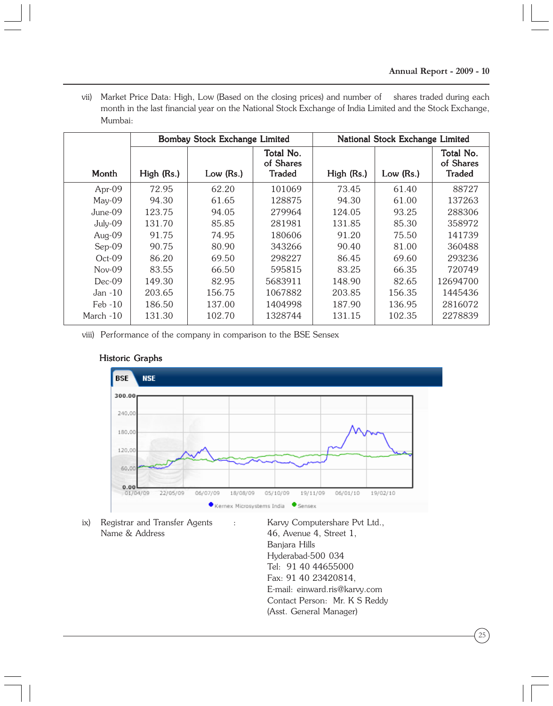vii) Market Price Data: High, Low (Based on the closing prices) and number of shares traded during each month in the last financial year on the National Stock Exchange of India Limited and the Stock Exchange, Mumbai:

|            | Bombay Stock Exchange Limited |           |                                         | National Stock Exchange Limited |           |                                         |
|------------|-------------------------------|-----------|-----------------------------------------|---------------------------------|-----------|-----------------------------------------|
| Month      | High (Rs.)                    | Low (Rs.) | Total No.<br>of Shares<br><b>Traded</b> | High (Rs.)                      | Low (Rs.) | Total No.<br>of Shares<br><b>Traded</b> |
| Apr- $09$  | 72.95                         | 62.20     | 101069                                  | 73.45                           | 61.40     | 88727                                   |
| $May-09$   | 94.30                         | 61.65     | 128875                                  | 94.30                           | 61.00     | 137263                                  |
| $June-09$  | 123.75                        | 94.05     | 279964                                  | 124.05                          | 93.25     | 288306                                  |
| July-09    | 131.70                        | 85.85     | 281981                                  | 131.85                          | 85.30     | 358972                                  |
| Aug-09     | 91.75                         | 74.95     | 180606                                  | 91.20                           | 75.50     | 141739                                  |
| $Sep-09$   | 90.75                         | 80.90     | 343266                                  | 90.40                           | 81.00     | 360488                                  |
| $Oct-09$   | 86.20                         | 69.50     | 298227                                  | 86.45                           | 69.60     | 293236                                  |
| $Nov-09$   | 83.55                         | 66.50     | 595815                                  | 83.25                           | 66.35     | 720749                                  |
| $Dec-09$   | 149.30                        | 82.95     | 5683911                                 | 148.90                          | 82.65     | 12694700                                |
| Jan -10    | 203.65                        | 156.75    | 1067882                                 | 203.85                          | 156.35    | 1445436                                 |
| $Feb - 10$ | 186.50                        | 137.00    | 1404998                                 | 187.90                          | 136.95    | 2816072                                 |
| March -10  | 131.30                        | 102.70    | 1328744                                 | 131.15                          | 102.35    | 2278839                                 |

viii) Performance of the company in comparison to the BSE Sensex



## Historic Graphs

ix) Registrar and Transfer Agents : Karvy Computershare Pvt Ltd., Name & Address 46, Avenue 4, Street 1,

Banjara Hills Hyderabad-500 034 Tel: 91 40 44655000 Fax: 91 40 23420814, E-mail: einward.ris@karvy.com Contact Person: Mr. K S Reddy (Asst. General Manager)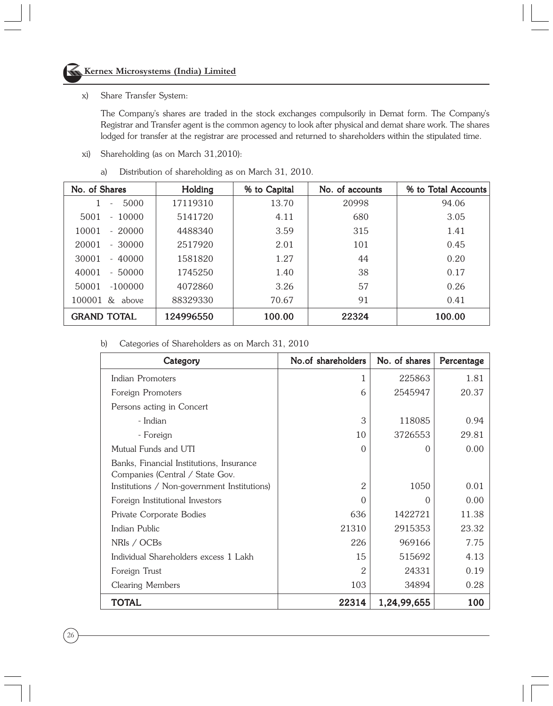#### x) Share Transfer System:

The Company's shares are traded in the stock exchanges compulsorily in Demat form. The Company's Registrar and Transfer agent is the common agency to look after physical and demat share work. The shares lodged for transfer at the registrar are processed and returned to shareholders within the stipulated time.

- xi) Shareholding (as on March 31,2010):
	- a) Distribution of shareholding as on March 31, 2010.

| No. of Shares                    | Holding   | % to Capital | No. of accounts | % to Total Accounts |
|----------------------------------|-----------|--------------|-----------------|---------------------|
| 5000<br>$\overline{\phantom{0}}$ | 17119310  | 13.70        | 20998           | 94.06               |
| 5001<br>$-10000$                 | 5141720   | 4.11         | 680             | 3.05                |
| 10001<br>$-20000$                | 4488340   | 3.59         | 315             | 1.41                |
| 20001<br>$-30000$                | 2517920   | 2.01         | 101             | 0.45                |
| 30001<br>$-40000$                | 1581820   | 1.27         | 44              | 0.20                |
| 40001<br>$-50000$                | 1745250   | 1.40         | 38              | 0.17                |
| 50001<br>$-100000$               | 4072860   | 3.26         | 57              | 0.26                |
| $100001 \&$ above                | 88329330  | 70.67        | 91              | 0.41                |
| <b>GRAND TOTAL</b>               | 124996550 | 100.00       | 22324           | 100.00              |

b) Categories of Shareholders as on March 31, 2010

| Category                                                                    | No.of shareholders | No. of shares | Percentage |
|-----------------------------------------------------------------------------|--------------------|---------------|------------|
| Indian Promoters                                                            | 1                  | 225863        | 1.81       |
| Foreign Promoters                                                           | 6                  | 2545947       | 20.37      |
| Persons acting in Concert                                                   |                    |               |            |
| - Indian                                                                    | 3                  | 118085        | 0.94       |
| - Foreign                                                                   | 10                 | 3726553       | 29.81      |
| Mutual Funds and UTI                                                        | $\Omega$           | $\Omega$      | 0.00       |
| Banks, Financial Institutions, Insurance<br>Companies (Central / State Gov. |                    |               |            |
| Institutions / Non-government Institutions)                                 | 2                  | 1050          | 0.01       |
| Foreign Institutional Investors                                             | $\Omega$           | $\Omega$      | 0.00       |
| Private Corporate Bodies                                                    | 636                | 1422721       | 11.38      |
| Indian Public                                                               | 21310              | 2915353       | 23.32      |
| NRIs / OCBs                                                                 | 226                | 969166        | 7.75       |
| Individual Shareholders excess 1 Lakh                                       | 15                 | 515692        | 4.13       |
| Foreign Trust                                                               | $\overline{2}$     | 24331         | 0.19       |
| Clearing Members                                                            | 103                | 34894         | 0.28       |
| TOTAL                                                                       | 22314              | 1,24,99,655   | 100        |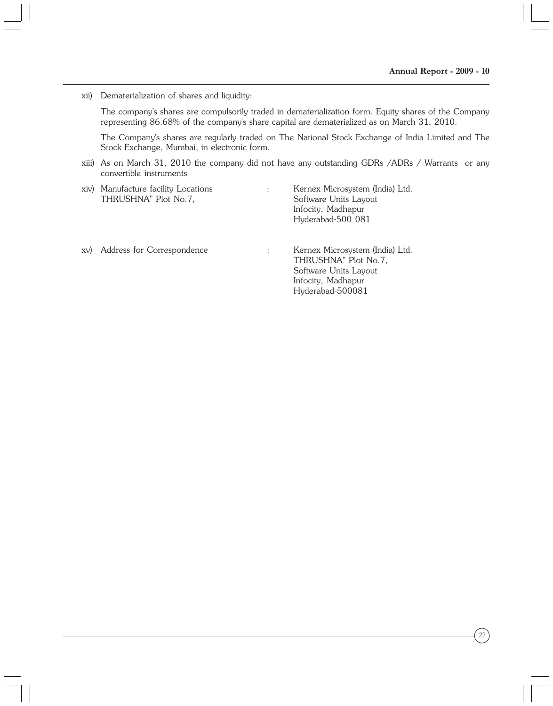xii) Dematerialization of shares and liquidity:

The company's shares are compulsorily traded in dematerialization form. Equity shares of the Company representing 86.68% of the company's share capital are dematerialized as on March 31, 2010.

The Company's shares are regularly traded on The National Stock Exchange of India Limited and The Stock Exchange, Mumbai, in electronic form.

> Infocity, Madhapur Hyderabad-500081

xiii) As on March 31, 2010 the company did not have any outstanding GDRs /ADRs / Warrants or any convertible instruments

|     | xiv) Manufacture facility Locations<br>THRUSHNA" Plot No.7, | $\ddot{\phantom{a}}$ | Kernex Microsystem (India) Ltd.<br>Software Units Layout<br>Infocity, Madhapur<br>Hyderabad-500 081 |
|-----|-------------------------------------------------------------|----------------------|-----------------------------------------------------------------------------------------------------|
| XV) | Address for Correspondence                                  | ÷                    | Kernex Microsystem (India) Ltd.<br>THRUSHNA" Plot No.7,<br>Software Units Layout                    |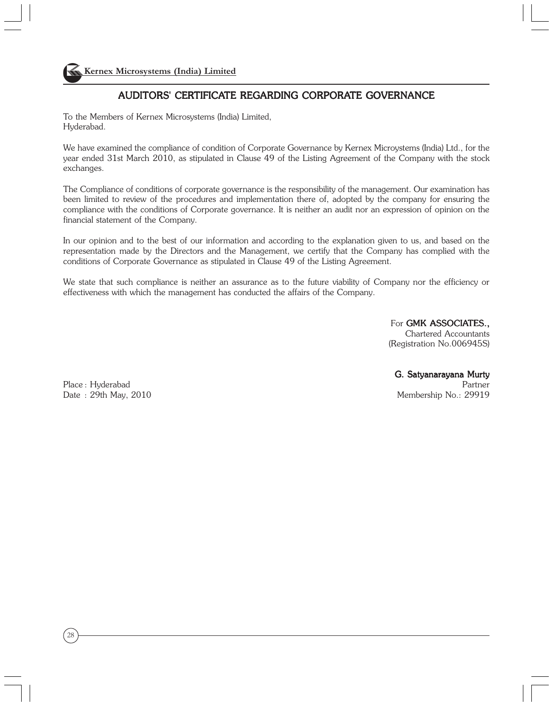# AUDITORS' CERTIFICATE REGARDING CORPORATE GOVERNANCE

To the Members of Kernex Microsystems (India) Limited, Hyderabad.

We have examined the compliance of condition of Corporate Governance by Kernex Microystems (India) Ltd., for the year ended 31st March 2010, as stipulated in Clause 49 of the Listing Agreement of the Company with the stock exchanges.

The Compliance of conditions of corporate governance is the responsibility of the management. Our examination has been limited to review of the procedures and implementation there of, adopted by the company for ensuring the compliance with the conditions of Corporate governance. It is neither an audit nor an expression of opinion on the financial statement of the Company.

In our opinion and to the best of our information and according to the explanation given to us, and based on the representation made by the Directors and the Management, we certify that the Company has complied with the conditions of Corporate Governance as stipulated in Clause 49 of the Listing Agreement.

We state that such compliance is neither an assurance as to the future viability of Company nor the efficiency or effectiveness with which the management has conducted the affairs of the Company.

> For GMK ASSOCIATES... Chartered Accountants (Registration No.006945S)

Place : Hyderabad Partner Partner Partner Partner Partner Partner Partner Partner Partner Partner Partner Partner

28

G. Satyanarayana Murty

Date : 29th May, 2010 Membership No.: 29919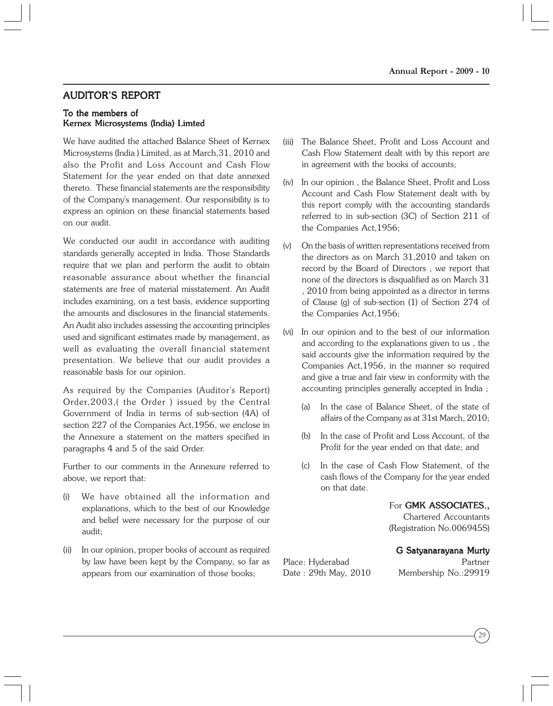# AUDITOR'S REPORT

#### To the members of Kernex Microsystems (India) Limted

We have audited the attached Balance Sheet of Kernex Microsystems (India ) Limited, as at March,31, 2010 and also the Profit and Loss Account and Cash Flow Statement for the year ended on that date annexed thereto. These financial statements are the responsibility of the Company's management. Our responsibility is to express an opinion on these financial statements based on our audit.

We conducted our audit in accordance with auditing standards generally accepted in India. Those Standards require that we plan and perform the audit to obtain reasonable assurance about whether the financial statements are free of material misstatement. An Audit includes examining, on a test basis, evidence supporting the amounts and disclosures in the financial statements. An Audit also includes assessing the accounting principles used and significant estimates made by management, as well as evaluating the overall financial statement presentation. We believe that our audit provides a reasonable basis for our opinion.

As required by the Companies (Auditor's Report) Order,2003,( the Order ) issued by the Central Government of India in terms of sub-section (4A) of section 227 of the Companies Act,1956, we enclose in the Annexure a statement on the matters specified in paragraphs 4 and 5 of the said Order.

Further to our comments in the Annexure referred to above, we report that:

- (i) We have obtained all the information and explanations, which to the best of our Knowledge and belief were necessary for the purpose of our audit;
- (ii) In our opinion, proper books of account as required by law have been kept by the Company, so far as appears from our examination of those books;
- (iii) The Balance Sheet, Profit and Loss Account and Cash Flow Statement dealt with by this report are in agreement with the books of accounts;
- (iv) In our opinion , the Balance Sheet, Profit and Loss Account and Cash Flow Statement dealt with by this report comply with the accounting standards referred to in sub-section (3C) of Section 211 of the Companies Act,1956;
- (v) On the basis of written representations received from the directors as on March 31,2010 and taken on record by the Board of Directors , we report that none of the directors is disqualified as on March 31 , 2010 from being appointed as a director in terms of Clause (g) of sub-section (1) of Section 274 of the Companies Act,1956;
- (vi) In our opinion and to the best of our information and according to the explanations given to us , the said accounts give the information required by the Companies Act,1956, in the manner so required and give a true and fair view in conformity with the accounting principles generally accepted in India ;
	- (a) In the case of Balance Sheet, of the state of affairs of the Company as at 31st March, 2010;
	- (b) In the case of Profit and Loss Account, of the Profit for the year ended on that date; and
	- (c) In the case of Cash Flow Statement, of the cash flows of the Company for the year ended on that date.

For GMK ASSOCIATES.,

Chartered Accountants (Registration No.006945S)

#### G Satyanarayana Murty

Date : 29th May, 2010 Membership No.:29919

Place: Hyderabad Partner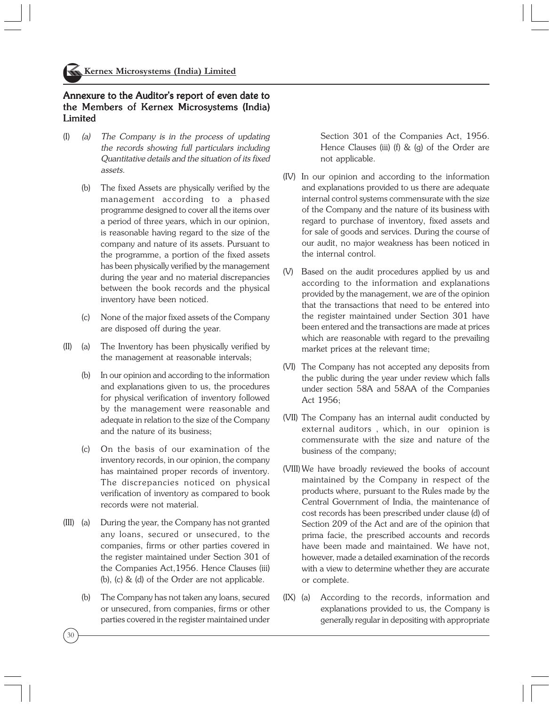## Annexure to the Auditor's report of even date to the Members of Kernex Microsystems (India) Limited

- (I) (a) The Company is in the process of updating the records showing full particulars including Quantitative details and the situation of its fixed assets.
	- (b) The fixed Assets are physically verified by the management according to a phased programme designed to cover all the items over a period of three years, which in our opinion, is reasonable having regard to the size of the company and nature of its assets. Pursuant to the programme, a portion of the fixed assets has been physically verified by the management during the year and no material discrepancies between the book records and the physical inventory have been noticed.
	- (c) None of the major fixed assets of the Company are disposed off during the year.
- (II) (a) The Inventory has been physically verified by the management at reasonable intervals;
	- (b) In our opinion and according to the information and explanations given to us, the procedures for physical verification of inventory followed by the management were reasonable and adequate in relation to the size of the Company and the nature of its business;
	- (c) On the basis of our examination of the inventory records, in our opinion, the company has maintained proper records of inventory. The discrepancies noticed on physical verification of inventory as compared to book records were not material.
- (III) (a) During the year, the Company has not granted any loans, secured or unsecured, to the companies, firms or other parties covered in the register maintained under Section 301 of the Companies Act,1956. Hence Clauses (iii) (b), (c) & (d) of the Order are not applicable.
	- (b) The Company has not taken any loans, secured or unsecured, from companies, firms or other parties covered in the register maintained under

Section 301 of the Companies Act, 1956. Hence Clauses (iii) (f) & (g) of the Order are not applicable.

- (IV) In our opinion and according to the information and explanations provided to us there are adequate internal control systems commensurate with the size of the Company and the nature of its business with regard to purchase of inventory, fixed assets and for sale of goods and services. During the course of our audit, no major weakness has been noticed in the internal control.
- (V) Based on the audit procedures applied by us and according to the information and explanations provided by the management, we are of the opinion that the transactions that need to be entered into the register maintained under Section 301 have been entered and the transactions are made at prices which are reasonable with regard to the prevailing market prices at the relevant time;
- (VI) The Company has not accepted any deposits from the public during the year under review which falls under section 58A and 58AA of the Companies Act 1956;
- (VII) The Company has an internal audit conducted by external auditors , which, in our opinion is commensurate with the size and nature of the business of the company;
- (VIII) We have broadly reviewed the books of account maintained by the Company in respect of the products where, pursuant to the Rules made by the Central Government of India, the maintenance of cost records has been prescribed under clause (d) of Section 209 of the Act and are of the opinion that prima facie, the prescribed accounts and records have been made and maintained. We have not, however, made a detailed examination of the records with a view to determine whether they are accurate or complete.
- (IX) (a) According to the records, information and explanations provided to us, the Company is generally regular in depositing with appropriate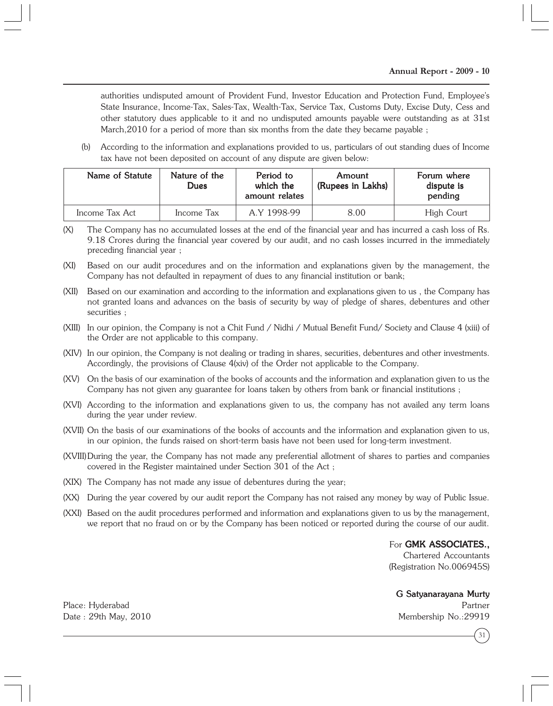authorities undisputed amount of Provident Fund, Investor Education and Protection Fund, Employee's State Insurance, Income-Tax, Sales-Tax, Wealth-Tax, Service Tax, Customs Duty, Excise Duty, Cess and other statutory dues applicable to it and no undisputed amounts payable were outstanding as at 31st March, 2010 for a period of more than six months from the date they became payable ;

(b) According to the information and explanations provided to us, particulars of out standing dues of Income tax have not been deposited on account of any dispute are given below:

| Name of Statute | Nature of the<br><b>Dues</b> | Period to<br>which the<br>amount relates | Amount<br>(Rupees in Lakhs) | Forum where<br>dispute is<br>pending |
|-----------------|------------------------------|------------------------------------------|-----------------------------|--------------------------------------|
| Income Tax Act  | Income Tax                   | A.Y 1998-99                              | 8.00                        | High Court                           |

- (X) The Company has no accumulated losses at the end of the financial year and has incurred a cash loss of Rs. 9.18 Crores during the financial year covered by our audit, and no cash losses incurred in the immediately preceding financial year ;
- (XI) Based on our audit procedures and on the information and explanations given by the management, the Company has not defaulted in repayment of dues to any financial institution or bank;
- (XII) Based on our examination and according to the information and explanations given to us , the Company has not granted loans and advances on the basis of security by way of pledge of shares, debentures and other securities ;
- (XIII) In our opinion, the Company is not a Chit Fund / Nidhi / Mutual Benefit Fund/ Society and Clause 4 (xiii) of the Order are not applicable to this company.
- (XIV) In our opinion, the Company is not dealing or trading in shares, securities, debentures and other investments. Accordingly, the provisions of Clause 4(xiv) of the Order not applicable to the Company.
- (XV) On the basis of our examination of the books of accounts and the information and explanation given to us the Company has not given any guarantee for loans taken by others from bank or financial institutions ;
- (XVI) According to the information and explanations given to us, the company has not availed any term loans during the year under review.
- (XVII) On the basis of our examinations of the books of accounts and the information and explanation given to us, in our opinion, the funds raised on short-term basis have not been used for long-term investment.
- (XVIII)During the year, the Company has not made any preferential allotment of shares to parties and companies covered in the Register maintained under Section 301 of the Act ;
- (XIX) The Company has not made any issue of debentures during the year;
- (XX) During the year covered by our audit report the Company has not raised any money by way of Public Issue.
- (XXI) Based on the audit procedures performed and information and explanations given to us by the management, we report that no fraud on or by the Company has been noticed or reported during the course of our audit.

### For GMK ASSOCIATES.,

Chartered Accountants (Registration No.006945S)

### G Satyanarayana Murty

Place: Hyderabad Partner Date : 29th May, 2010 Membership No.:29919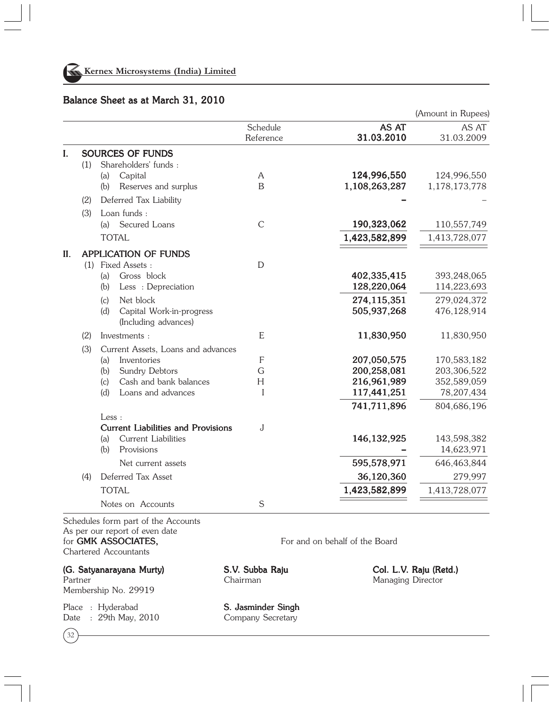

# Balance Sheet as at March 31, 2010

|                                    |                                                                                        | (Amount in Rupees)                                                                                                                                      |
|------------------------------------|----------------------------------------------------------------------------------------|---------------------------------------------------------------------------------------------------------------------------------------------------------|
| Schedule<br>Reference              | AS AT<br>31.03.2010                                                                    | AS AT<br>31.03.2009                                                                                                                                     |
|                                    |                                                                                        |                                                                                                                                                         |
|                                    |                                                                                        |                                                                                                                                                         |
| A                                  |                                                                                        | 124,996,550                                                                                                                                             |
|                                    |                                                                                        | 1,178,173,778                                                                                                                                           |
|                                    |                                                                                        |                                                                                                                                                         |
|                                    |                                                                                        |                                                                                                                                                         |
| $\mathcal{C}$                      | 190,323,062                                                                            | 110,557,749                                                                                                                                             |
|                                    | 1,423,582,899                                                                          | 1,413,728,077                                                                                                                                           |
|                                    |                                                                                        |                                                                                                                                                         |
|                                    |                                                                                        |                                                                                                                                                         |
|                                    |                                                                                        | 393,248,065                                                                                                                                             |
|                                    | 128,220,064                                                                            | 114,223,693                                                                                                                                             |
|                                    | 274,115,351                                                                            | 279,024,372                                                                                                                                             |
|                                    | 505,937,268                                                                            | 476,128,914                                                                                                                                             |
|                                    |                                                                                        |                                                                                                                                                         |
| E                                  | 11,830,950                                                                             | 11,830,950                                                                                                                                              |
| Current Assets, Loans and advances |                                                                                        |                                                                                                                                                         |
| $\mathsf{F}$                       | 207,050,575                                                                            | 170,583,182                                                                                                                                             |
|                                    | 200,258,081                                                                            | 203,306,522                                                                                                                                             |
|                                    |                                                                                        | 352,589,059                                                                                                                                             |
|                                    |                                                                                        | 78,207,434                                                                                                                                              |
|                                    |                                                                                        | 804,686,196                                                                                                                                             |
|                                    |                                                                                        |                                                                                                                                                         |
|                                    |                                                                                        | 143,598,382                                                                                                                                             |
|                                    |                                                                                        | 14,623,971                                                                                                                                              |
|                                    |                                                                                        | 646,463,844                                                                                                                                             |
|                                    |                                                                                        | 279,997                                                                                                                                                 |
|                                    |                                                                                        | 1,413,728,077                                                                                                                                           |
|                                    |                                                                                        |                                                                                                                                                         |
|                                    |                                                                                        |                                                                                                                                                         |
|                                    | B<br>$\mathbf D$<br>G<br>H<br>I<br><b>Current Liabilities and Provisions</b><br>J<br>S | 124,996,550<br>1,108,263,287<br>402,335,415<br>216,961,989<br>117,441,251<br>741,711,896<br>146, 132, 925<br>595,578,971<br>36,120,360<br>1,423,582,899 |

As per our report of even date for GMK ASSOCIATES, For and on behalf of the Board Chartered Accountants

(G. Satyanarayana Murty) S.V. Subba Raju Col. L.V. Raju (Retd.) Partner Chairman Chairman Managing Director Membership No. 29919

Place : Hyderabad **S. Jasminder Singh** Date : 29th May, 2010 Company Secretary

32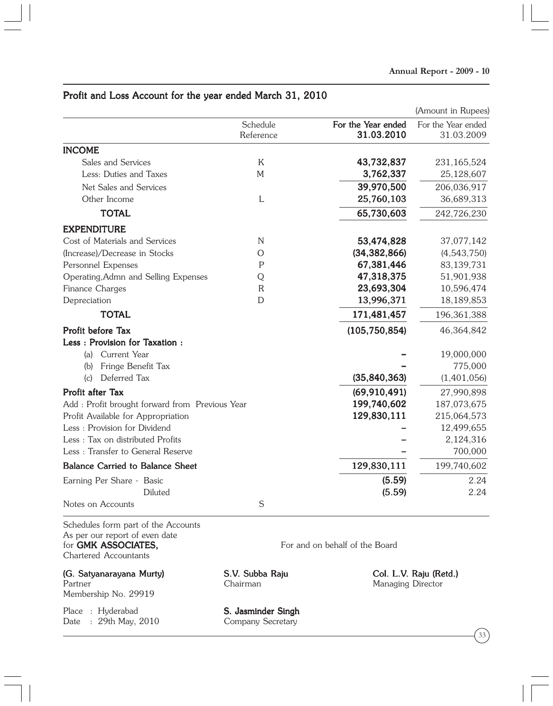|                                                 |                       |                                  | (Amount in Rupees)               |
|-------------------------------------------------|-----------------------|----------------------------------|----------------------------------|
|                                                 | Schedule<br>Reference | For the Year ended<br>31.03.2010 | For the Year ended<br>31.03.2009 |
| <b>INCOME</b>                                   |                       |                                  |                                  |
| Sales and Services                              | K                     | 43,732,837                       | 231,165,524                      |
| Less: Duties and Taxes                          | $M_{\rm}$             | 3,762,337                        | 25,128,607                       |
| Net Sales and Services                          |                       | 39,970,500                       | 206,036,917                      |
| Other Income                                    | L                     | 25,760,103                       | 36,689,313                       |
| <b>TOTAL</b>                                    |                       | 65,730,603                       | 242,726,230                      |
| <b>EXPENDITURE</b>                              |                       |                                  |                                  |
| Cost of Materials and Services                  | N                     | 53,474,828                       | 37,077,142                       |
| (Increase)/Decrease in Stocks                   | $\circ$               | (34, 382, 866)                   | (4,543,750)                      |
| Personnel Expenses                              | P                     | 67,381,446                       | 83,139,731                       |
| Operating, Admn and Selling Expenses            | Q                     | 47,318,375                       | 51,901,938                       |
| Finance Charges                                 | $\mathsf{R}$          | 23,693,304                       | 10,596,474                       |
| Depreciation                                    | D                     | 13,996,371                       | 18,189,853                       |
| <b>TOTAL</b>                                    |                       | 171,481,457                      | 196, 361, 388                    |
| Profit before Tax                               |                       | (105, 750, 854)                  | 46,364,842                       |
| Less: Provision for Taxation:                   |                       |                                  |                                  |
| Current Year<br>(a)                             |                       |                                  | 19,000,000                       |
| Fringe Benefit Tax<br>(b)                       |                       |                                  | 775,000                          |
| Deferred Tax<br>(c)                             |                       | (35, 840, 363)                   | (1,401,056)                      |
| <b>Profit after Tax</b>                         |                       | (69, 910, 491)                   | 27,990,898                       |
| Add : Profit brought forward from Previous Year |                       | 199,740,602                      | 187,073,675                      |
| Profit Available for Appropriation              |                       | 129,830,111                      | 215,064,573                      |
| Less: Provision for Dividend                    |                       |                                  | 12,499,655                       |
| Less: Tax on distributed Profits                |                       |                                  | 2,124,316                        |
| Less: Transfer to General Reserve               |                       |                                  | 700,000                          |
| <b>Balance Carried to Balance Sheet</b>         |                       | 129,830,111                      | 199,740,602                      |
| Earning Per Share - Basic                       |                       | (5.59)                           | 2.24                             |
| Diluted                                         |                       | (5.59)                           | 2.24                             |
| Notes on Accounts                               | $\mathsf S$           |                                  |                                  |

# Profit and Loss Account for the year ended March 31, 2010

Schedules form part of the Accounts As per our report of even date for **GMK ASSOCIATES,** For and on behalf of the Board Chartered Accountants

(G. Satyanarayana Murty) S.V. Subba Raju Col. L.V. Raju (Retd.) Partner Chairman Chairman Managing Director Membership No. 29919

Place : Hyderabad **S. Jasminder Singh** Date : 29th May, 2010 Company Secretary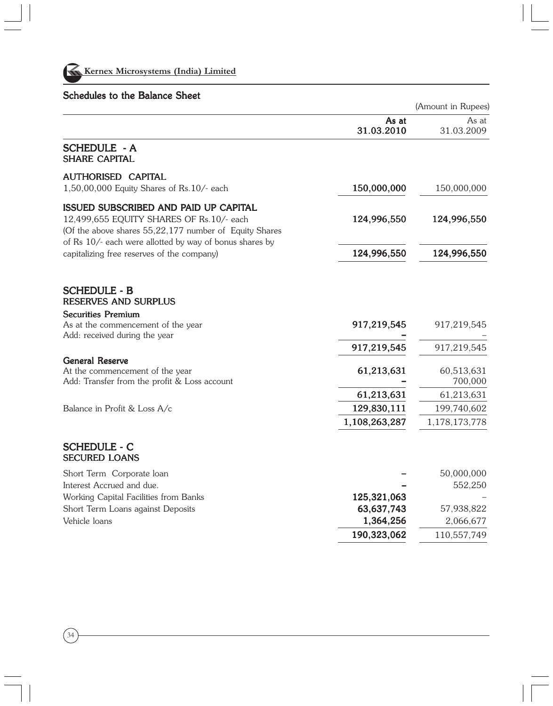

34

# Schedules to the Balance Sheet

|                                                                                                                                             |                           | (Amount in Rupees)        |
|---------------------------------------------------------------------------------------------------------------------------------------------|---------------------------|---------------------------|
|                                                                                                                                             | As at<br>31.03.2010       | As at<br>31.03.2009       |
| <b>SCHEDULE - A</b><br><b>SHARE CAPITAL</b>                                                                                                 |                           |                           |
| <b>AUTHORISED CAPITAL</b><br>1,50,00,000 Equity Shares of Rs.10/- each                                                                      | 150,000,000               | 150,000,000               |
| ISSUED SUBSCRIBED AND PAID UP CAPITAL<br>12,499,655 EQUITY SHARES OF Rs.10/- each<br>(Of the above shares 55,22,177 number of Equity Shares | 124,996,550               | 124,996,550               |
| of Rs 10/- each were allotted by way of bonus shares by<br>capitalizing free reserves of the company)                                       | 124,996,550               | 124,996,550               |
| <b>SCHEDULE - B</b><br><b>RESERVES AND SURPLUS</b>                                                                                          |                           |                           |
| <b>Securities Premium</b><br>As at the commencement of the year<br>Add: received during the year                                            | 917,219,545               | 917,219,545               |
|                                                                                                                                             | 917,219,545               | 917,219,545               |
| <b>General Reserve</b><br>At the commencement of the year<br>Add: Transfer from the profit & Loss account                                   | 61,213,631                | 60,513,631<br>700,000     |
| Balance in Profit & Loss A/c                                                                                                                | 61,213,631<br>129,830,111 | 61,213,631<br>199,740,602 |
|                                                                                                                                             | 1,108,263,287             | 1,178,173,778             |
| <b>SCHEDULE - C</b><br><b>SECURED LOANS</b>                                                                                                 |                           |                           |
| Short Term Corporate loan                                                                                                                   |                           | 50,000,000                |
| Interest Accrued and due.                                                                                                                   |                           | 552,250                   |
| Working Capital Facilities from Banks                                                                                                       | 125,321,063               |                           |
| Short Term Loans against Deposits<br>Vehicle loans                                                                                          | 63,637,743<br>1,364,256   | 57,938,822<br>2,066,677   |
|                                                                                                                                             | 190,323,062               | 110,557,749               |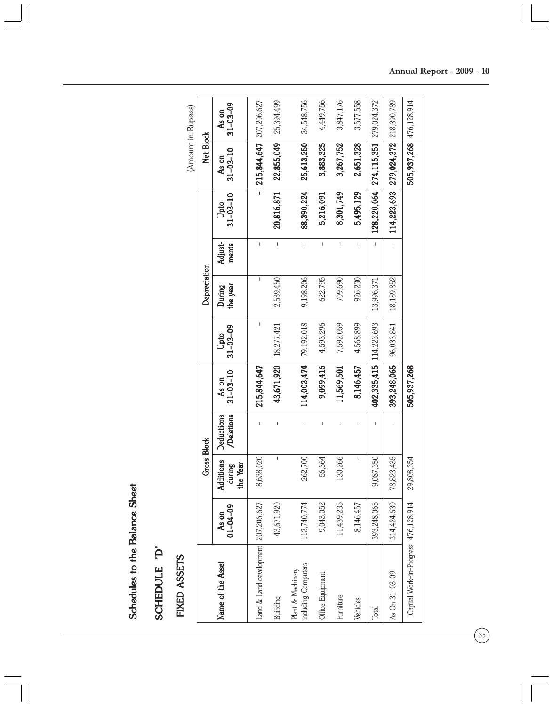Schedules to the Balance Sheet Schedules to the Balance Sheet

SCHEDULE "D" SCHEDULE "D"

FIXED ASSETS FIXED ASSETS

| (Amount in Rupees) |                    | $31 - 03 - 09$<br>As on                |                                       |             | 25,394,499             | 34,548,756   | 4,449,756  | 3,847,176                | 3,577,558               |                                       |                                      |
|--------------------|--------------------|----------------------------------------|---------------------------------------|-------------|------------------------|--------------|------------|--------------------------|-------------------------|---------------------------------------|--------------------------------------|
|                    | Net Block          | $31 - 03 - 10$<br>As on                | $215,844,647$ $207,206,627$           | 22,855,049  | 25,613,250             | 3,883,325    | 3,267,752  | 2,651,328                | 274,115,351 279,024,372 | 279,024,372 218,390,789               | 505,937,268 476,128,914              |
|                    |                    | $31 - 03 - 10$<br>Upto                 |                                       | 20,816,871  | 88,390,224             | 5,216,091    | 8,301,749  | 5,495,129                | 128,220,064             | 114,223,693                           |                                      |
|                    |                    | Adjust-<br>ments                       | I                                     | $\mathsf I$ | I                      | $\mathsf{I}$ | I          | I                        |                         | $\begin{array}{c} \hline \end{array}$ |                                      |
|                    | Depreciation       | the year<br>During                     | I                                     | 2,539,450   | 9,198,206              | 622,795      | 709,690    | 926,230                  | 13,996,371              | 18,189,852                            |                                      |
|                    |                    | $31 - 03 - 09$<br>Upto                 | I                                     | 18,277,421  | 114,003,474 79,192,018 | 4,593,296    | 7,592,059  | 4,568,899                | 114,223,693             | 96,033,841                            |                                      |
|                    |                    |                                        |                                       |             |                        |              |            |                          |                         |                                       |                                      |
|                    |                    | $31 - 03 - 10$<br>As on                | 215,844,647                           | 43,671,920  |                        | 9,099,416    | 11,569,501 | 8,146,457                | 402,335,415             | 393,248,065                           | 505,937,268                          |
|                    |                    | Deletions<br><b>Deductions</b>         |                                       | I           | I                      | I            | ı          | I                        |                         |                                       |                                      |
|                    | <b>Gross Block</b> | <b>Additions</b><br>the Year<br>during | 8,638,020                             | I           | 262,700                | 56,364       | 130,266    | $\overline{\phantom{a}}$ | 9,087,350               | 78,823,435                            | 29,808,354                           |
|                    |                    | $01 - 04 - 09$<br>g<br>$\lambda$ s     | Land & Land development   207,206,627 | 43,671,920  | 13,740,774             | 9,043,052    | 11,439,235 | 8,146,457                | 393,248,065             | 314,424,630                           | Capital Work-in-Progress 476,128,914 |

 $\widehat{35}$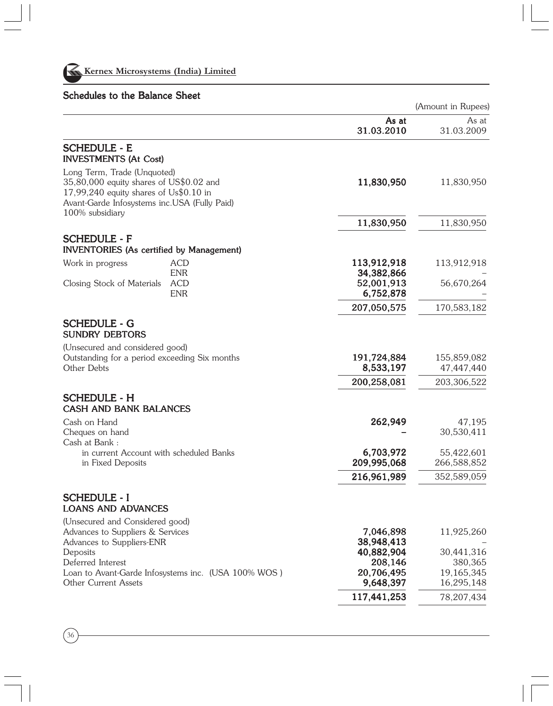

# Schedules to the Balance Sheet

(Amount in Rupees)

|                                                                                                                                                                                       |                                                     |                           | $\mu$ module in expect    |
|---------------------------------------------------------------------------------------------------------------------------------------------------------------------------------------|-----------------------------------------------------|---------------------------|---------------------------|
|                                                                                                                                                                                       |                                                     | As at                     | As at                     |
|                                                                                                                                                                                       |                                                     | 31.03.2010                | 31.03.2009                |
| <b>SCHEDULE - E</b><br><b>INVESTMENTS (At Cost)</b>                                                                                                                                   |                                                     |                           |                           |
| Long Term, Trade (Unquoted)<br>35,80,000 equity shares of US\$0.02 and<br>$17,99,240$ equity shares of Us\$0.10 in<br>Avant-Garde Infosystems inc.USA (Fully Paid)<br>100% subsidiary |                                                     | 11,830,950                | 11,830,950                |
|                                                                                                                                                                                       |                                                     | 11,830,950                | 11,830,950                |
| <b>SCHEDULE - F</b><br><b>INVENTORIES (As certified by Management)</b>                                                                                                                |                                                     |                           |                           |
| Work in progress                                                                                                                                                                      | ACD<br><b>ENR</b>                                   | 113,912,918<br>34,382,866 | 113,912,918               |
| Closing Stock of Materials                                                                                                                                                            | <b>ACD</b><br><b>ENR</b>                            | 52,001,913<br>6,752,878   | 56,670,264                |
|                                                                                                                                                                                       |                                                     | 207,050,575               | 170,583,182               |
| <b>SCHEDULE - G</b><br><b>SUNDRY DEBTORS</b>                                                                                                                                          |                                                     |                           |                           |
| (Unsecured and considered good)<br>Outstanding for a period exceeding Six months<br>Other Debts                                                                                       |                                                     | 191,724,884<br>8,533,197  | 155,859,082<br>47,447,440 |
|                                                                                                                                                                                       |                                                     | 200,258,081               | 203,306,522               |
| <b>SCHEDULE - H</b><br><b>CASH AND BANK BALANCES</b>                                                                                                                                  |                                                     |                           |                           |
| Cash on Hand<br>Cheques on hand<br>Cash at Bank:                                                                                                                                      |                                                     | 262,949                   | 47,195<br>30,530,411      |
| in current Account with scheduled Banks<br>in Fixed Deposits                                                                                                                          |                                                     | 6,703,972<br>209,995,068  | 55,422,601<br>266,588,852 |
|                                                                                                                                                                                       |                                                     | 216,961,989               | 352,589,059               |
| <b>SCHEDULE - I</b><br><b>LOANS AND ADVANCES</b>                                                                                                                                      |                                                     |                           |                           |
| (Unsecured and Considered good)<br>Advances to Suppliers & Services<br>Advances to Suppliers-ENR                                                                                      |                                                     | 7,046,898<br>38,948,413   | 11,925,260                |
| Deposits<br>Deferred Interest                                                                                                                                                         |                                                     | 40,882,904<br>208,146     | 30,441,316<br>380,365     |
| Other Current Assets                                                                                                                                                                  | Loan to Avant-Garde Infosystems inc. (USA 100% WOS) | 20,706,495<br>9,648,397   | 19,165,345<br>16,295,148  |
|                                                                                                                                                                                       |                                                     | 117,441,253               | 78,207,434                |
|                                                                                                                                                                                       |                                                     |                           |                           |

36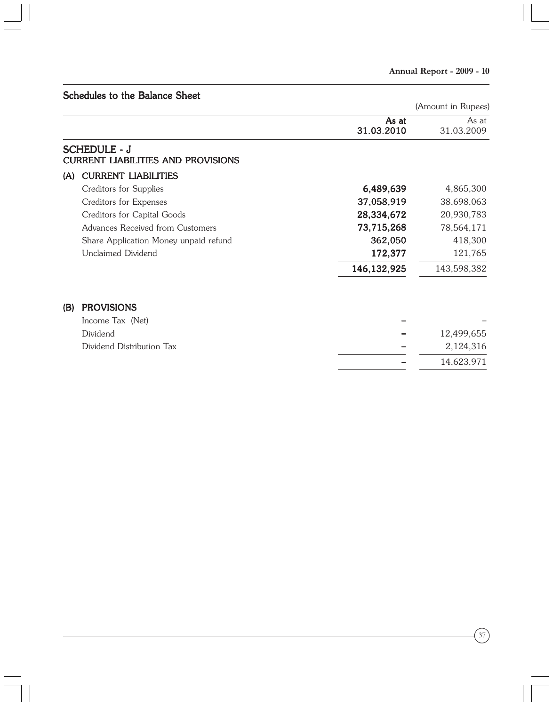|     | Schedules to the Balance Sheet                                   |                     |                     |
|-----|------------------------------------------------------------------|---------------------|---------------------|
|     |                                                                  |                     | (Amount in Rupees)  |
|     |                                                                  | As at<br>31.03.2010 | As at<br>31.03.2009 |
|     | <b>SCHEDULE - J</b><br><b>CURRENT LIABILITIES AND PROVISIONS</b> |                     |                     |
| (A) | <b>CURRENT LIABILITIES</b>                                       |                     |                     |
|     | Creditors for Supplies                                           | 6,489,639           | 4,865,300           |
|     | Creditors for Expenses                                           | 37,058,919          | 38,698,063          |
|     | Creditors for Capital Goods                                      | 28,334,672          | 20,930,783          |
|     | Advances Received from Customers                                 | 73,715,268          | 78,564,171          |
|     | Share Application Money unpaid refund                            | 362,050             | 418,300             |
|     | Unclaimed Dividend                                               | 172,377             | 121,765             |
|     |                                                                  | 146, 132, 925       | 143,598,382         |
| (B) | <b>PROVISIONS</b>                                                |                     |                     |
|     | Income Tax (Net)                                                 |                     |                     |
|     | Dividend                                                         |                     | 12,499,655          |
|     | Dividend Distribution Tax                                        |                     | 2,124,316           |
|     |                                                                  |                     | 14,623,971          |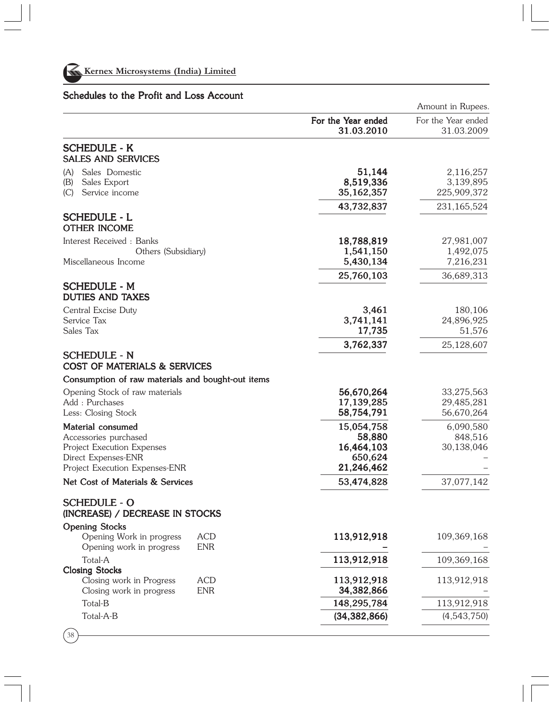

# Schedules to the Profit and Loss Account

|                                                                                                                                   |                          |                                                             | Amount in Rupees.                      |
|-----------------------------------------------------------------------------------------------------------------------------------|--------------------------|-------------------------------------------------------------|----------------------------------------|
|                                                                                                                                   |                          | For the Year ended<br>31.03.2010                            | For the Year ended<br>31.03.2009       |
| <b>SCHEDULE - K</b><br><b>SALES AND SERVICES</b>                                                                                  |                          |                                                             |                                        |
| Sales Domestic<br>(A)<br>Sales Export<br>(B)<br>Service income<br>(C)                                                             |                          | 51,144<br>8,519,336<br>35,162,357                           | 2,116,257<br>3,139,895<br>225,909,372  |
| <b>SCHEDULE - L</b><br><b>OTHER INCOME</b>                                                                                        |                          | 43,732,837                                                  | 231,165,524                            |
| Interest Received : Banks<br>Others (Subsidiary)<br>Miscellaneous Income                                                          |                          | 18,788,819<br>1,541,150<br>5,430,134                        | 27,981,007<br>1,492,075<br>7,216,231   |
|                                                                                                                                   |                          | 25,760,103                                                  | 36,689,313                             |
| <b>SCHEDULE - M</b><br><b>DUTIES AND TAXES</b>                                                                                    |                          |                                                             |                                        |
| Central Excise Duty<br>Service Tax<br>Sales Tax                                                                                   |                          | 3,461<br>3,741,141<br>17,735                                | 180,106<br>24,896,925<br>51,576        |
|                                                                                                                                   |                          | 3,762,337                                                   | 25,128,607                             |
| <b>SCHEDULE - N</b><br><b>COST OF MATERIALS &amp; SERVICES</b>                                                                    |                          |                                                             |                                        |
| Consumption of raw materials and bought-out items                                                                                 |                          |                                                             |                                        |
| Opening Stock of raw materials<br>Add : Purchases<br>Less: Closing Stock                                                          |                          | 56,670,264<br>17,139,285<br>58,754,791                      | 33,275,563<br>29,485,281<br>56,670,264 |
| Material consumed<br>Accessories purchased<br>Project Execution Expenses<br>Direct Expenses-ENR<br>Project Execution Expenses-ENR |                          | 15,054,758<br>58,880<br>16,464,103<br>650,624<br>21,246,462 | 6,090,580<br>848,516<br>30,138,046     |
| Net Cost of Materials & Services                                                                                                  |                          | 53,474,828                                                  | 37,077,142                             |
| <b>SCHEDULE - O</b><br>(INCREASE) / DECREASE IN STOCKS                                                                            |                          |                                                             |                                        |
| <b>Opening Stocks</b><br>Opening Work in progress<br>Opening work in progress                                                     | <b>ACD</b><br><b>ENR</b> | 113,912,918                                                 | 109,369,168                            |
| Total-A                                                                                                                           |                          | 113,912,918                                                 | 109,369,168                            |
| <b>Closing Stocks</b><br>Closing work in Progress<br>Closing work in progress                                                     | <b>ACD</b><br><b>ENR</b> | 113,912,918<br>34,382,866                                   | 113,912,918                            |
| Total-B                                                                                                                           |                          | 148,295,784                                                 | 113,912,918                            |
| Total-A-B                                                                                                                         |                          | (34, 382, 866)                                              | (4,543,750)                            |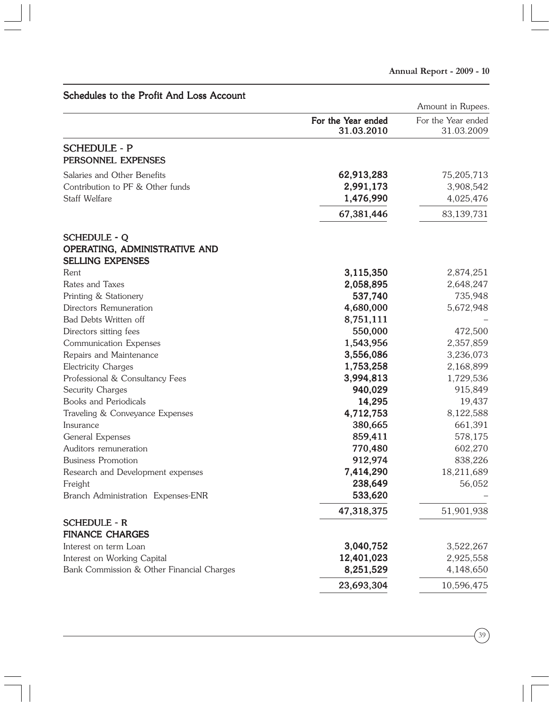| Schedules to the Profit And Loss Account             |                                  | Amount in Rupees.                |
|------------------------------------------------------|----------------------------------|----------------------------------|
|                                                      | For the Year ended<br>31.03.2010 | For the Year ended<br>31.03.2009 |
| <b>SCHEDULE - P</b><br>PERSONNEL EXPENSES            |                                  |                                  |
| Salaries and Other Benefits                          | 62,913,283                       | 75,205,713                       |
| Contribution to PF & Other funds                     | 2,991,173                        | 3,908,542                        |
| Staff Welfare                                        | 1,476,990                        | 4,025,476                        |
|                                                      | 67,381,446                       | 83,139,731                       |
| <b>SCHEDULE - Q</b><br>OPERATING, ADMINISTRATIVE AND |                                  |                                  |
| <b>SELLING EXPENSES</b>                              |                                  |                                  |
| Rent<br>Rates and Taxes                              | 3,115,350<br>2,058,895           | 2,874,251<br>2,648,247           |
| Printing & Stationery                                | 537,740                          | 735,948                          |
| Directors Remuneration                               | 4,680,000                        | 5,672,948                        |
| Bad Debts Written off                                | 8,751,111                        |                                  |
| Directors sitting fees                               | 550,000                          | 472,500                          |
| Communication Expenses                               | 1,543,956                        | 2,357,859                        |
| Repairs and Maintenance                              | 3,556,086                        | 3,236,073                        |
| Electricity Charges                                  | 1,753,258                        | 2,168,899                        |
| Professional & Consultancy Fees                      | 3,994,813                        | 1,729,536                        |
| Security Charges                                     | 940,029                          | 915,849                          |
| Books and Periodicals                                | 14,295                           | 19,437                           |
| Traveling & Conveyance Expenses                      | 4,712,753                        | 8,122,588                        |
| Insurance                                            | 380,665                          | 661,391                          |
| General Expenses                                     | 859,411                          | 578,175                          |
| Auditors remuneration                                | 770,480                          | 602,270                          |
| <b>Business Promotion</b>                            | 912,974                          | 838,226                          |
| Research and Development expenses                    | 7,414,290                        | 18,211,689                       |
| Freight                                              | 238,649                          | 56,052                           |
| Branch Administration Expenses-ENR                   | 533,620                          |                                  |
|                                                      | 47,318,375                       | 51,901,938                       |
| <b>SCHEDULE - R</b>                                  |                                  |                                  |
| <b>FINANCE CHARGES</b>                               |                                  |                                  |
| Interest on term Loan                                | 3,040,752                        | 3,522,267                        |
| Interest on Working Capital                          | 12,401,023                       | 2,925,558                        |
| Bank Commission & Other Financial Charges            | 8,251,529                        | 4,148,650                        |
|                                                      | 23,693,304                       | 10,596,475                       |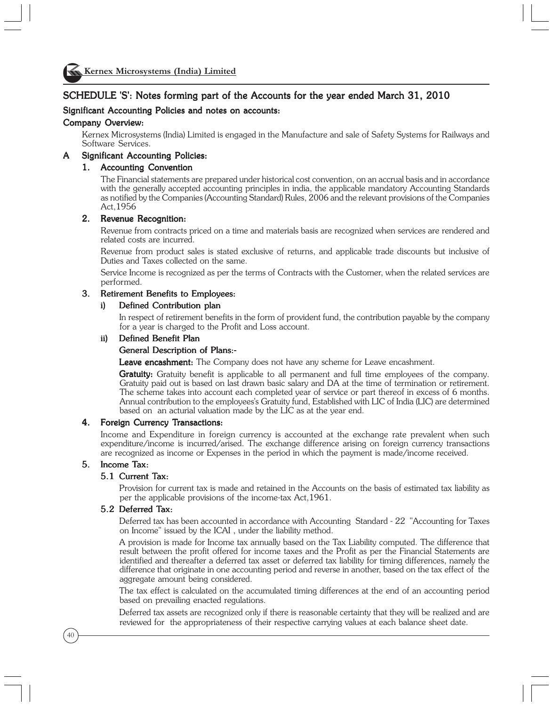

#### SCHEDULE 'S': Notes forming part of the Accounts for the year ended March 31, 2010

#### Significant Accounting Policies and notes on accounts:

#### Company Overview:

Kernex Microsystems (India) Limited is engaged in the Manufacture and sale of Safety Systems for Railways and Software Services.

#### A Significant Accounting Policies:

#### 1. Accounting Convention

The Financial statements are prepared under historical cost convention, on an accrual basis and in accordance with the generally accepted accounting principles in india, the applicable mandatory Accounting Standards as notified by the Companies (Accounting Standard) Rules, 2006 and the relevant provisions of the Companies Act,1956

#### 2. Revenue Recognition:

Revenue from contracts priced on a time and materials basis are recognized when services are rendered and related costs are incurred.

Revenue from product sales is stated exclusive of returns, and applicable trade discounts but inclusive of Duties and Taxes collected on the same.

Service Income is recognized as per the terms of Contracts with the Customer, when the related services are performed.

#### 3. Retirement Benefits to Employees:

#### i) Defined Contribution plan

In respect of retirement benefits in the form of provident fund, the contribution payable by the company for a year is charged to the Profit and Loss account.

#### ii) Defined Benefit Plan

#### General Description of Plans:-

**Leave encashment:** The Company does not have any scheme for Leave encashment.

**Gratuity:** Gratuity benefit is applicable to all permanent and full time employees of the company. Gratuity paid out is based on last drawn basic salary and DA at the time of termination or retirement. The scheme takes into account each completed year of service or part thereof in excess of 6 months. Annual contribution to the employees's Gratuity fund, Established with LIC of India (LIC) are determined based on an acturial valuation made by the LIC as at the year end.

#### 4. Foreign Currency Transactions:

Income and Expenditure in foreign currency is accounted at the exchange rate prevalent when such expenditure/income is incurred/arised. The exchange difference arising on foreign currency transactions are recognized as income or Expenses in the period in which the payment is made/income received.

#### 5. Income Tax:

#### 5.1 Current Tax:

Provision for current tax is made and retained in the Accounts on the basis of estimated tax liability as per the applicable provisions of the income-tax Act,1961.

#### 5.2 Deferred Tax:

Deferred tax has been accounted in accordance with Accounting Standard - 22 "Accounting for Taxes on Income" issued by the ICAI , under the liability method.

A provision is made for Income tax annually based on the Tax Liability computed. The difference that result between the profit offered for income taxes and the Profit as per the Financial Statements are identified and thereafter a deferred tax asset or deferred tax liability for timing differences, namely the difference that originate in one accounting period and reverse in another, based on the tax effect of the aggregate amount being considered.

The tax effect is calculated on the accumulated timing differences at the end of an accounting period based on prevailing enacted regulations.

Deferred tax assets are recognized only if there is reasonable certainty that they will be realized and are reviewed for the appropriateness of their respective carrying values at each balance sheet date.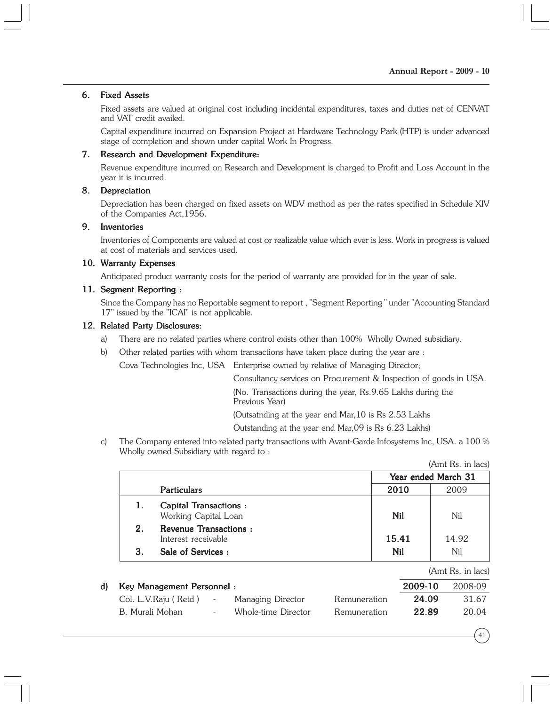#### 6. Fixed Assets

Fixed assets are valued at original cost including incidental expenditures, taxes and duties net of CENVAT and VAT credit availed.

Capital expenditure incurred on Expansion Project at Hardware Technology Park (HTP) is under advanced stage of completion and shown under capital Work In Progress.

#### 7. Research and Development Expenditure:

Revenue expenditure incurred on Research and Development is charged to Profit and Loss Account in the year it is incurred.

#### 8. Depreciation

Depreciation has been charged on fixed assets on WDV method as per the rates specified in Schedule XIV of the Companies Act,1956.

#### 9. Inventories

Inventories of Components are valued at cost or realizable value which ever is less. Work in progress is valued at cost of materials and services used.

#### 10. Warranty Expenses

Anticipated product warranty costs for the period of warranty are provided for in the year of sale.

#### 11. Segment Reporting :

Since the Company has no Reportable segment to report , "Segment Reporting " under "Accounting Standard 17" issued by the "ICAI" is not applicable.

#### 12. Related Party Disclosures:

- a) There are no related parties where control exists other than 100% Wholly Owned subsidiary.
- b) Other related parties with whom transactions have taken place during the year are :

Cova Technologies Inc, USA Enterprise owned by relative of Managing Director;

Consultancy services on Procurement & Inspection of goods in USA.

(No. Transactions during the year, Rs.9.65 Lakhs during the Previous Year)

(Outsatnding at the year end Mar,10 is Rs 2.53 Lakhs

Outstanding at the year end Mar,09 is Rs 6.23 Lakhs)

c) The Company entered into related party transactions with Avant-Garde Infosystems Inc, USA. a 100 % Wholly owned Subsidiary with regard to :

|                                                      |                     | (Amt Rs. in lacs) |  |
|------------------------------------------------------|---------------------|-------------------|--|
|                                                      | Year ended March 31 |                   |  |
| <b>Particulars</b>                                   | 2010                | 2009              |  |
| <b>Capital Transactions:</b><br>Working Capital Loan | Nil                 | Nil               |  |
| 2.<br>Revenue Transactions:<br>Interest receivable   | 15.41               | 14.92             |  |
| Sale of Services:                                    | <b>Nil</b>          | Nil               |  |

|--|

| d) Key Management Personnel: |        |                     |              | 2009-10 | 2008-09 |
|------------------------------|--------|---------------------|--------------|---------|---------|
| Col. L.V.Raju ( Retd )       | $\sim$ | Managing Director   | Remuneration | 24.09   | 31.67   |
| B. Murali Mohan              |        | Whole-time Director | Remuneration | 22.89   | 20.04   |

41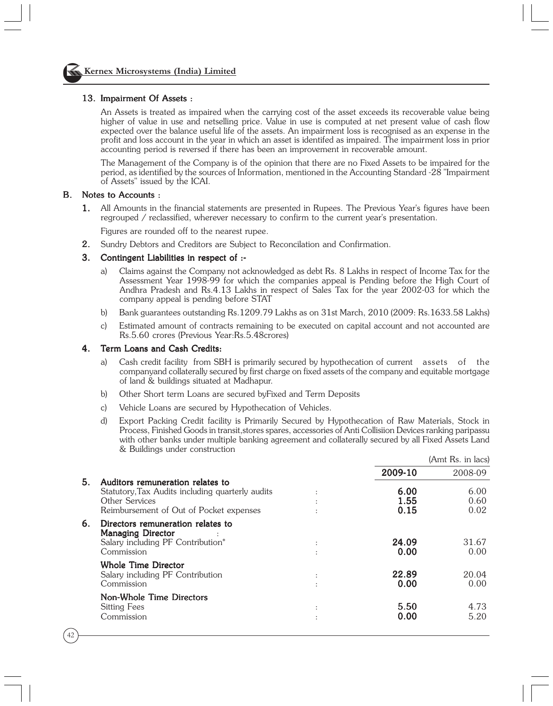#### 13. Impairment Of Assets :

An Assets is treated as impaired when the carrying cost of the asset exceeds its recoverable value being higher of value in use and netselling price. Value in use is computed at net present value of cash flow expected over the balance useful life of the assets. An impairment loss is recognised as an expense in the profit and loss account in the year in which an asset is identifed as impaired. The impairment loss in prior accounting period is reversed if there has been an improvement in recoverable amount.

The Management of the Company is of the opinion that there are no Fixed Assets to be impaired for the period, as identified by the sources of Information, mentioned in the Accounting Standard -28 "Impairment of Assets" issued by the ICAI.

#### B. Notes to Accounts :

1. All Amounts in the financial statements are presented in Rupees. The Previous Year's figures have been regrouped / reclassified, wherever necessary to confirm to the current year's presentation.

Figures are rounded off to the nearest rupee.

2. Sundry Debtors and Creditors are Subject to Reconcilation and Confirmation. 2.

#### 3. Contingent Liabilities in respect of :-

- a) Claims against the Company not acknowledged as debt Rs. 8 Lakhs in respect of Income Tax for the Assessment Year 1998-99 for which the companies appeal is Pending before the High Court of Andhra Pradesh and Rs.4.13 Lakhs in respect of Sales Tax for the year 2002-03 for which the company appeal is pending before STAT
- b) Bank guarantees outstanding Rs.1209.79 Lakhs as on 31st March, 2010 (2009: Rs.1633.58 Lakhs)
- c) Estimated amount of contracts remaining to be executed on capital account and not accounted are Rs.5.60 crores (Previous Year:Rs.5.48crores)

#### 4. Term Loans and Cash Credits:

- a) Cash credit facility from SBH is primarily secured by hypothecation of current assets of the companyand collaterally secured by first charge on fixed assets of the company and equitable mortgage of land & buildings situated at Madhapur.
- b) Other Short term Loans are secured byFixed and Term Deposits
- c) Vehicle Loans are secured by Hypothecation of Vehicles.
- d) Export Packing Credit facility is Primarily Secured by Hypothecation of Raw Materials, Stock in Process, Finished Goods in transit,stores spares, accessories of Anti Collisiion Devices ranking paripassu with other banks under multiple banking agreement and collaterally secured by all Fixed Assets Land & Buildings under construction

|    |                                                                                                                                                   |                             |                      | (Amt Rs. in lacs)    |
|----|---------------------------------------------------------------------------------------------------------------------------------------------------|-----------------------------|----------------------|----------------------|
|    |                                                                                                                                                   |                             | 2009-10              | 2008-09              |
| 5. | Auditors remuneration relates to<br>Statutory, Tax Audits including quarterly audits<br>Other Services<br>Reimbursement of Out of Pocket expenses |                             | 6.00<br>1.55<br>0.15 | 6.00<br>0.60<br>0.02 |
| 6. | Directors remuneration relates to<br><b>Managing Director</b><br>Salary including PF Contribution*<br>Commission                                  | $\ddot{\cdot}$<br>$\bullet$ | 24.09<br>0.00        | 31.67<br>0.00        |
|    | Whole Time Director<br>Salary including PF Contribution<br>Commission                                                                             | $\ddot{\phantom{a}}$        | 22.89<br>0.00        | 20.04<br>0.00        |
|    | Non-Whole Time Directors<br>Sitting Fees<br>Commission                                                                                            | $\ddot{\phantom{a}}$<br>٠   | 5.50<br>0.00         | 4.73<br>5.20         |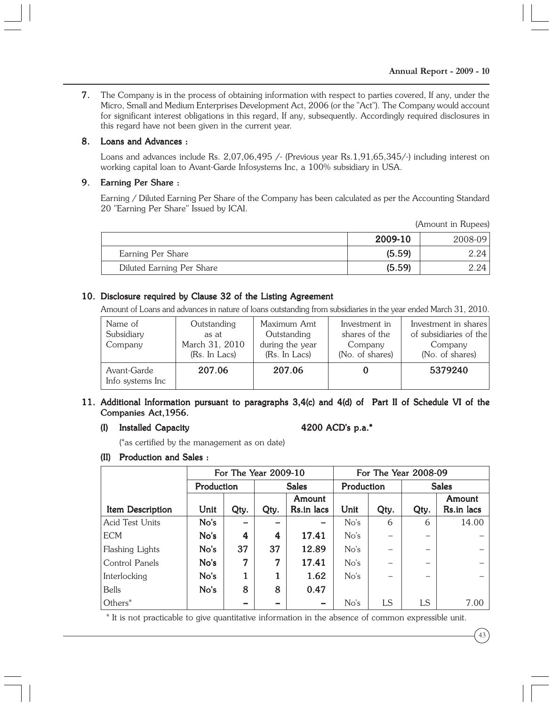7. The Company is in the process of obtaining information with respect to parties covered, If any, under the Micro, Small and Medium Enterprises Development Act, 2006 (or the "Act"). The Company would account for significant interest obligations in this regard, If any, subsequently. Accordingly required disclosures in this regard have not been given in the current year.

#### 8. Loans and Advances :

Loans and advances include Rs. 2,07,06,495 /- (Previous year Rs.1,91,65,345/-) including interest on working capital loan to Avant-Garde Infosystems Inc, a 100% subsidiary in USA.

#### 9. Earning Per Share :

Earning / Diluted Earning Per Share of the Company has been calculated as per the Accounting Standard 20 "Earning Per Share" Issued by ICAI.

(Amount in Rupees)

|                           | 2009-10 | $2008 - 09$ |
|---------------------------|---------|-------------|
| Earning Per Share         | (5.59)  | 2.24 I      |
| Diluted Earning Per Share | (5.59)  | $-.24$      |

#### 10. Disclosure required by Clause 32 of the Listing Agreement

Amount of Loans and advances in nature of loans outstanding from subsidiaries in the year ended March 31, 2010.

| Name of<br>Subsidiary<br>Company | Outstanding<br>as at<br>March 31, 2010<br>(Rs. In Lacs) | Maximum Amt<br>Outstanding<br>during the year<br>(Rs. In Lacs) | Investment in<br>shares of the<br>Company<br>(No. of shares) | Investment in shares<br>of subsidiaries of the<br>Company<br>(No. of shares) |
|----------------------------------|---------------------------------------------------------|----------------------------------------------------------------|--------------------------------------------------------------|------------------------------------------------------------------------------|
| Avant-Garde<br>Info systems Inc  | 207.06                                                  | 207.06                                                         |                                                              | 5379240                                                                      |

#### 11. Additional Information pursuant to paragraphs 3,4(c) and 4(d) of Part II of Schedule VI of the Companies Act,1956.

(I) Installed Capacity 4200 ACD's p.a.\*

(\*as certified by the management as on date)

#### (II) Production and Sales :

|                         |            |      | For The Year 2009-10 |              | For The Year 2008-09 |                            |      |            |
|-------------------------|------------|------|----------------------|--------------|----------------------|----------------------------|------|------------|
|                         | Production |      |                      | <b>Sales</b> |                      | Production<br><b>Sales</b> |      |            |
|                         |            |      |                      | Amount       |                      |                            |      | Amount     |
| <b>Item Description</b> | Unit       | Qty. | Qty.                 | Rs.in lacs   | Unit                 | Qty.                       | Qty. | Rs.in lacs |
| <b>Acid Test Units</b>  | No's       |      |                      |              | No's                 | 6                          | 6    | 14.00      |
| <b>ECM</b>              | No's       | 4    | 4                    | 17.41        | No's                 | -                          |      |            |
| Flashing Lights         | No's       | 37   | 37                   | 12.89        | No's                 |                            |      |            |
| Control Panels          | No's       | 7    | 7                    | 17.41        | No's                 |                            |      |            |
| Interlocking            | No's       |      |                      | 1.62         | No's                 |                            |      |            |
| <b>Bells</b>            | No's       | 8    | 8                    | 0.47         |                      |                            |      |            |
| Others*                 |            |      |                      |              | No's                 | LS                         | LS   | 7.00       |

\* It is not practicable to give quantitative information in the absence of common expressible unit.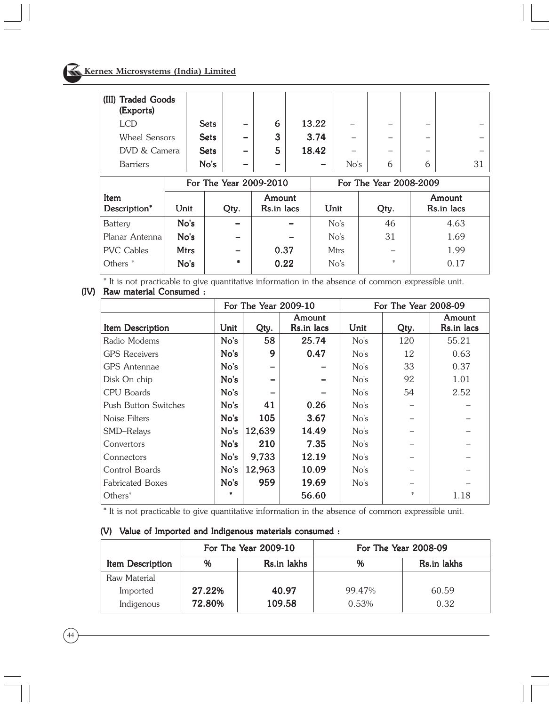# Kernex Microsystems (India) Limited

| (III) Traded Goods<br>(Exports) |             |                          |        |                          |      |                          |                          |    |
|---------------------------------|-------------|--------------------------|--------|--------------------------|------|--------------------------|--------------------------|----|
| <b>LCD</b>                      | <b>Sets</b> | -                        | 6      | 13.22                    |      |                          | $\overline{\phantom{a}}$ |    |
| <b>Wheel Sensors</b>            | <b>Sets</b> | -                        | 3      | 3.74                     | -    | $\overline{\phantom{a}}$ | $\overline{\phantom{a}}$ |    |
| DVD & Camera                    | <b>Sets</b> | -                        | 5      | 18.42                    | -    | -                        |                          |    |
| <b>Barriers</b>                 | No's        | $\overline{\phantom{a}}$ | $\sim$ | $\overline{\phantom{0}}$ | No's | b                        | b                        | 31 |

|                      |             | For The Year 2009-2010 |                      | For The Year 2008-2009 |      |                      |  |
|----------------------|-------------|------------------------|----------------------|------------------------|------|----------------------|--|
| Item<br>Description* | Unit        | Qty.                   | Amount<br>Rs.in lacs | Unit                   | Qty. | Amount<br>Rs.in lacs |  |
| <b>Battery</b>       | No's        |                        |                      | No's                   | 46   | 4.63                 |  |
| Planar Antenna       | No's        |                        |                      | No's                   | 31   | 1.69                 |  |
| <b>PVC Cables</b>    | <b>Mtrs</b> |                        | 0.37                 | <b>Mtrs</b>            |      | 1.99                 |  |
| Others <sup>*</sup>  | No's        | ٠                      | 0.22                 | No's                   | *    | 0.17                 |  |

\* It is not practicable to give quantitative information in the absence of common expressible unit. (IV) Raw material Consumed :

|                         |      | For The Year 2009-10 |                      |      | For The Year 2008-09 |                      |
|-------------------------|------|----------------------|----------------------|------|----------------------|----------------------|
| <b>Item Description</b> | Unit | Qty.                 | Amount<br>Rs.in lacs | Unit | Qty.                 | Amount<br>Rs.in lacs |
| Radio Modems            | No's | 58                   | 25.74                | No's | 120                  | 55.21                |
| <b>GPS</b> Receivers    | No's | 9                    | 0.47                 | No's | 12                   | 0.63                 |
| <b>GPS</b> Antennae     | No's |                      |                      | No's | 33                   | 0.37                 |
| Disk On chip            | No's |                      |                      | No's | 92                   | 1.01                 |
| CPU Boards              | No's |                      |                      | No's | 54                   | 2.52                 |
| Push Button Switches    | No's | 41                   | 0.26                 | No's |                      |                      |
| Noise Filters           | No's | 105                  | 3.67                 | No's |                      |                      |
| SMD-Relays              | No's | 12,639               | 14.49                | No's |                      |                      |
| Convertors              | No's | 210                  | 7.35                 | No's |                      |                      |
| Connectors              | No's | 9,733                | 12.19                | No's |                      |                      |
| Control Boards          | No's | 12,963               | 10.09                | No's |                      |                      |
| <b>Fabricated Boxes</b> | No's | 959                  | 19.69                | No's |                      |                      |
| Others*                 |      |                      | 56.60                |      | *                    | 1.18                 |

\* It is not practicable to give quantitative information in the absence of common expressible unit.

|                         |        | For The Year 2009-10 |        | For The Year 2008-09 |
|-------------------------|--------|----------------------|--------|----------------------|
| <b>Item Description</b> | %      | Rs.in lakhs          | %      | Rs.in lakhs          |
| Raw Material            |        |                      |        |                      |
| Imported                | 27.22% | 40.97                | 99.47% | 60.59                |
| Indigenous              | 72.80% | 109.58               | 0.53%  | 0.32                 |

#### (V) Value of Imported and Indigenous materials consumed :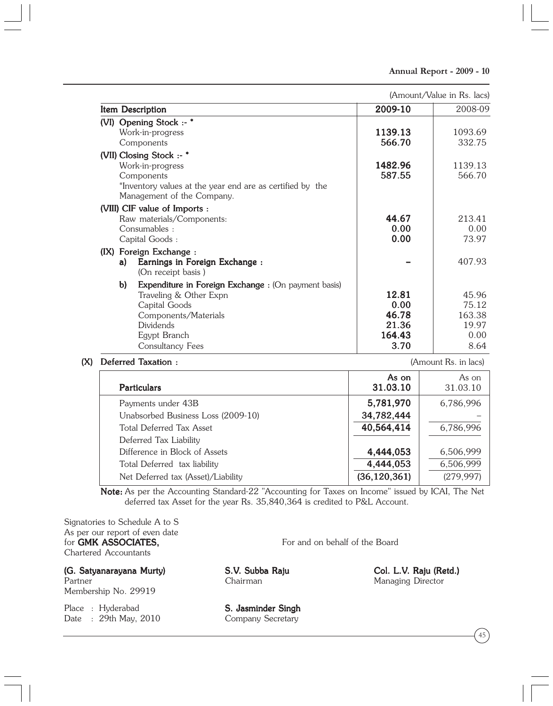| (Amount/Value in Rs. lacs) |  |  |  |  |  |
|----------------------------|--|--|--|--|--|
|----------------------------|--|--|--|--|--|

| Item Description                                                                                                                                                                                                            | 2009-10                                           | 2008-09                                           |
|-----------------------------------------------------------------------------------------------------------------------------------------------------------------------------------------------------------------------------|---------------------------------------------------|---------------------------------------------------|
| (VI) Opening Stock :- *<br>Work-in-progress<br>Components                                                                                                                                                                   | 1139.13<br>566.70                                 | 1093.69<br>332.75                                 |
| (VII) Closing Stock :- *<br>Work-in-progress<br>Components<br>*Inventory values at the year end are as certified by the<br>Management of the Company.                                                                       | 1482.96<br>587.55                                 | 1139.13<br>566.70                                 |
| (VIII) CIF value of Imports :<br>Raw materials/Components:<br>Consumables:<br>Capital Goods:<br>(IX) Foreign Exchange :<br>Earnings in Foreign Exchange :<br>a)                                                             | 44.67<br>0.00<br>0.00                             | 213.41<br>0.00<br>73.97<br>407.93                 |
| (On receipt basis)<br>$\mathbf{b}$<br><b>Expenditure in Foreign Exchange:</b> (On payment basis)<br>Traveling & Other Expn<br>Capital Goods<br>Components/Materials<br><b>Dividends</b><br>Egypt Branch<br>Consultancy Fees | 12.81<br>0.00<br>46.78<br>21.36<br>164.43<br>3.70 | 45.96<br>75.12<br>163.38<br>19.97<br>0.00<br>8.64 |

#### (X) Deferred Taxation : axation : axation : axation is a set of the set of  $(Amount Rs. in lacs)$

| <b>Particulars</b>                 | As on<br>31.03.10 | As on<br>31.03.10 |
|------------------------------------|-------------------|-------------------|
| Payments under 43B                 | 5,781,970         | 6,786,996         |
| Unabsorbed Business Loss (2009-10) | 34,782,444        |                   |
| <b>Total Deferred Tax Asset</b>    | 40,564,414        | 6,786,996         |
| Deferred Tax Liability             |                   |                   |
| Difference in Block of Assets      | 4,444,053         | 6,506,999         |
| Total Deferred tax liability       | 4,444,053         | 6,506,999         |
| Net Deferred tax (Asset)/Liability | (36, 120, 361)    | (279, 997)        |

Note: As per the Accounting Standard-22 "Accounting for Taxes on Income" issued by ICAI, The Net deferred tax Asset for the year Rs. 35,840,364 is credited to P&L Account.

Signatories to Schedule A to S As per our report of even date for GMK ASSOCIATES, For and on behalf of the Board Chartered Accountants

(G. Satyanarayana Murty) (G. S.V. Subba Raju Col. L.V. Raju (Retd.) . (Retd.) Membership No. 29919

Place : Hyderabad **S. Jasminder Singh** Date : 29th May, 2010 Company Secretary

Managing Director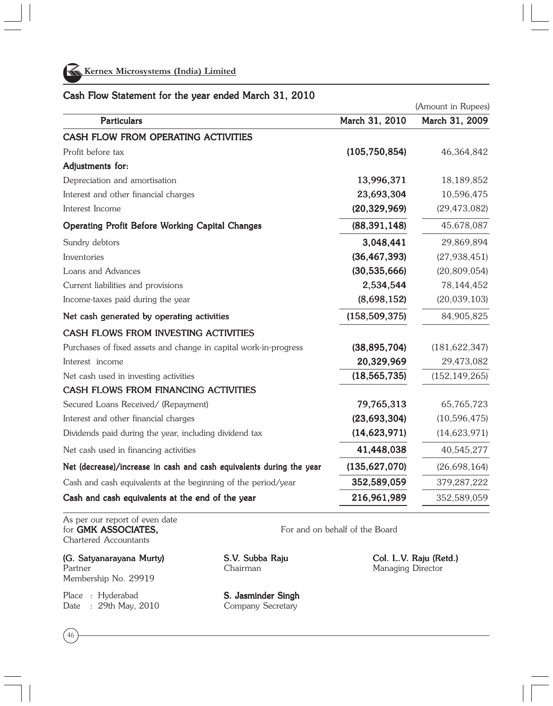

#### Cash Flow Statement for the year ended March 31, 2010

|                                                                      |                 | (Amount in Rupees) |
|----------------------------------------------------------------------|-----------------|--------------------|
| <b>Particulars</b>                                                   | March 31, 2010  | March 31, 2009     |
| CASH FLOW FROM OPERATING ACTIVITIES                                  |                 |                    |
| Profit before tax                                                    | (105, 750, 854) | 46,364,842         |
| Adjustments for:                                                     |                 |                    |
| Depreciation and amortisation                                        | 13,996,371      | 18,189,852         |
| Interest and other financial charges                                 | 23,693,304      | 10,596,475         |
| Interest Income                                                      | (20, 329, 969)  | (29, 473, 082)     |
| <b>Operating Profit Before Working Capital Changes</b>               | (88, 391, 148)  | 45,678,087         |
| Sundry debtors                                                       | 3,048,441       | 29,869,894         |
| Inventories                                                          | (36, 467, 393)  | (27, 938, 451)     |
| Loans and Advances                                                   | (30, 535, 666)  | (20, 809, 054)     |
| Current liabilities and provisions                                   | 2,534,544       | 78,144,452         |
| Income-taxes paid during the year                                    | (8,698,152)     | (20,039,103)       |
| Net cash generated by operating activities                           | (158, 509, 375) | 84,905,825         |
| CASH FLOWS FROM INVESTING ACTIVITIES                                 |                 |                    |
| Purchases of fixed assets and change in capital work-in-progress     | (38, 895, 704)  | (181, 622, 347)    |
| Interest income                                                      | 20,329,969      | 29,473,082         |
| Net cash used in investing activities                                | (18, 565, 735)  | (152, 149, 265)    |
| CASH FLOWS FROM FINANCING ACTIVITIES                                 |                 |                    |
| Secured Loans Received/ (Repayment)                                  | 79,765,313      | 65,765,723         |
| Interest and other financial charges                                 | (23, 693, 304)  | (10, 596, 475)     |
| Dividends paid during the year, including dividend tax               | (14, 623, 971)  | (14, 623, 971)     |
| Net cash used in financing activities                                | 41,448,038      | 40,545,277         |
| Net (decrease)/increase in cash and cash equivalents during the year | (135, 627, 070) | (26, 698, 164)     |
| Cash and cash equivalents at the beginning of the period/year        | 352,589,059     | 379,287,222        |
| Cash and cash equivalents at the end of the year                     | 216,961,989     | 352,589,059        |

As per our report of even date<br>for **GMK ASSOCIATES.** Chartered Accountants

(G. Satyanarayana Murty) (G. Satyanarayana Murty) (G. Satyanarayana Murty) (G. Satyanarayana S.V. Subba Raju (Retd.) . Raju (Retd.) . Raju (Retd.) . Raju (Retd.) . Raju (Retd.) . Raju (Retd.) . Raju (Retd.) . Raju (Retd.) Partner Chairman Chairman Managing Director

Membership No. 29919

Date : 29th May, 2010 Company Secretary

46

Place : Hyderabad **S. Jasminder Singh** 

For and on behalf of the Board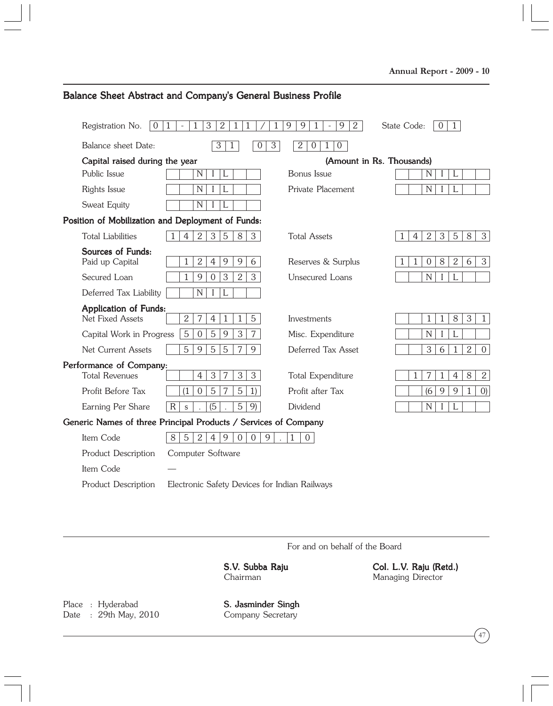| Registration No.<br>$\overline{0}$ | 3<br>$\mathbf{1}$<br>1<br>$\overline{2}$<br>1                   | 9<br>$\overline{2}$<br>9<br>$\mathbf{1}$<br>9 | $\mathbf{1}$<br>State Code:<br>$\Omega$                                                      |
|------------------------------------|-----------------------------------------------------------------|-----------------------------------------------|----------------------------------------------------------------------------------------------|
| Balance sheet Date:                | 3<br>$\overline{3}$<br>$\mathbf{1}$<br>$\Omega$                 | 2<br>$\overline{0}$<br>$\overline{0}$<br>1    |                                                                                              |
| Capital raised during the year     |                                                                 |                                               | (Amount in Rs. Thousands)                                                                    |
| Public Issue                       | N<br>L<br>$\perp$                                               | Bonus Issue                                   | $\mathbf N$<br>L                                                                             |
| Rights Issue                       | $\mathbb N$<br>L                                                | Private Placement                             | N<br>L                                                                                       |
| Sweat Equity                       | N                                                               |                                               |                                                                                              |
|                                    | Position of Mobilization and Deployment of Funds:               |                                               |                                                                                              |
| <b>Total Liabilities</b>           | $\overline{2}$<br>3<br>$\overline{4}$<br>5<br>8<br>3            | <b>Total Assets</b>                           | $\overline{5}$<br>$\overline{2}$<br>3<br>8<br>$\mathbf{3}$<br>$\mathbf{1}$<br>$\overline{4}$ |
| Sources of Funds:                  |                                                                 |                                               |                                                                                              |
| Paid up Capital                    | $\mathbf{2}$<br>$\overline{4}$<br>9<br>9<br>6<br>1              | Reserves & Surplus                            | $\mathbf{2}$<br>$\mathbf{3}$<br>8<br>6<br>$\overline{0}$<br>1                                |
| Secured Loan                       | 2<br>3<br>$\mathbf{1}$<br>9<br>3<br>$\overline{0}$              | Unsecured Loans                               | $\mathbf N$<br>L<br>$\mathbf{I}$                                                             |
| Deferred Tax Liability             | N<br>L                                                          |                                               |                                                                                              |
| Application of Funds:              |                                                                 |                                               |                                                                                              |
| Net Fixed Assets                   | $\overline{2}$<br>7<br>5<br>$\overline{4}$<br>$\mathbf 1$<br>1  | <b>Investments</b>                            | 8<br>3<br>$\mathbf{1}$<br>$\mathbf{1}$<br>1                                                  |
| Capital Work in Progress           | 5<br>3<br>5<br>9<br>$\overline{7}$<br>$\Omega$                  | Misc. Expenditure                             | N                                                                                            |
| Net Current Assets                 | 5<br>9<br>5<br>7<br>9<br>5                                      | Deferred Tax Asset                            | 3<br>$\overline{2}$<br>$\mathbf{1}$<br>$\overline{0}$<br>6                                   |
| Performance of Company:            |                                                                 |                                               |                                                                                              |
| <b>Total Revenues</b>              | $\mathfrak{B}$<br>3<br>3<br>$\overline{4}$<br>7                 | <b>Total Expenditure</b>                      | 8<br>$\mathbf{2}^{\prime}$<br>7<br>$\overline{4}$<br>$\mathbf{1}$<br>1                       |
| Profit Before Tax                  | 5<br>5<br>1)<br>7<br>$\overline{0}$<br>(1)                      | Profit after Tax                              | 9<br>(6)<br>9<br>$\mathbf{1}$<br>(0)                                                         |
| Earning Per Share                  | (5)<br>$\overline{5}$<br>9)<br>$\mathbf R$<br>$\mathsf{s}$      | Dividend                                      | N<br>I                                                                                       |
|                                    | Generic Names of three Principal Products / Services of Company |                                               |                                                                                              |
| Item Code                          | 8<br>5<br>2<br>4 <br>9<br>9<br>$\Omega$<br>$\overline{0}$       | 1<br>$\overline{0}$                           |                                                                                              |
| <b>Product Description</b>         | Computer Software                                               |                                               |                                                                                              |
| Item Code                          |                                                                 |                                               |                                                                                              |
| <b>Product Description</b>         | Electronic Safety Devices for Indian Railways                   |                                               |                                                                                              |

## Balance Sheet Abstract and Company's General Business Profile

For and on behalf of the Board

S.V. Subba Raju Col. L.V. Raju (Retd.) Chairman Managing Director

Place : Hyderabad **S. Jasminder Singh** Date : 29th May, 2010 Company Secretary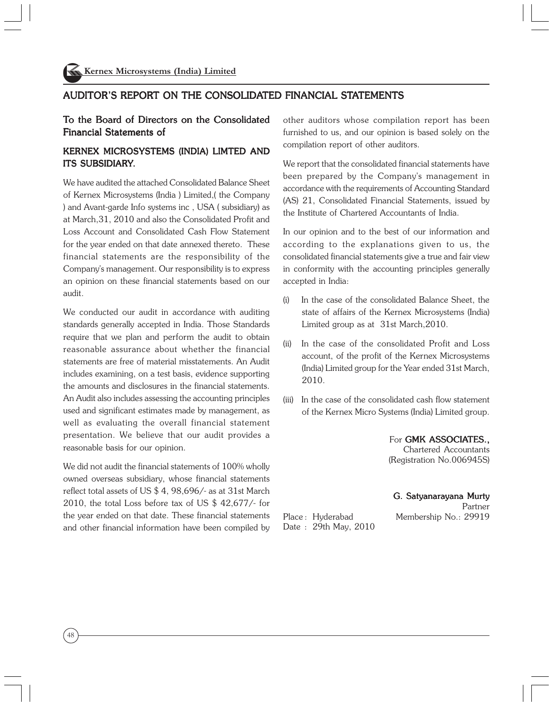#### AUDITOR'S REPORT ON THE CONSOLIDATED FINANCIAL STATEMENTS

#### To the Board of Directors on the Consolidated Financial Statements of

#### KERNEX MICROSYSTEMS (INDIA) LIMTED AND ITS SUBSIDIARY.

We have audited the attached Consolidated Balance Sheet of Kernex Microsystems (India ) Limited,( the Company ) and Avant-garde Info systems inc , USA ( subsidiary) as at March,31, 2010 and also the Consolidated Profit and Loss Account and Consolidated Cash Flow Statement for the year ended on that date annexed thereto. These financial statements are the responsibility of the Company's management. Our responsibility is to express an opinion on these financial statements based on our audit.

We conducted our audit in accordance with auditing standards generally accepted in India. Those Standards require that we plan and perform the audit to obtain reasonable assurance about whether the financial statements are free of material misstatements. An Audit includes examining, on a test basis, evidence supporting the amounts and disclosures in the financial statements. An Audit also includes assessing the accounting principles used and significant estimates made by management, as well as evaluating the overall financial statement presentation. We believe that our audit provides a reasonable basis for our opinion.

We did not audit the financial statements of 100% wholly owned overseas subsidiary, whose financial statements reflect total assets of US \$ 4, 98,696/- as at 31st March 2010, the total Loss before tax of US \$ 42,677/- for the year ended on that date. These financial statements and other financial information have been compiled by other auditors whose compilation report has been furnished to us, and our opinion is based solely on the compilation report of other auditors.

We report that the consolidated financial statements have been prepared by the Company's management in accordance with the requirements of Accounting Standard (AS) 21, Consolidated Financial Statements, issued by the Institute of Chartered Accountants of India.

In our opinion and to the best of our information and according to the explanations given to us, the consolidated financial statements give a true and fair view in conformity with the accounting principles generally accepted in India:

- (i) In the case of the consolidated Balance Sheet, the state of affairs of the Kernex Microsystems (India) Limited group as at 31st March,2010.
- (ii) In the case of the consolidated Profit and Loss account, of the profit of the Kernex Microsystems (India) Limited group for the Year ended 31st March, 2010.
- (iii) In the case of the consolidated cash flow statement of the Kernex Micro Systems (India) Limited group.

For GMK ASSOCIATES., Chartered Accountants (Registration No.006945S)

#### G. Satyanarayana Murty

 Partner Place : Hyderabad Membership No.: 29919

Date : 29th May, 2010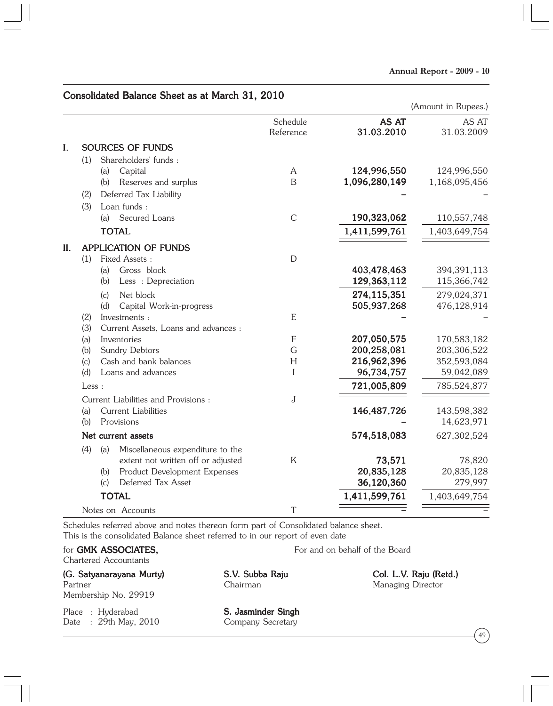#### Consolidated Balance Sheet as at March 31, 2010

|     |       |                                         |                           |                     | (Amount in Rupees.) |
|-----|-------|-----------------------------------------|---------------------------|---------------------|---------------------|
|     |       |                                         | Schedule<br>Reference     | AS AT<br>31.03.2010 | AS AT<br>31.03.2009 |
| I.  |       | <b>SOURCES OF FUNDS</b>                 |                           |                     |                     |
|     | (1)   | Shareholders' funds:                    |                           |                     |                     |
|     |       | Capital<br>(a)                          | A                         | 124,996,550         | 124,996,550         |
|     |       | (b)<br>Reserves and surplus             | $\overline{B}$            | 1,096,280,149       | 1,168,095,456       |
|     | (2)   | Deferred Tax Liability                  |                           |                     |                     |
|     | (3)   | Loan funds:                             |                           |                     |                     |
|     |       | Secured Loans<br>(a)                    | $\mathcal{C}$             | 190,323,062         | 110,557,748         |
|     |       | <b>TOTAL</b>                            |                           | 1,411,599,761       | 1,403,649,754       |
| II. |       | <b>APPLICATION OF FUNDS</b>             |                           |                     |                     |
|     | (1)   | Fixed Assets:                           | $\mathbf D$               |                     |                     |
|     |       | Gross block<br>(a)                      |                           | 403,478,463         | 394,391,113         |
|     |       | Less : Depreciation<br>(b)              |                           | 129,363,112         | 115,366,742         |
|     |       | Net block<br>(c)                        |                           | 274,115,351         | 279,024,371         |
|     |       | (d)<br>Capital Work-in-progress         |                           | 505,937,268         | 476,128,914         |
|     | (2)   | Investments :                           | E                         |                     |                     |
|     | (3)   | Current Assets, Loans and advances :    |                           |                     |                     |
|     | (a)   | Inventories                             | $\boldsymbol{\mathsf{F}}$ | 207,050,575         | 170,583,182         |
|     | (b)   | Sundry Debtors                          | G                         | 200,258,081         | 203,306,522         |
|     | (c)   | Cash and bank balances                  | H                         | 216,962,396         | 352,593,084         |
|     | (d)   | Loans and advances                      | I                         | 96,734,757          | 59,042,089          |
|     | Less: |                                         |                           | 721,005,809         | 785,524,877         |
|     |       | Current Liabilities and Provisions:     | J                         |                     |                     |
|     | (a)   | <b>Current Liabilities</b>              |                           | 146, 487, 726       | 143,598,382         |
|     | (b)   | Provisions                              |                           |                     | 14,623,971          |
|     |       | Net current assets                      |                           | 574,518,083         | 627,302,524         |
|     | (4)   | Miscellaneous expenditure to the<br>(a) |                           |                     |                     |
|     |       | extent not written off or adjusted      | $\mathsf{K}$              | 73,571              | 78,820              |
|     |       | Product Development Expenses<br>(b)     |                           | 20,835,128          | 20,835,128          |
|     |       | Deferred Tax Asset<br>(c)               |                           | 36,120,360          | 279,997             |
|     |       | <b>TOTAL</b>                            |                           | 1,411,599,761       | 1,403,649,754       |
|     |       | Notes on Accounts                       | T                         |                     |                     |

Schedules referred above and notes thereon form part of Consolidated balance sheet. This is the consolidated Balance sheet referred to in our report of even date

#### for **GMK ASSOCIATES**, For and on behalf of the Board

Chartered Accountants

# (G. Satyanarayana Murty) (G. Satyanarayana Murty) (G. Satyanarayana Murty) (G. Satyanarayana Col. L.V. Raju (Retd.) . Raju (Retd.) . Raju (Retd.) . Raju (Retd.) . Raju (Retd.) . Raju (Retd.) . Raju (Retd.) . Raju (Retd.) . Membership No. 29919

Place : Hyderabad S. Jasminder Singh

Managing Director

Date : 29th May, 2010 Company Secretary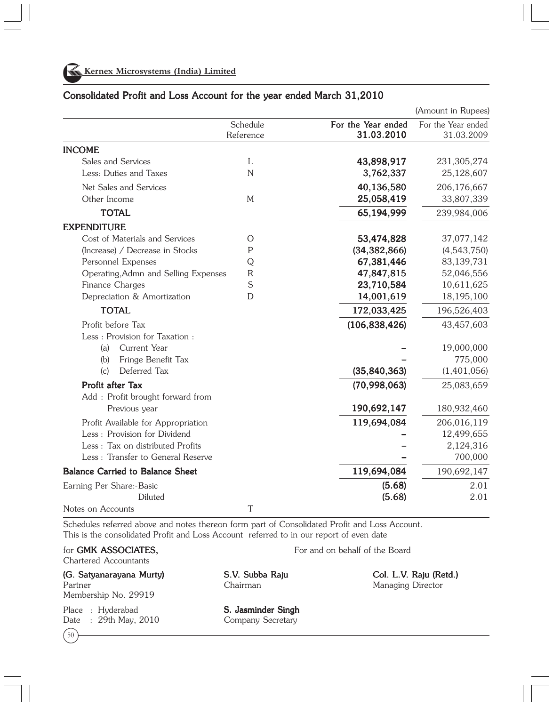

|                                                       |                       |                                  | (Amount in Rupees)               |
|-------------------------------------------------------|-----------------------|----------------------------------|----------------------------------|
|                                                       | Schedule<br>Reference | For the Year ended<br>31.03.2010 | For the Year ended<br>31.03.2009 |
| <b>INCOME</b>                                         |                       |                                  |                                  |
| Sales and Services                                    | L                     | 43,898,917                       | 231,305,274                      |
| Less: Duties and Taxes                                | $\overline{N}$        | 3,762,337                        | 25,128,607                       |
| Net Sales and Services                                |                       | 40,136,580                       | 206,176,667                      |
| Other Income                                          | M                     | 25,058,419                       | 33,807,339                       |
| <b>TOTAL</b>                                          |                       | 65,194,999                       | 239,984,006                      |
| <b>EXPENDITURE</b>                                    |                       |                                  |                                  |
| Cost of Materials and Services                        | O                     | 53,474,828                       | 37,077,142                       |
| (Increase) / Decrease in Stocks                       | $\mathsf{P}$          | (34, 382, 866)                   | (4,543,750)                      |
| Personnel Expenses                                    | Q                     | 67,381,446                       | 83,139,731                       |
| Operating, Admn and Selling Expenses                  | $\mathsf{R}$          | 47,847,815                       | 52,046,556                       |
| Finance Charges                                       | S                     | 23,710,584                       | 10,611,625                       |
| Depreciation & Amortization                           | D                     | 14,001,619                       | 18,195,100                       |
| <b>TOTAL</b>                                          |                       | 172,033,425                      | 196,526,403                      |
| Profit before Tax                                     |                       | (106, 838, 426)                  | 43,457,603                       |
| Less: Provision for Taxation:                         |                       |                                  |                                  |
| Current Year<br>(a)                                   |                       |                                  | 19,000,000                       |
| Fringe Benefit Tax<br>(b)                             |                       |                                  | 775,000                          |
| Deferred Tax<br>(c)                                   |                       | (35, 840, 363)                   | (1,401,056)                      |
| Profit after Tax<br>Add : Profit brought forward from |                       | (70,998,063)                     | 25,083,659                       |
| Previous year                                         |                       | 190,692,147                      | 180,932,460                      |
| Profit Available for Appropriation                    |                       | 119,694,084                      | 206,016,119                      |
| Less: Provision for Dividend                          |                       |                                  | 12,499,655                       |
| Less: Tax on distributed Profits                      |                       |                                  | 2,124,316                        |
| Less: Transfer to General Reserve                     |                       |                                  | 700,000                          |
| <b>Balance Carried to Balance Sheet</b>               |                       | 119,694,084                      | 190,692,147                      |
| Earning Per Share:-Basic                              |                       | (5.68)                           | 2.01                             |
| Diluted                                               |                       | (5.68)                           | 2.01                             |
| Notes on Accounts                                     | T                     |                                  |                                  |

#### Consolidated Profit and Loss Account for the year ended March 31,2010

Schedules referred above and notes thereon form part of Consolidated Profit and Loss Account. This is the consolidated Profit and Loss Account referred to in our report of even date

#### for **GMK ASSOCIATES,** For and on behalf of the Board

Chartered Accountants

(G. Satyanarayana Murty) S.V. Subba Raju Col. L.V. Raju (Retd.) Partner **Managing Director** Chairman Chairman Managing Director Membership No. 29919

Date : 29th May, 2010 Company Secretary

 $\mathfrak{c}_{50}$ 

Place : Hyderabad **S. Jasminder Singh**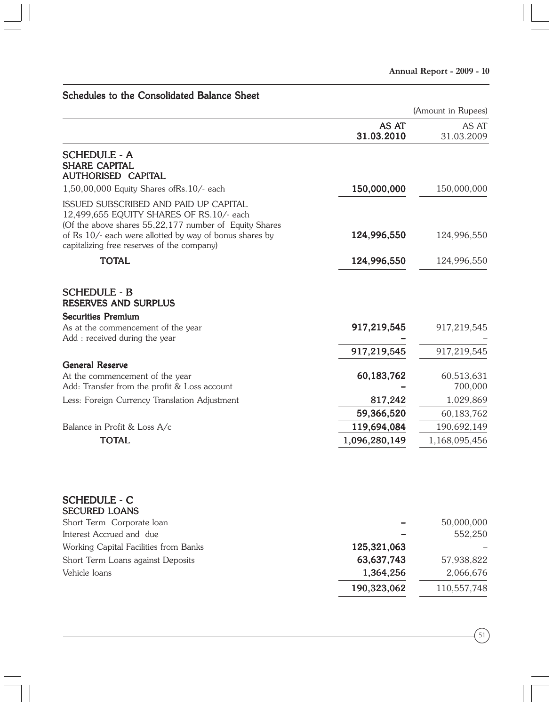Schedules to the Consolidated Balance Sheet

|                                                                                                                                                                                                                                                      | AS AT<br>31.03.2010 | AS AT<br>31.03.2009 |
|------------------------------------------------------------------------------------------------------------------------------------------------------------------------------------------------------------------------------------------------------|---------------------|---------------------|
| SCHEDULE - A<br><b>SHARE CAPITAL</b><br><b>AUTHORISED CAPITAL</b>                                                                                                                                                                                    |                     |                     |
| 1,50,00,000 Equity Shares of Rs. 10/- each                                                                                                                                                                                                           | 150,000,000         | 150,000,000         |
| ISSUED SUBSCRIBED AND PAID UP CAPITAL<br>12,499,655 EQUITY SHARES OF RS.10/- each<br>(Of the above shares 55,22,177 number of Equity Shares<br>of Rs 10/- each were allotted by way of bonus shares by<br>capitalizing free reserves of the company) | 124,996,550         | 124,996,550         |
| <b>TOTAL</b>                                                                                                                                                                                                                                         | 124,996,550         | 124,996,550         |
| <b>SCHEDULE - B</b><br><b>RESERVES AND SURPLUS</b>                                                                                                                                                                                                   |                     |                     |
| <b>Securities Premium</b><br>As at the commencement of the year                                                                                                                                                                                      | 917,219,545         | 917,219,545         |
| Add: received during the year                                                                                                                                                                                                                        |                     |                     |
|                                                                                                                                                                                                                                                      | 917,219,545         | 917,219,545         |
| <b>General Reserve</b>                                                                                                                                                                                                                               |                     |                     |
| At the commencement of the year                                                                                                                                                                                                                      | 60,183,762          | 60,513,631          |
| Add: Transfer from the profit & Loss account                                                                                                                                                                                                         |                     | 700,000             |
| Less: Foreign Currency Translation Adjustment                                                                                                                                                                                                        | 817,242             | 1,029,869           |
|                                                                                                                                                                                                                                                      | 59,366,520          | 60,183,762          |
| Balance in Profit & Loss A/c                                                                                                                                                                                                                         | 119,694,084         | 190,692,149         |
| <b>TOTAL</b>                                                                                                                                                                                                                                         | 1,096,280,149       | 1,168,095,456       |
| <b>SCHEDULE - C</b><br><b>SECURED LOANS</b>                                                                                                                                                                                                          |                     |                     |
| Short Term Corporate loan                                                                                                                                                                                                                            |                     | 50,000,000          |
| Interest Accrued and due                                                                                                                                                                                                                             |                     | 552,250             |
| Working Capital Facilities from Banks                                                                                                                                                                                                                | 125,321,063         |                     |
| Short Term Loans against Deposits                                                                                                                                                                                                                    | 63,637,743          | 57,938,822          |
| Vehicle loans                                                                                                                                                                                                                                        | 1,364,256           | 2,066,676           |
|                                                                                                                                                                                                                                                      | 190,323,062         | 110,557,748         |
|                                                                                                                                                                                                                                                      |                     |                     |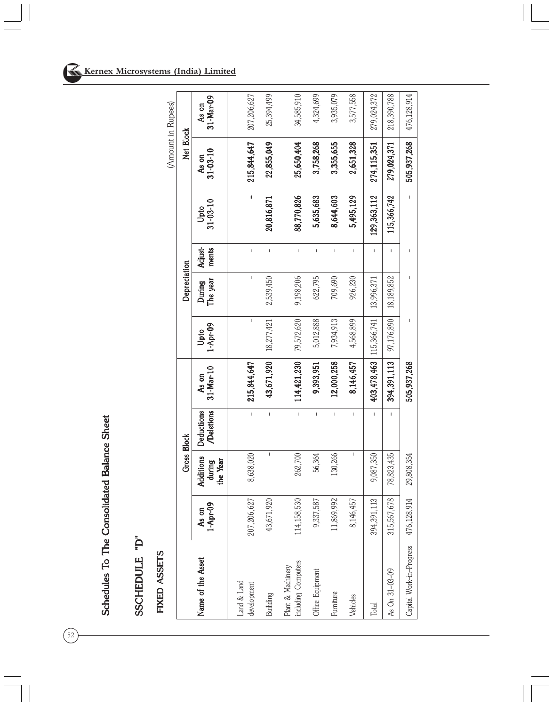# SSCHEDULE "D" SSCHEDULE "D"

# FIXED ASSETS FIXED ASSETS

|                                          |                   |                                                                                                                                                                                                                                                                                                                                                                                  |                         |                    |                  |                    |                                       |                        |                         | (Amount in Rupees) |  |
|------------------------------------------|-------------------|----------------------------------------------------------------------------------------------------------------------------------------------------------------------------------------------------------------------------------------------------------------------------------------------------------------------------------------------------------------------------------|-------------------------|--------------------|------------------|--------------------|---------------------------------------|------------------------|-------------------------|--------------------|--|
|                                          |                   | <b>Gross Block</b>                                                                                                                                                                                                                                                                                                                                                               |                         |                    |                  | Depreciation       |                                       |                        | Net Block               |                    |  |
| Name of the Asset                        | As on<br>1-Apr-09 | Additions<br>the Year<br>during                                                                                                                                                                                                                                                                                                                                                  | Deductions<br>Deletions | 31-Mar-10<br>As on | 1-Apr-09<br>Upto | The year<br>During | Adjust-<br>ments                      | $31 - 03 - 10$<br>Upto | $31 - 03 - 10$<br>As on | 31-Mar-09<br>As on |  |
| Land & Land<br>development               | 207,206,627       | 8,638,020                                                                                                                                                                                                                                                                                                                                                                        | $\mathbf{I}$            | 215,844,647        | I.               | I                  | $\mathbf{I}$                          | $\blacksquare$         | 215,844,647             | 207,206,627        |  |
| Builiding                                | 026<br>43,671     | $\sf I$                                                                                                                                                                                                                                                                                                                                                                          | $\mathbf{I}$            | 43,671,920         | 18,277,421       | 2,539,450          | $\overline{1}$                        | 20,816,871             | 22,855,049              | 25,394,499         |  |
| including Computers<br>Plant & Machinery | 114,158,530       | 262,700                                                                                                                                                                                                                                                                                                                                                                          | $\bar{1}$               | 114,421,230        | 79,572,620       | 9,198,206          | $\overline{1}$                        | 88,770,826             | 25,650,404              | 34,585,910         |  |
| Office Equipment                         | 587<br>9,337      | 56,364                                                                                                                                                                                                                                                                                                                                                                           | $\mathbf{I}$            | 9,393,951          | 5,012,888        | 622,795            | $\mathbf{I}$                          | 5,635,683              | 3,758,268               | 4,324,699          |  |
| Furniture                                | ,992<br>11,869    | 130,266                                                                                                                                                                                                                                                                                                                                                                          | Ï                       | 12,000,258         | 7,934,913        | 709,690            | I                                     | 8,644,603              | 3,355,655               | 3,935,079          |  |
| Vehicles                                 | 8,146,457         | $\begin{array}{c} \rule{0pt}{2.5ex} \rule{0pt}{2.5ex} \rule{0pt}{2.5ex} \rule{0pt}{2.5ex} \rule{0pt}{2.5ex} \rule{0pt}{2.5ex} \rule{0pt}{2.5ex} \rule{0pt}{2.5ex} \rule{0pt}{2.5ex} \rule{0pt}{2.5ex} \rule{0pt}{2.5ex} \rule{0pt}{2.5ex} \rule{0pt}{2.5ex} \rule{0pt}{2.5ex} \rule{0pt}{2.5ex} \rule{0pt}{2.5ex} \rule{0pt}{2.5ex} \rule{0pt}{2.5ex} \rule{0pt}{2.5ex} \rule{0$ | I                       | 8,146,457          | 4,568,899        | 926,230            | $\begin{array}{c} \hline \end{array}$ | 5,495,129              | 2,651,328               | 3,577,558          |  |
| Total                                    | 113<br>394,391    | 9,087,350                                                                                                                                                                                                                                                                                                                                                                        |                         | 403,478,463        | 115,366,741      | 13,996,371         | I                                     | 129,363,112            | 274,115,351             | 279,024,372        |  |
| As On 31-03-09                           | 678<br>315,567    | 78,823,435                                                                                                                                                                                                                                                                                                                                                                       |                         | 394, 391, 113      | 97,176,890       | 18,189,852         | I.                                    | 115,366,742            | 279,024,371             | 218,390,788        |  |
| Capital Work-in-Progress                 | 8,914<br>476,128, | 29,808,354                                                                                                                                                                                                                                                                                                                                                                       |                         | 505,937,268        |                  |                    |                                       | L                      | 505,937,268             | 476,128,914        |  |

 $\left(\overline{52}\right)$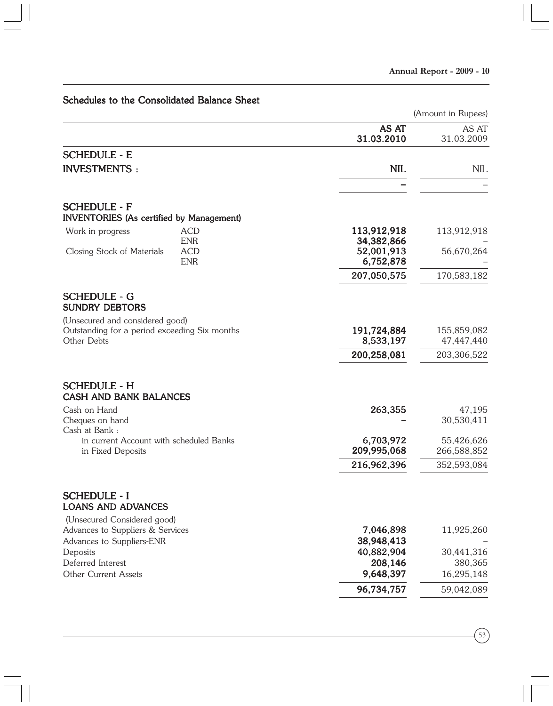# Schedules to the Consolidated Balance Sheet

|                                                                                                 |                                       | (Amount in Rupees)        |
|-------------------------------------------------------------------------------------------------|---------------------------------------|---------------------------|
|                                                                                                 | AS AT<br>31.03.2010                   | AS AT<br>31.03.2009       |
| <b>SCHEDULE - E</b>                                                                             |                                       |                           |
| <b>INVESTMENTS:</b>                                                                             | <b>NIL</b>                            | NIL                       |
|                                                                                                 |                                       |                           |
| <b>SCHEDULE - F</b><br><b>INVENTORIES</b> (As certified by Management)                          |                                       |                           |
| <b>ACD</b><br>Work in progress                                                                  | 113,912,918                           | 113,912,918               |
| <b>ENR</b><br><b>ACD</b><br>Closing Stock of Materials<br><b>ENR</b>                            | 34,382,866<br>52,001,913<br>6,752,878 | 56,670,264                |
|                                                                                                 | 207,050,575                           | 170,583,182               |
| <b>SCHEDULE - G</b><br><b>SUNDRY DEBTORS</b>                                                    |                                       |                           |
| (Unsecured and considered good)<br>Outstanding for a period exceeding Six months<br>Other Debts | 191,724,884<br>8,533,197              | 155,859,082<br>47,447,440 |
|                                                                                                 | 200,258,081                           | 203,306,522               |
| <b>SCHEDULE - H</b><br><b>CASH AND BANK BALANCES</b>                                            |                                       |                           |
| Cash on Hand                                                                                    | 263,355                               | 47,195                    |
| Cheques on hand<br>Cash at Bank:                                                                |                                       | 30,530,411                |
| in current Account with scheduled Banks<br>in Fixed Deposits                                    | 6,703,972<br>209,995,068              | 55,426,626<br>266,588,852 |
|                                                                                                 | 216,962,396                           | 352,593,084               |
| <b>SCHEDULE - I</b><br><b>LOANS AND ADVANCES</b>                                                |                                       |                           |
| (Unsecured Considered good)<br>Advances to Suppliers & Services<br>Advances to Suppliers-ENR    | 7,046,898<br>38,948,413               | 11,925,260                |
| Deposits                                                                                        | 40,882,904                            | 30,441,316                |
| Deferred Interest<br>Other Current Assets                                                       | 208,146<br>9,648,397                  | 380,365<br>16,295,148     |
|                                                                                                 | 96,734,757                            | 59,042,089                |
|                                                                                                 |                                       |                           |

 $\binom{53}{}$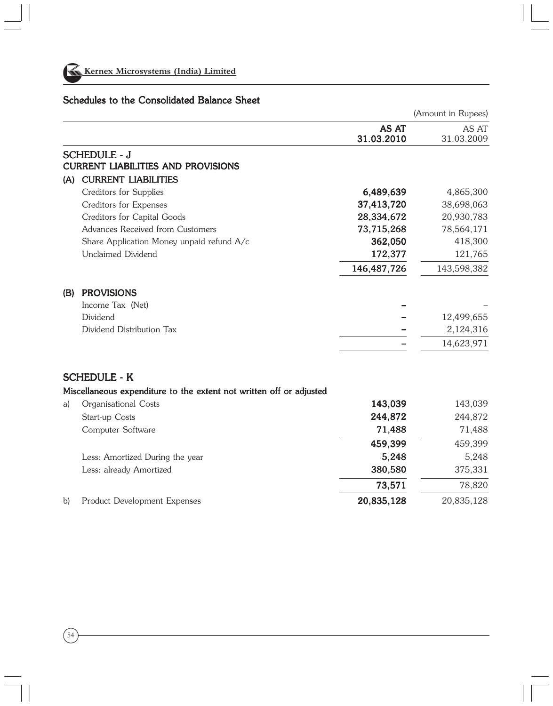

#### Schedules to the Consolidated Balance Sheet

(Amount in Rupees) AS AT AS AT 31.03.2010 31.03.2009 SCHEDULE - J **CURRENT LIABILITIES AND PROVISIONS** (A) CURRENT LIABILITIES Creditors for Supplies 6,489,639 6,489,639 6,489,6300 6,489,639 6,489,6300 6,489,6300 6,489,6300 6,489,6300  $\sigma$ Creditors for Expenses 37,413,720 37,413,720 38,698,063 Creditors for Capital Goods 28,334,672 28,334,672 20,930,783 Advances Received from Customers 73,715,268 73,715,268 78,564,171 Share Application Money unpaid refund A/c 362,050 362,050 418,300 Unclaimed Dividend 172,377 121,765 146,487,726 146,487,726 143,598,382 (B) PROVISIONS Income Tax (Net) Dividend – 12,499,655 – Dividend Distribution Tax – 2,124,316 – – 14,623,971 – SCHEDULE - K Miscellaneous expenditure to the extent not written off or adjusted a) Organisational Costs 143,039 143,039 143,039 Start-up Costs 244,872 244,872 244,872

Computer Software 71,488 71,488 71,488

Less: Amortized During the year 5,248 5,248 5,248 Less: already Amortized 380,580 380,580 375,331

b) Product Development Expenses 20,835,128 20,835,128 20,835,128

459,399 459,399 459,399

73,571 73,571 78,820

54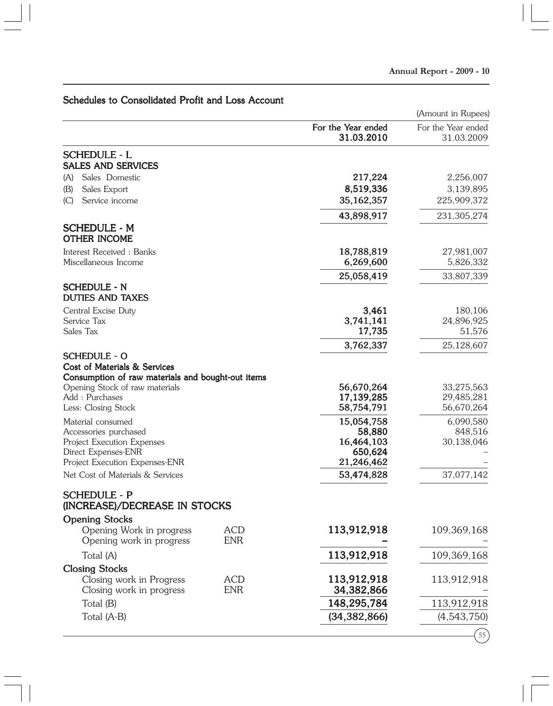# Schedules to Consolidated Profit and Loss Account

|                                                      |                          |                                  | (Amount in Rupees)               |
|------------------------------------------------------|--------------------------|----------------------------------|----------------------------------|
|                                                      |                          | For the Year ended<br>31.03.2010 | For the Year ended<br>31.03.2009 |
| <b>SCHEDULE - L</b><br><b>SALES AND SERVICES</b>     |                          |                                  |                                  |
| (A)<br>Sales Domestic                                |                          | 217,224                          | 2,256,007                        |
| Sales Export<br>(B)                                  |                          | 8,519,336                        | 3,139,895                        |
| Service income<br>(C)                                |                          | 35,162,357                       | 225,909,372                      |
|                                                      |                          | 43,898,917                       | 231,305,274                      |
| <b>SCHEDULE - M</b><br><b>OTHER INCOME</b>           |                          |                                  |                                  |
| Interest Received: Banks                             |                          | 18,788,819                       | 27,981,007                       |
| Miscellaneous Income                                 |                          | 6,269,600                        | 5,826,332                        |
|                                                      |                          | 25,058,419                       | 33,807,339                       |
| SCHEDULE - N<br><b>DUTIES AND TAXES</b>              |                          |                                  |                                  |
| Central Excise Duty                                  |                          | 3,461                            | 180,106                          |
| Service Tax                                          |                          | 3,741,141                        | 24,896,925                       |
| Sales Tax                                            |                          | 17,735                           | 51,576                           |
|                                                      |                          | 3,762,337                        | 25,128,607                       |
| <b>SCHEDULE - O</b><br>Cost of Materials & Services  |                          |                                  |                                  |
| Consumption of raw materials and bought-out items    |                          |                                  |                                  |
| Opening Stock of raw materials                       |                          | 56,670,264                       | 33,275,563                       |
| Add: Purchases                                       |                          | 17, 139, 285                     | 29,485,281                       |
| Less: Closing Stock                                  |                          | 58,754,791                       | 56,670,264                       |
| Material consumed                                    |                          | 15,054,758                       | 6,090,580                        |
| Accessories purchased                                |                          | 58,880                           | 848,516                          |
| Project Execution Expenses<br>Direct Expenses-ENR    |                          | 16,464,103<br>650,624            | 30,138,046                       |
| Project Execution Expenses-ENR                       |                          | 21,246,462                       |                                  |
| Net Cost of Materials & Services                     |                          | 53,474,828                       | 37,077,142                       |
| <b>SCHEDULE - P</b>                                  |                          |                                  |                                  |
| (INCREASE)/DECREASE IN STOCKS                        |                          |                                  |                                  |
| <b>Opening Stocks</b>                                |                          |                                  |                                  |
| Opening Work in progress                             | <b>ACD</b>               | 113,912,918                      | 109,369,168                      |
| Opening work in progress                             | <b>ENR</b>               |                                  |                                  |
| Total (A)                                            |                          | 113,912,918                      | 109,369,168                      |
| <b>Closing Stocks</b>                                |                          |                                  |                                  |
| Closing work in Progress<br>Closing work in progress | <b>ACD</b><br><b>ENR</b> | 113,912,918                      | 113,912,918                      |
|                                                      |                          | 34,382,866                       |                                  |
| Total (B)                                            |                          | 148,295,784                      | 113,912,918                      |
| Total (A-B)                                          |                          | (34, 382, 866)                   | (4,543,750)                      |
|                                                      |                          |                                  |                                  |

 $(55)$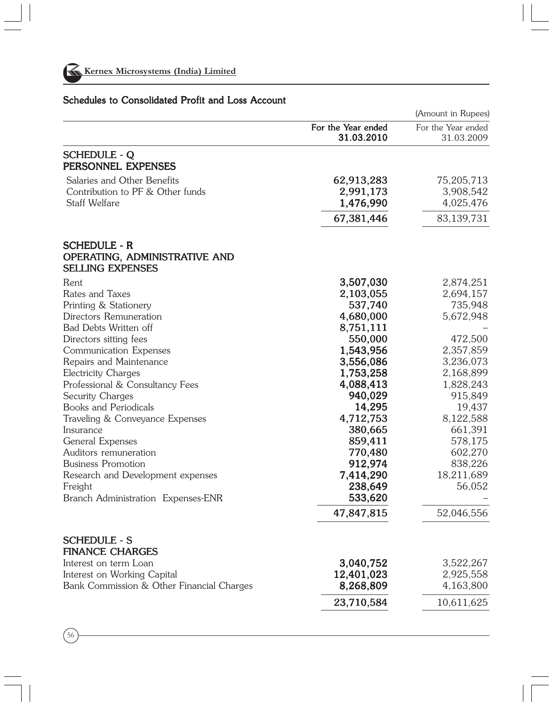

|                                                             |                                  | (Amount in Rupees)               |
|-------------------------------------------------------------|----------------------------------|----------------------------------|
|                                                             | For the Year ended<br>31.03.2010 | For the Year ended<br>31.03.2009 |
| <b>SCHEDULE - Q</b><br>PERSONNEL EXPENSES                   |                                  |                                  |
| Salaries and Other Benefits                                 | 62,913,283                       | 75,205,713                       |
| Contribution to PF & Other funds                            | 2,991,173                        | 3,908,542                        |
| Staff Welfare                                               | 1,476,990                        | 4,025,476                        |
|                                                             | 67,381,446                       | 83,139,731                       |
| <b>SCHEDULE - R</b><br><b>OPERATING, ADMINISTRATIVE AND</b> |                                  |                                  |
| <b>SELLING EXPENSES</b>                                     |                                  |                                  |
| Rent                                                        | 3,507,030                        | 2,874,251                        |
| Rates and Taxes                                             | 2,103,055                        | 2,694,157                        |
| Printing & Stationery                                       | 537,740                          | 735,948                          |
| Directors Remuneration                                      | 4,680,000                        | 5,672,948                        |
| Bad Debts Written off<br>Directors sitting fees             | 8,751,111                        | 472,500                          |
| Communication Expenses                                      | 550,000                          | 2,357,859                        |
| Repairs and Maintenance                                     | 1,543,956<br>3,556,086           | 3,236,073                        |
| <b>Electricity Charges</b>                                  | 1,753,258                        | 2,168,899                        |
| Professional & Consultancy Fees                             | 4,088,413                        | 1,828,243                        |
| Security Charges                                            | 940,029                          | 915,849                          |
| <b>Books and Periodicals</b>                                | 14,295                           | 19,437                           |
| Traveling & Conveyance Expenses                             | 4,712,753                        | 8,122,588                        |
| Insurance                                                   | 380,665                          | 661,391                          |
| General Expenses                                            | 859,411                          | 578,175                          |
| Auditors remuneration                                       | 770,480                          | 602,270                          |
| <b>Business Promotion</b>                                   | 912,974                          | 838,226                          |
| Research and Development expenses                           | 7,414,290                        | 18,211,689                       |
| Freight                                                     | 238,649                          | 56,052                           |
| Branch Administration Expenses-ENR                          | 533,620                          |                                  |
|                                                             | 47,847,815                       | 52,046,556                       |
| <b>SCHEDULE - S</b><br><b>FINANCE CHARGES</b>               |                                  |                                  |
| Interest on term Loan                                       | 3,040,752                        | 3,522,267                        |
| Interest on Working Capital                                 | 12,401,023                       | 2,925,558                        |
| Bank Commission & Other Financial Charges                   | 8,268,809                        | 4,163,800                        |
|                                                             | 23,710,584                       | 10,611,625                       |

# Schedules to Consolidated Profit and Loss Account

 $\binom{56}{ }$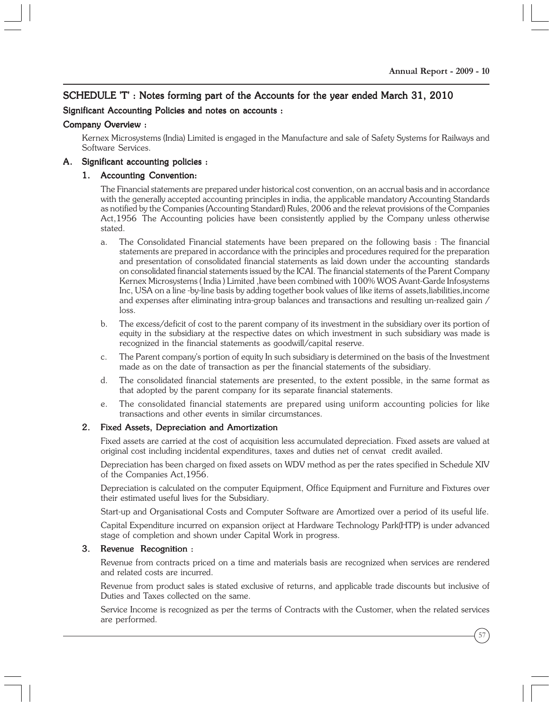#### SCHEDULE 'T' : Notes forming part of the Accounts for the year ended March 31, 2010

#### Significant Accounting Policies and notes on accounts :

#### Company Overview :

Kernex Microsystems (India) Limited is engaged in the Manufacture and sale of Safety Systems for Railways and Software Services.

#### A. Significant accounting policies :

#### 1. Accounting Convention:

The Financial statements are prepared under historical cost convention, on an accrual basis and in accordance with the generally accepted accounting principles in india, the applicable mandatory Accounting Standards as notified by the Companies (Accounting Standard) Rules, 2006 and the relevat provisions of the Companies Act,1956 The Accounting policies have been consistently applied by the Company unless otherwise stated.

- a. The Consolidated Financial statements have been prepared on the following basis : The financial statements are prepared in accordance with the principles and procedures required for the preparation and presentation of consolidated financial statements as laid down under the accounting standards on consolidated financial statements issued by the ICAI. The financial statements of the Parent Company Kernex Microsystems ( India ) Limited ,have been combined with 100% WOS Avant-Garde Infosystems Inc, USA on a line -by-line basis by adding together book values of like items of assets,liabilities,income and expenses after eliminating intra-group balances and transactions and resulting un-realized gain / loss.
- b. The excess/deficit of cost to the parent company of its investment in the subsidiary over its portion of equity in the subsidiary at the respective dates on which investment in such subsidiary was made is recognized in the financial statements as goodwill/capital reserve.
- c. The Parent company's portion of equity In such subsidiary is determined on the basis of the Investment made as on the date of transaction as per the financial statements of the subsidiary.
- d. The consolidated financial statements are presented, to the extent possible, in the same format as that adopted by the parent company for its separate financial statements.
- e. The consolidated financial statements are prepared using uniform accounting policies for like transactions and other events in similar circumstances.

#### 2. Fixed Assets, Depreciation and Amortization

Fixed assets are carried at the cost of acquisition less accumulated depreciation. Fixed assets are valued at original cost including incidental expenditures, taxes and duties net of cenvat credit availed.

Depreciation has been charged on fixed assets on WDV method as per the rates specified in Schedule XIV of the Companies Act,1956.

Depreciation is calculated on the computer Equipment, Office Equipment and Furniture and Fixtures over their estimated useful lives for the Subsidiary.

Start-up and Organisational Costs and Computer Software are Amortized over a period of its useful life.

Capital Expenditure incurred on expansion oriject at Hardware Technology Park(HTP) is under advanced stage of completion and shown under Capital Work in progress.

#### 3. Revenue Recognition :

Revenue from contracts priced on a time and materials basis are recognized when services are rendered and related costs are incurred.

Revenue from product sales is stated exclusive of returns, and applicable trade discounts but inclusive of Duties and Taxes collected on the same.

Service Income is recognized as per the terms of Contracts with the Customer, when the related services are performed.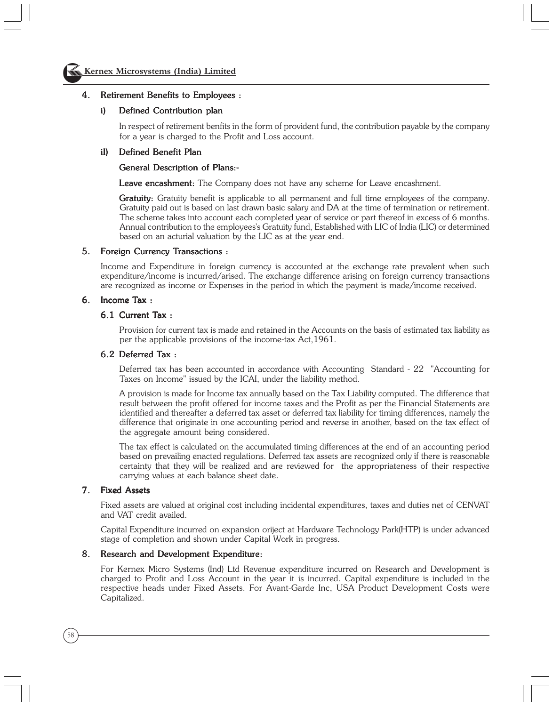

#### 4. Retirement Benefits to Employees :

#### i) Defined Contribution plan

In respect of retirement benfits in the form of provident fund, the contribution payable by the company for a year is charged to the Profit and Loss account.

#### iI) Defined Benefit Plan

#### General Description of Plans:-

Leave encashment: The Company does not have any scheme for Leave encashment.

**Gratuity:** Gratuity benefit is applicable to all permanent and full time employees of the company. Gratuity paid out is based on last drawn basic salary and DA at the time of termination or retirement. The scheme takes into account each completed year of service or part thereof in excess of 6 months. Annual contribution to the employees's Gratuity fund, Established with LIC of India (LIC) or determined based on an acturial valuation by the LIC as at the year end.

#### 5. Foreign Currency Transactions :

Income and Expenditure in foreign currency is accounted at the exchange rate prevalent when such expenditure/income is incurred/arised. The exchange difference arising on foreign currency transactions are recognized as income or Expenses in the period in which the payment is made/income received.

#### 6. Income Tax :

#### 6.1 Current Tax :

Provision for current tax is made and retained in the Accounts on the basis of estimated tax liability as per the applicable provisions of the income-tax Act,1961.

#### 6.2 Deferred Tax :

Deferred tax has been accounted in accordance with Accounting Standard - 22 "Accounting for Taxes on Income" issued by the ICAI, under the liability method.

A provision is made for Income tax annually based on the Tax Liability computed. The difference that result between the profit offered for income taxes and the Profit as per the Financial Statements are identified and thereafter a deferred tax asset or deferred tax liability for timing differences, namely the difference that originate in one accounting period and reverse in another, based on the tax effect of the aggregate amount being considered.

The tax effect is calculated on the accumulated timing differences at the end of an accounting period based on prevailing enacted regulations. Deferred tax assets are recognized only if there is reasonable certainty that they will be realized and are reviewed for the appropriateness of their respective carrying values at each balance sheet date.

#### 7. Fixed Assets

Fixed assets are valued at original cost including incidental expenditures, taxes and duties net of CENVAT and VAT credit availed.

Capital Expenditure incurred on expansion oriject at Hardware Technology Park(HTP) is under advanced stage of completion and shown under Capital Work in progress.

#### 8. Research and Development Expenditure:

For Kernex Micro Systems (Ind) Ltd Revenue expenditure incurred on Research and Development is charged to Profit and Loss Account in the year it is incurred. Capital expenditure is included in the respective heads under Fixed Assets. For Avant-Garde Inc, USA Product Development Costs were Capitalized.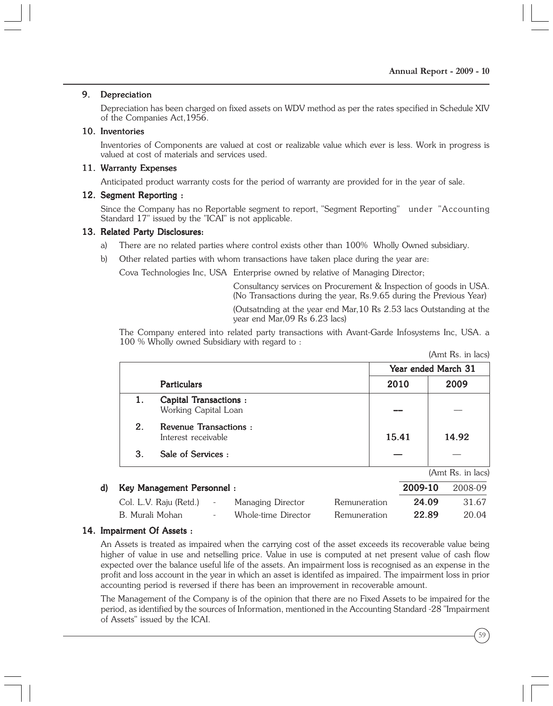(Amt Rs. in lacs)

#### 9. Depreciation

Depreciation has been charged on fixed assets on WDV method as per the rates specified in Schedule XIV of the Companies Act,1956.

#### 10. Inventories

Inventories of Components are valued at cost or realizable value which ever is less. Work in progress is valued at cost of materials and services used.

#### 11. Warranty Expenses

Anticipated product warranty costs for the period of warranty are provided for in the year of sale.

#### 12. Segment Reporting:

Since the Company has no Reportable segment to report, "Segment Reporting" under "Accounting Standard 17" issued by the "ICAI" is not applicable.

#### 13. Related Party Disclosures:

- a) There are no related parties where control exists other than 100% Wholly Owned subsidiary.
- b) Other related parties with whom transactions have taken place during the year are:

Cova Technologies Inc, USA Enterprise owned by relative of Managing Director;

Consultancy services on Procurement & Inspection of goods in USA. (No Transactions during the year, Rs.9.65 during the Previous Year)

(Outsatnding at the year end Mar,10 Rs 2.53 lacs Outstanding at the year end Mar,09 Rs 6.23 lacs)

The Company entered into related party transactions with Avant-Garde Infosystems Inc, USA. a 100 % Wholly owned Subsidiary with regard to :

|       | Year ended March 31 |
|-------|---------------------|
| 2010  | 2009                |
|       |                     |
| 15.41 | 14.92               |
|       |                     |
|       | (Amt Rs. in lacs)   |
|       |                     |

| d) Key Management Personnel: |        |                     |              | 2009-10 | 2008-09 |
|------------------------------|--------|---------------------|--------------|---------|---------|
| Col. L.V. Raju (Retd.)       | $\sim$ | Managing Director   | Remuneration | 24.09   | 31.67   |
| B. Murali Mohan              | $\sim$ | Whole-time Director | Remuneration | 22.89   | 20.04   |

#### 14. Impairment Of Assets :

An Assets is treated as impaired when the carrying cost of the asset exceeds its recoverable value being higher of value in use and netselling price. Value in use is computed at net present value of cash flow expected over the balance useful life of the assets. An impairment loss is recognised as an expense in the profit and loss account in the year in which an asset is identifed as impaired. The impairment loss in prior accounting period is reversed if there has been an improvement in recoverable amount.

The Management of the Company is of the opinion that there are no Fixed Assets to be impaired for the period, as identified by the sources of Information, mentioned in the Accounting Standard -28 "Impairment of Assets" issued by the ICAI.

59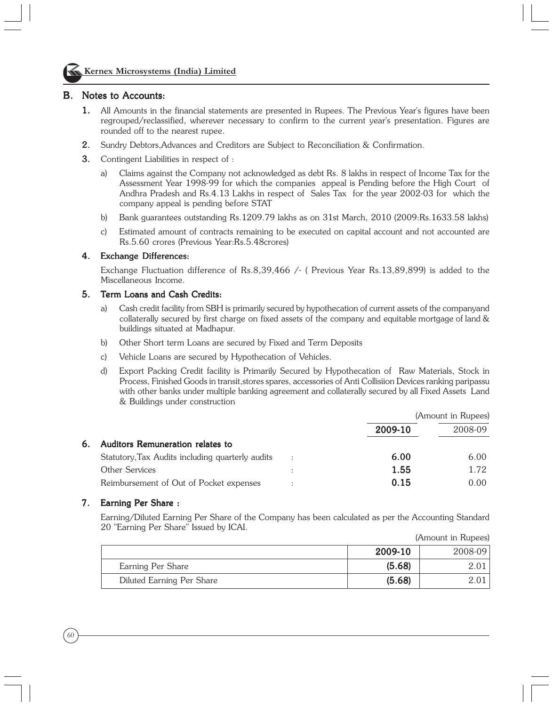

#### Kernex Microsystems (India) Limited

#### B. Notes to Accounts:

- 1. All Amounts in the financial statements are presented in Rupees. The Previous Year's figures have been regrouped/reclassified, wherever necessary to confirm to the current year's presentation. Figures are rounded off to the nearest rupee.
- 2. Sundry Debtors,Advances and Creditors are Subject to Reconciliation & Confirmation. 2.
- **3.** Contingent Liabilities in respect of :
	- a) Claims against the Company not acknowledged as debt Rs. 8 lakhs in respect of Income Tax for the Assessment Year 1998-99 for which the companies appeal is Pending before the High Court of Andhra Pradesh and Rs.4.13 Lakhs in respect of Sales Tax for the year 2002-03 for which the company appeal is pending before STAT
	- b) Bank guarantees outstanding Rs.1209.79 lakhs as on 31st March, 2010 (2009:Rs.1633.58 lakhs)
	- c) Estimated amount of contracts remaining to be executed on capital account and not accounted are Rs.5.60 crores (Previous Year:Rs.5.48crores)

#### 4. Exchange Differences:

Exchange Fluctuation difference of Rs.8,39,466 /- ( Previous Year Rs.13,89,899) is added to the Miscellaneous Income.

#### 5. Term Loans and Cash Credits:

- a) Cash credit facility from SBH is primarily secured by hypothecation of current assets of the companyand collaterally secured by first charge on fixed assets of the company and equitable mortgage of land & buildings situated at Madhapur.
- b) Other Short term Loans are secured by Fixed and Term Deposits
- c) Vehicle Loans are secured by Hypothecation of Vehicles.
- d) Export Packing Credit facility is Primarily Secured by Hypothecation of Raw Materials, Stock in Process, Finished Goods in transit,stores spares, accessories of Anti Collisiion Devices ranking paripassu with other banks under multiple banking agreement and collaterally secured by all Fixed Assets Land & Buildings under construction

|    |                                                  |                      |         | (Amount in Rupees) |
|----|--------------------------------------------------|----------------------|---------|--------------------|
|    |                                                  |                      | 2009-10 | 2008-09            |
| 6. | Auditors Remuneration relates to                 |                      |         |                    |
|    | Statutory, Tax Audits including quarterly audits | $\ddot{\phantom{a}}$ | 6.00    | 6.00               |
|    | Other Services                                   |                      | 1.55    | 1.72               |
|    | Reimbursement of Out of Pocket expenses          |                      | 0.15    | 0.00               |

#### 7. Earning Per Share :

Earning/Diluted Earning Per Share of the Company has been calculated as per the Accounting Standard 20 "Earning Per Share" Issued by ICAI.

|                           |         | (Amount in Rupees) |
|---------------------------|---------|--------------------|
|                           | 2009-10 | $2008 - 09$        |
| Earning Per Share         | (5.68)  |                    |
| Diluted Earning Per Share | (5.68)  |                    |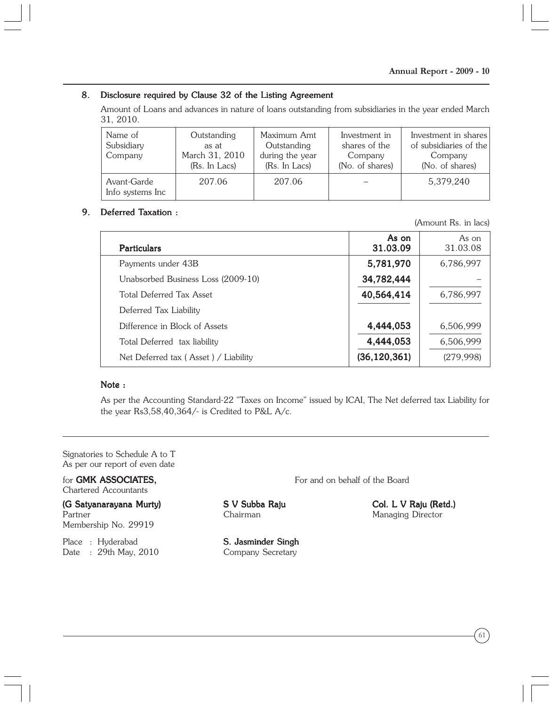#### 8. Disclosure required by Clause 32 of the Listing Agreement

Amount of Loans and advances in nature of loans outstanding from subsidiaries in the year ended March 31, 2010.

| Name of<br>Subsidiary<br>Company | Outstanding<br>as at<br>March 31, 2010<br>(Rs. In Lacs) | Maximum Amt<br>Outstanding<br>during the year<br>(Rs. In Lacs) | Investment in<br>shares of the<br>Company<br>(No. of shares) | Investment in shares<br>of subsidiaries of the<br>Company<br>(No. of shares) |
|----------------------------------|---------------------------------------------------------|----------------------------------------------------------------|--------------------------------------------------------------|------------------------------------------------------------------------------|
| Avant-Garde<br>Info systems Inc  | 207.06                                                  | 207.06                                                         |                                                              | 5,379,240                                                                    |

#### 9. Deferred Taxation :

(Amount Rs. in lacs)

| <b>Particulars</b>                   | As on<br>31.03.09 | As on<br>31.03.08 |
|--------------------------------------|-------------------|-------------------|
| Payments under 43B                   | 5,781,970         | 6,786,997         |
| Unabsorbed Business Loss (2009-10)   | 34,782,444        |                   |
| Total Deferred Tax Asset             | 40,564,414        | 6,786,997         |
| Deferred Tax Liability               |                   |                   |
| Difference in Block of Assets        | 4,444,053         | 6,506,999         |
| Total Deferred tax liability         | 4,444,053         | 6,506,999         |
| Net Deferred tax (Asset) / Liability | (36, 120, 361)    | (279,998)         |

#### Note :

As per the Accounting Standard-22 "Taxes on Income" issued by ICAI, The Net deferred tax Liability for the year Rs3,58,40,364/- is Credited to P&L A/c.

Signatories to Schedule A to T As per our report of even date

Chartered Accountants

(G Satyanarayana Murty) S V Subba Raju Col. L V Raju (Retd.) Partner Chairman Chairman Managing Director Membership No. 29919

Place : Hyderabad **S. Jasminder Singh** Date : 29th May, 2010 Company Secretary

for **GMK ASSOCIATES**, For and on behalf of the Board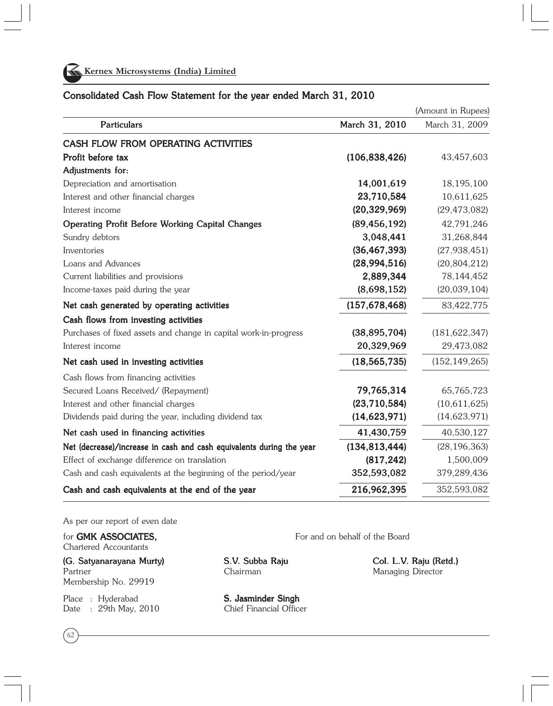

#### Consolidated Cash Flow Statement for the year ended March 31, 2010

(Amount in Rupees) Particulars **March 31, 2010** March 31, 2010 March 31, 2009 CASH FLOW FROM OPERATING ACTIVITIES **Profit before tax**  $(106,838,426)$   $43,457,603$ Adjustments for: Depreciation and amortisation 14,001,619 14,001,619 15,195,100 Interest and other financial charges 23,710,584 23,710,584 10,611,625 Interest income (20,329,969) (20,329,969) (20,329,969) (29,473,082) Operating Profit Before Working Capital Changes (89,456,192) 42,791,246 Sundry debtors 3.048.441 31.268.844 Inventories (36,467,393) (36,467,393) (36,467,393) (27,938,451) Loans and Advances (28,994,516) (28,994,516) (28,994,516) (20,804,212) Current liabilities and provisions 2,889,344 2,889,344 78,144,452 Income-taxes paid during the year  $(8,698,152)$   $(20,039,104)$ Net cash generated by operating activities (157,678,468) 83,422,775 Cash flows from investing activities Purchases of fixed assets and change in capital work-in-progress (38,895,704) (181,622,347) Interest income 20,329,969 20,329,969 29,473,082 Net cash used in investing activities (18,565,735) (18,565,735) (18,565,735) (152,149,265) Cash flows from financing activities Secured Loans Received/ (Repayment) 79,765,314 65,765,723 Interest and other financial charges (23,710,584) (23,710,584) (23,710,584) (10,611,625) Dividends paid during the year, including dividend tax (14,623,971) (14,623,971) (14,623,971) Net cash used in financing activities 41,430,759 41,430,759 40,530,127 Net (decrease)/increase in cash and cash equivalents during the year (134,813,444) (28,196,363) Effect of exchange difference on translation (817,242)  $1,500,009$ Cash and cash equivalents at the beginning of the period/year 352,593,082 379,289,436 Cash and cash equivalents at the end of the year 216,962,395 352,593,082

As per our report of even date

for **GMK ASSOCIATES**. Chartered Accountants

Partner **Managing Director** Chairman Chairman Managing Director Membership No. 29919

Place : Hyderabad **S. Jasminder Singh** Date : 29th May, 2010 Chief Financial Officer

62

(G. Satyanarayana Murty) S.V. Subba Raju Col. L.V. Raju (Retd.)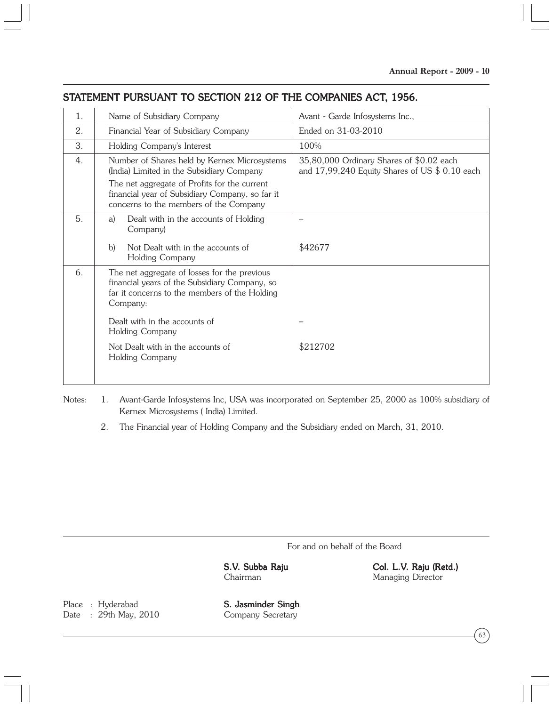# STATEMENT PURSUANT TO SECTION 212 OF THE COMPANIES ACT, 1956.

| $\mathbf{1}$ . | Name of Subsidiary Company                                                                                                                                 | Avant - Garde Infosystems Inc.,                                                            |
|----------------|------------------------------------------------------------------------------------------------------------------------------------------------------------|--------------------------------------------------------------------------------------------|
| 2.             | Financial Year of Subsidiary Company                                                                                                                       | Ended on 31-03-2010                                                                        |
| 3.             | Holding Company's Interest                                                                                                                                 | 100%                                                                                       |
| 4.             | Number of Shares held by Kernex Microsystems<br>(India) Limited in the Subsidiary Company                                                                  | 35,80,000 Ordinary Shares of \$0.02 each<br>and 17,99,240 Equity Shares of US \$ 0.10 each |
|                | The net aggregate of Profits for the current<br>financial year of Subsidiary Company, so far it<br>concerns to the members of the Company                  |                                                                                            |
| 5.             | Dealt with in the accounts of Holding<br>a)<br>Company)                                                                                                    |                                                                                            |
|                | b)<br>Not Dealt with in the accounts of<br>Holding Company                                                                                                 | \$42677                                                                                    |
| 6.             | The net aggregate of losses for the previous<br>financial years of the Subsidiary Company, so<br>far it concerns to the members of the Holding<br>Company: |                                                                                            |
|                | Dealt with in the accounts of<br>Holding Company                                                                                                           |                                                                                            |
|                | Not Dealt with in the accounts of<br>Holding Company                                                                                                       | \$212702                                                                                   |
|                |                                                                                                                                                            |                                                                                            |

Notes: 1. Avant-Garde Infosystems Inc, USA was incorporated on September 25, 2000 as 100% subsidiary of Kernex Microsystems ( India) Limited.

2. The Financial year of Holding Company and the Subsidiary ended on March, 31, 2010.

For and on behalf of the Board

S.V. Subba Raju Col. L.V. Raju (Retd.) Chairman Managing Director

Place : Hyderabad **S. Jasminder Singh** Date : 29th May, 2010 Company Secretary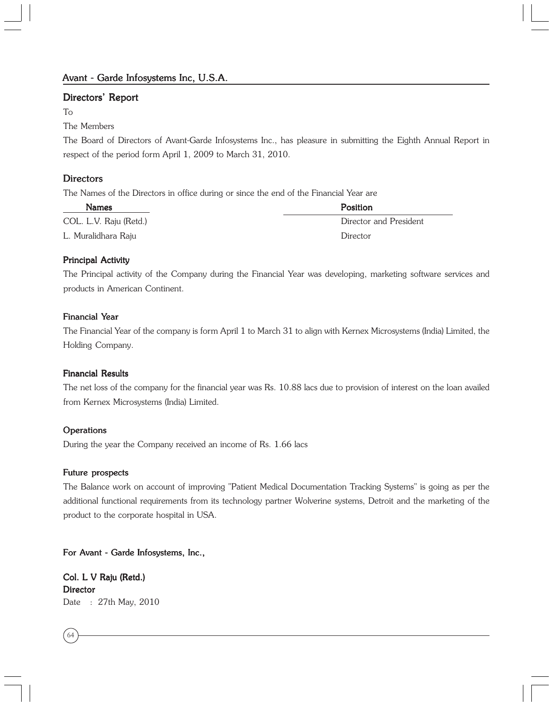#### Directors' Report

#### To

#### The Members

The Board of Directors of Avant-Garde Infosystems Inc., has pleasure in submitting the Eighth Annual Report in respect of the period form April 1, 2009 to March 31, 2010.

#### **Directors**

The Names of the Directors in office during or since the end of the Financial Year are

| <b>Names</b>           | <b>Position</b>        |
|------------------------|------------------------|
| COL. L.V. Raju (Retd.) | Director and President |
| L. Muralidhara Raju    | Director               |

#### Principal Activity

The Principal activity of the Company during the Financial Year was developing, marketing software services and products in American Continent.

#### Financial Year

The Financial Year of the company is form April 1 to March 31 to align with Kernex Microsystems (India) Limited, the Holding Company.

#### Financial Results

The net loss of the company for the financial year was Rs. 10.88 lacs due to provision of interest on the loan availed from Kernex Microsystems (India) Limited.

#### **Operations**

During the year the Company received an income of Rs. 1.66 lacs

#### Future prospects

The Balance work on account of improving "Patient Medical Documentation Tracking Systems" is going as per the additional functional requirements from its technology partner Wolverine systems, Detroit and the marketing of the product to the corporate hospital in USA.

For Avant - Garde Infosystems, Inc.,

Col. L V Raju (Retd.) **Director** Date : 27th May, 2010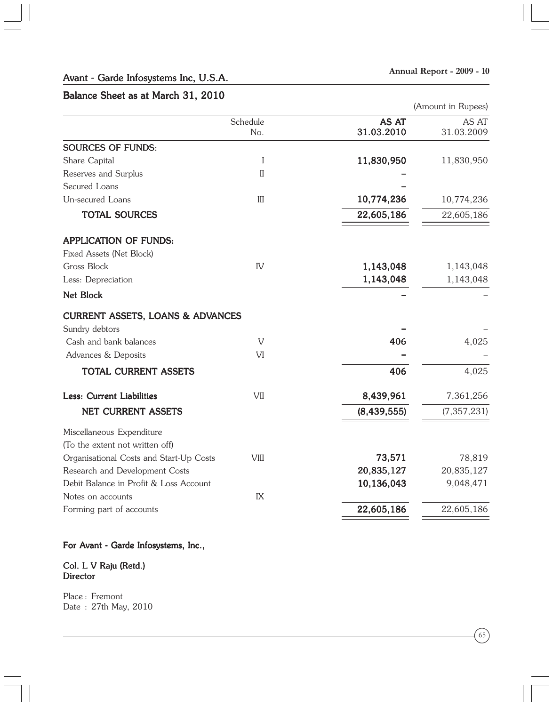#### Avant - Garde Infosystems Inc, U.S.A.

#### Balance Sheet as at March 31, 2010

(Amount in Rupees)

|                                                               | Schedule<br>No. | AS AT<br>31.03.2010 | AS AT<br>31.03.2009 |
|---------------------------------------------------------------|-----------------|---------------------|---------------------|
| <b>SOURCES OF FUNDS:</b>                                      |                 |                     |                     |
| Share Capital                                                 | I               | 11,830,950          | 11,830,950          |
| Reserves and Surplus                                          | $\mathbf{I}$    |                     |                     |
| Secured Loans                                                 |                 |                     |                     |
| Un-secured Loans                                              | III             | 10,774,236          | 10,774,236          |
| <b>TOTAL SOURCES</b>                                          |                 | 22,605,186          | 22,605,186          |
| <b>APPLICATION OF FUNDS:</b>                                  |                 |                     |                     |
| Fixed Assets (Net Block)                                      |                 |                     |                     |
| Gross Block                                                   | IV              | 1,143,048           | 1,143,048           |
| Less: Depreciation                                            |                 | 1,143,048           | 1,143,048           |
| Net Block                                                     |                 |                     |                     |
| <b>CURRENT ASSETS, LOANS &amp; ADVANCES</b><br>Sundry debtors |                 |                     |                     |
| Cash and bank balances                                        | V               | 406                 | 4,025               |
| Advances & Deposits                                           | VI              |                     |                     |
|                                                               |                 |                     |                     |
| TOTAL CURRENT ASSETS                                          |                 | 406                 | 4,025               |
| Less: Current Liabilities                                     | VII             | 8,439,961           | 7,361,256           |
| <b>NET CURRENT ASSETS</b>                                     |                 | (8, 439, 555)       | (7, 357, 231)       |
| Miscellaneous Expenditure                                     |                 |                     |                     |
| (To the extent not written off)                               |                 |                     |                     |
| Organisational Costs and Start-Up Costs                       | <b>VIII</b>     | 73,571              | 78,819              |
| Research and Development Costs                                |                 | 20,835,127          | 20,835,127          |
| Debit Balance in Profit & Loss Account                        |                 | 10,136,043          | 9,048,471           |
| Notes on accounts                                             | IX              |                     |                     |
| Forming part of accounts                                      |                 | 22,605,186          | 22,605,186          |
|                                                               |                 |                     |                     |

#### For Avant - Garde Infosystems, Inc.,

#### Col. L V Raju (Retd.) **Director**

Place : Fremont Date : 27th May, 2010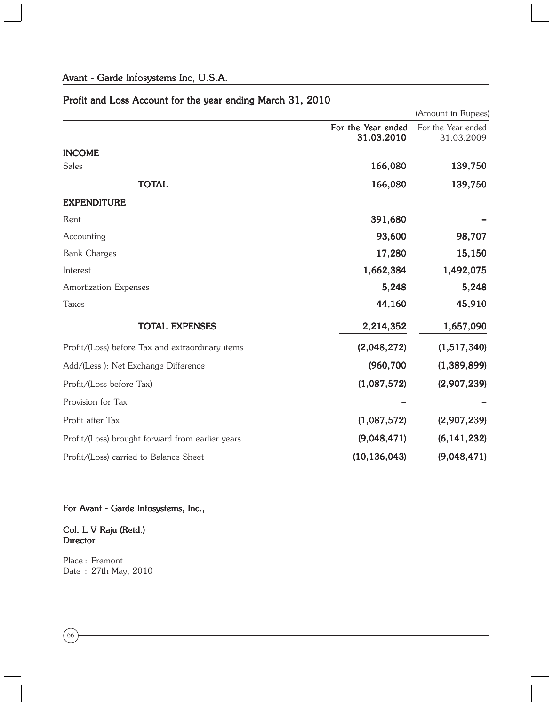# Profit and Loss Account for the year ending March 31, 2010

|                                                  |                                  | (Amount in Rupees)               |
|--------------------------------------------------|----------------------------------|----------------------------------|
|                                                  | For the Year ended<br>31.03.2010 | For the Year ended<br>31.03.2009 |
| <b>INCOME</b>                                    |                                  |                                  |
| Sales                                            | 166,080                          | 139,750                          |
| <b>TOTAL</b>                                     | 166,080                          | 139,750                          |
| <b>EXPENDITURE</b>                               |                                  |                                  |
| Rent                                             | 391,680                          |                                  |
| Accounting                                       | 93,600                           | 98,707                           |
| <b>Bank Charges</b>                              | 17,280                           | 15,150                           |
| Interest                                         | 1,662,384                        | 1,492,075                        |
| Amortization Expenses                            | 5,248                            | 5,248                            |
| <b>Taxes</b>                                     | 44,160                           | 45,910                           |
| <b>TOTAL EXPENSES</b>                            | 2,214,352                        | 1,657,090                        |
| Profit/(Loss) before Tax and extraordinary items | (2,048,272)                      | (1,517,340)                      |
| Add/(Less): Net Exchange Difference              | (960, 700)                       | (1,389,899)                      |
| Profit/(Loss before Tax)                         | (1,087,572)                      | (2,907,239)                      |
| Provision for Tax                                |                                  |                                  |
| Profit after Tax                                 | (1,087,572)                      | (2,907,239)                      |
| Profit/(Loss) brought forward from earlier years | (9,048,471)                      | (6, 141, 232)                    |
| Profit/(Loss) carried to Balance Sheet           | (10, 136, 043)                   | (9,048,471)                      |

## For Avant - Garde Infosystems, Inc.,

#### Col. L V Raju (Retd.) **Director**

Place : Fremont Date : 27th May, 2010

 $66$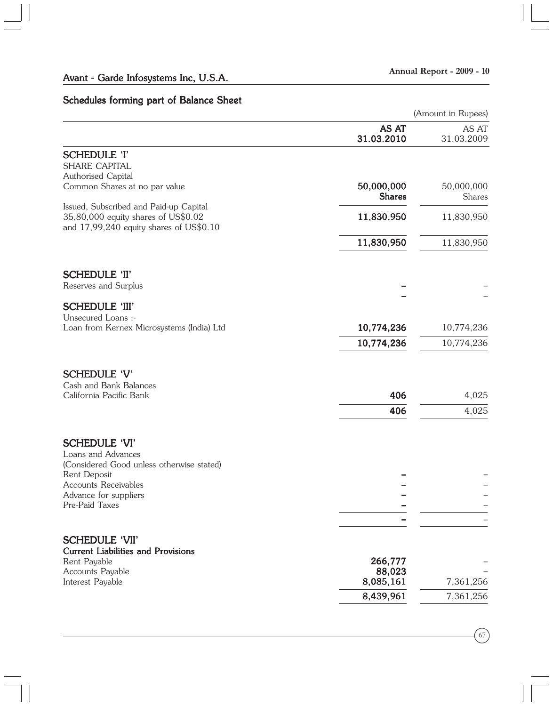# Schedules forming part of Balance Sheet

|                                                                                                                          |                             | (Amount in Rupees)   |  |
|--------------------------------------------------------------------------------------------------------------------------|-----------------------------|----------------------|--|
|                                                                                                                          | AS AT<br>31.03.2010         | AS AT<br>31.03.2009  |  |
| <b>SCHEDULE 'I'</b><br>SHARE CAPITAL<br>Authorised Capital                                                               |                             |                      |  |
| Common Shares at no par value                                                                                            | 50,000,000<br><b>Shares</b> | 50,000,000<br>Shares |  |
| Issued, Subscribed and Paid-up Capital<br>35,80,000 equity shares of US\$0.02<br>and 17,99,240 equity shares of US\$0.10 | 11,830,950                  | 11,830,950           |  |
|                                                                                                                          | 11,830,950                  | 11,830,950           |  |
| <b>SCHEDULE 'II'</b><br>Reserves and Surplus                                                                             |                             |                      |  |
| <b>SCHEDULE 'III'</b>                                                                                                    |                             |                      |  |
| Unsecured Loans :-<br>Loan from Kernex Microsystems (India) Ltd                                                          | 10,774,236                  | 10,774,236           |  |
|                                                                                                                          | 10,774,236                  | 10,774,236           |  |
| <b>SCHEDULE 'V'</b><br>Cash and Bank Balances                                                                            |                             |                      |  |
| California Pacific Bank                                                                                                  | 406                         | 4,025                |  |
|                                                                                                                          | 406                         | 4,025                |  |
| <b>SCHEDULE 'VI'</b><br>Loans and Advances<br>(Considered Good unless otherwise stated)                                  |                             |                      |  |
| Rent Deposit<br>Accounts Receivables                                                                                     |                             |                      |  |
| Advance for suppliers                                                                                                    |                             |                      |  |
| Pre-Paid Taxes                                                                                                           |                             |                      |  |
| <b>SCHEDULE 'VII'</b>                                                                                                    |                             |                      |  |
| <b>Current Liabilities and Provisions</b><br>Rent Payable                                                                | 266,777                     |                      |  |
| Accounts Payable<br>Interest Payable                                                                                     | 88,023<br>8,085,161         | 7,361,256            |  |
|                                                                                                                          | 8,439,961                   | 7,361,256            |  |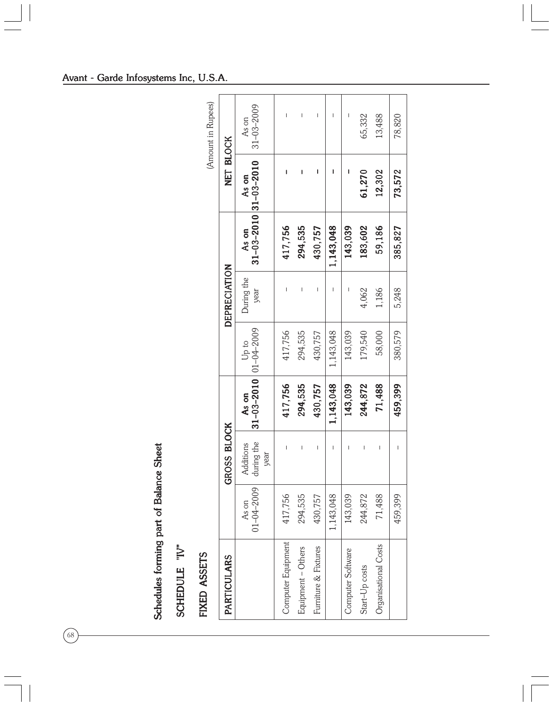|                                         |               |                    |                    | $31 - 03 - 2009$<br>As on | т                                                                                                                                                                                                                                                                                                                                                                                | $\mathsf I$                                                                                                                                                                                                                                                                                                                                                                      | $\begin{array}{c} \end{array}$ | T           |                   | 65,332         | 13,488                         | 78,820                         |                                       |         |
|-----------------------------------------|---------------|--------------------|--------------------|---------------------------|----------------------------------------------------------------------------------------------------------------------------------------------------------------------------------------------------------------------------------------------------------------------------------------------------------------------------------------------------------------------------------|----------------------------------------------------------------------------------------------------------------------------------------------------------------------------------------------------------------------------------------------------------------------------------------------------------------------------------------------------------------------------------|--------------------------------|-------------|-------------------|----------------|--------------------------------|--------------------------------|---------------------------------------|---------|
|                                         |               | (Amount in Rupees) | NET BLOCK          |                           | ı                                                                                                                                                                                                                                                                                                                                                                                | ı                                                                                                                                                                                                                                                                                                                                                                                | ı                              | ı           |                   |                |                                |                                |                                       |         |
|                                         |               |                    |                    |                           |                                                                                                                                                                                                                                                                                                                                                                                  | As on                                                                                                                                                                                                                                                                                                                                                                            |                                |             |                   |                |                                | 61,270                         | 12,302                                | 73,572  |
|                                         |               |                    |                    |                           | 31-03-2010 31-03-2010<br>As on                                                                                                                                                                                                                                                                                                                                                   | 417,756                                                                                                                                                                                                                                                                                                                                                                          | 294,535                        | 430,757     | 1,143,048         | 143,039        | 183,602                        | 59,186                         | 385,827                               |         |
|                                         |               |                    | DEPRECIATION       | During the<br>year        | $\begin{array}{c} \rule{0pt}{2.5ex} \rule{0pt}{2.5ex} \rule{0pt}{2.5ex} \rule{0pt}{2.5ex} \rule{0pt}{2.5ex} \rule{0pt}{2.5ex} \rule{0pt}{2.5ex} \rule{0pt}{2.5ex} \rule{0pt}{2.5ex} \rule{0pt}{2.5ex} \rule{0pt}{2.5ex} \rule{0pt}{2.5ex} \rule{0pt}{2.5ex} \rule{0pt}{2.5ex} \rule{0pt}{2.5ex} \rule{0pt}{2.5ex} \rule{0pt}{2.5ex} \rule{0pt}{2.5ex} \rule{0pt}{2.5ex} \rule{0$ | $\begin{array}{c} \rule{0pt}{2.5ex} \rule{0pt}{2.5ex} \rule{0pt}{2.5ex} \rule{0pt}{2.5ex} \rule{0pt}{2.5ex} \rule{0pt}{2.5ex} \rule{0pt}{2.5ex} \rule{0pt}{2.5ex} \rule{0pt}{2.5ex} \rule{0pt}{2.5ex} \rule{0pt}{2.5ex} \rule{0pt}{2.5ex} \rule{0pt}{2.5ex} \rule{0pt}{2.5ex} \rule{0pt}{2.5ex} \rule{0pt}{2.5ex} \rule{0pt}{2.5ex} \rule{0pt}{2.5ex} \rule{0pt}{2.5ex} \rule{0$ | $\begin{array}{c} \end{array}$ | I           |                   | 4,062          | 1,186                          | 5,248                          |                                       |         |
|                                         |               |                    |                    |                           | $01 - 04 - 2009$<br>Up to                                                                                                                                                                                                                                                                                                                                                        | 417,756                                                                                                                                                                                                                                                                                                                                                                          | 294,535                        | 430,757     | 1,143,048         | 143,039        | 179,540                        | 58,000                         | 380,579                               |         |
|                                         |               |                    |                    | $31 - 03 - 2010$<br>As on | 417,756                                                                                                                                                                                                                                                                                                                                                                          | 294,535                                                                                                                                                                                                                                                                                                                                                                          | 430,757                        | 1,143,048   | 143,039           | 244,872        | 71,488                         | 459,399                        |                                       |         |
|                                         |               |                    |                    |                           | GROSS BLOCK                                                                                                                                                                                                                                                                                                                                                                      | during the<br>Additions<br>year                                                                                                                                                                                                                                                                                                                                                  | $\overline{1}$                 | $\mathsf I$ | $\mathsf I$       | $\mathbf{I}$   | $\begin{array}{c} \end{array}$ | $\begin{array}{c} \end{array}$ | $\begin{array}{c} \hline \end{array}$ | I       |
|                                         |               |                    |                    |                           |                                                                                                                                                                                                                                                                                                                                                                                  | $01 - 04 - 2009$<br>As on                                                                                                                                                                                                                                                                                                                                                        | 417,756                        | 294,535     | 430,757           | 1,143,048      | 143,039                        | 244,872                        | 71,488                                | 459,399 |
| Schedules forming part of Balance Sheet | SCHEDULE "IV" | FIXED ASSETS       | <b>PARTICULARS</b> |                           | Computer Equipment                                                                                                                                                                                                                                                                                                                                                               | Equipment - Others                                                                                                                                                                                                                                                                                                                                                               | Furniture & Fixtures           |             | Computer Software | Start-Up costs | Organisational Costs           |                                |                                       |         |

# Schedules forming part of Balance Sheet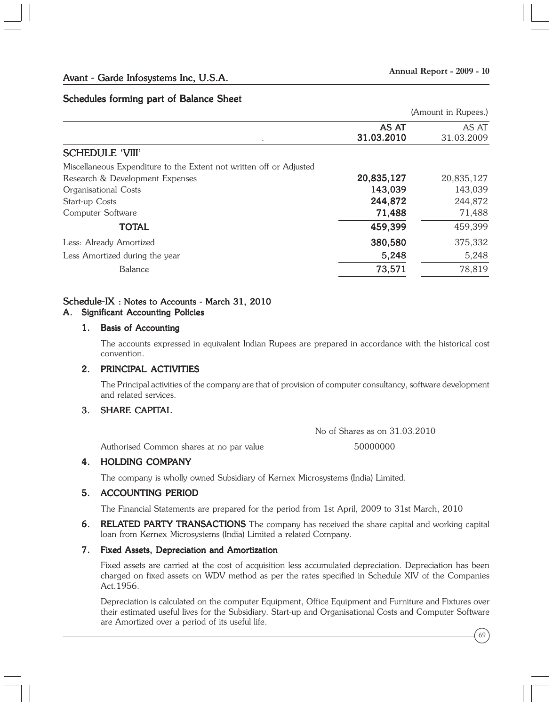#### Schedules forming part of Balance Sheet

(Amount in Rupees.)

|                                                                     | AS AT<br>31.03.2010 | AS AT<br>31.03.2009 |
|---------------------------------------------------------------------|---------------------|---------------------|
| <b>SCHEDULE 'VIII'</b>                                              |                     |                     |
| Miscellaneous Expenditure to the Extent not written off or Adjusted |                     |                     |
| Research & Development Expenses                                     | 20,835,127          | 20,835,127          |
| Organisational Costs                                                | 143,039             | 143,039             |
| Start-up Costs                                                      | 244,872             | 244,872             |
| Computer Software                                                   | 71,488              | 71,488              |
| <b>TOTAL</b>                                                        | 459,399             | 459,399             |
| Less: Already Amortized                                             | 380,580             | 375,332             |
| Less Amortized during the year                                      | 5,248               | 5,248               |
| <b>Balance</b>                                                      | 73,571              | 78,819              |
|                                                                     |                     |                     |

#### Schedule-IX : Notes to Accounts - March 31, 2010

#### A. Significant Accounting Policies

#### 1. Basis of Accounting

The accounts expressed in equivalent Indian Rupees are prepared in accordance with the historical cost convention.

#### 2. PRINCIPAL ACTIVITIES

The Principal activities of the company are that of provision of computer consultancy, software development and related services.

#### 3. SHARE CAPITAL

No of Shares as on 31.03.2010

Authorised Common shares at no par value 50000000

#### 4. HOLDING COMPANY

The company is wholly owned Subsidiary of Kernex Microsystems (India) Limited.

#### 5. ACCOUNTING PERIOD

The Financial Statements are prepared for the period from 1st April, 2009 to 31st March, 2010

6. RELATED PARTY TRANSACTIONS The company has received the share capital and working capital loan from Kernex Microsystems (India) Limited a related Company.

#### 7. Fixed Assets, Depreciation and Amortization

Fixed assets are carried at the cost of acquisition less accumulated depreciation. Depreciation has been charged on fixed assets on WDV method as per the rates specified in Schedule XIV of the Companies Act,1956.

Depreciation is calculated on the computer Equipment, Office Equipment and Furniture and Fixtures over their estimated useful lives for the Subsidiary. Start-up and Organisational Costs and Computer Software are Amortized over a period of its useful life.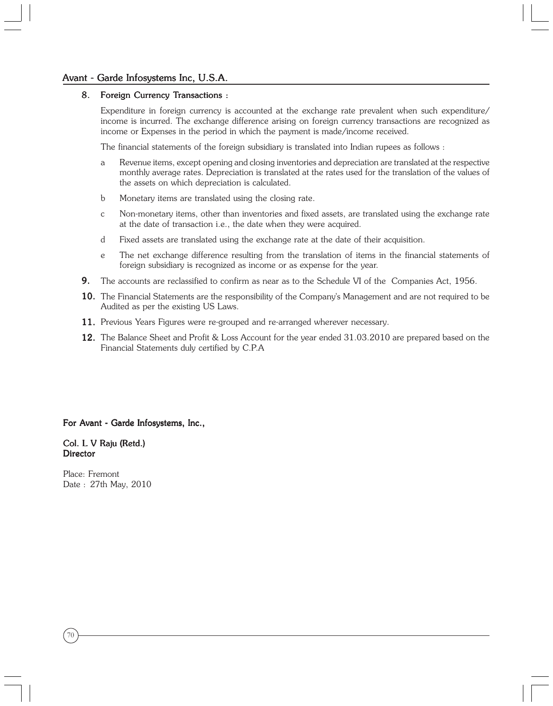# Avant - Garde Infosystems Inc, U.S.A.

#### 8. Foreign Currency Transactions :

Expenditure in foreign currency is accounted at the exchange rate prevalent when such expenditure/ income is incurred. The exchange difference arising on foreign currency transactions are recognized as income or Expenses in the period in which the payment is made/income received.

The financial statements of the foreign subsidiary is translated into Indian rupees as follows :

- a Revenue items, except opening and closing inventories and depreciation are translated at the respective monthly average rates. Depreciation is translated at the rates used for the translation of the values of the assets on which depreciation is calculated.
- b Monetary items are translated using the closing rate.
- c Non-monetary items, other than inventories and fixed assets, are translated using the exchange rate at the date of transaction i.e., the date when they were acquired.
- d Fixed assets are translated using the exchange rate at the date of their acquisition.
- e The net exchange difference resulting from the translation of items in the financial statements of foreign subsidiary is recognized as income or as expense for the year.
- 9. The accounts are reclassified to confirm as near as to the Schedule VI of the Companies Act, 1956.
- 10. The Financial Statements are the responsibility of the Company's Management and are not required to be Audited as per the existing US Laws.
- 11. Previous Years Figures were re-grouped and re-arranged wherever necessary.
- 12. The Balance Sheet and Profit & Loss Account for the year ended 31.03.2010 are prepared based on the Financial Statements duly certified by C.P.A

For Avant - Garde Infosystems, Inc.,

#### Col. L V Raju (Retd.) **Director**

Place: Fremont Date : 27th May, 2010

70